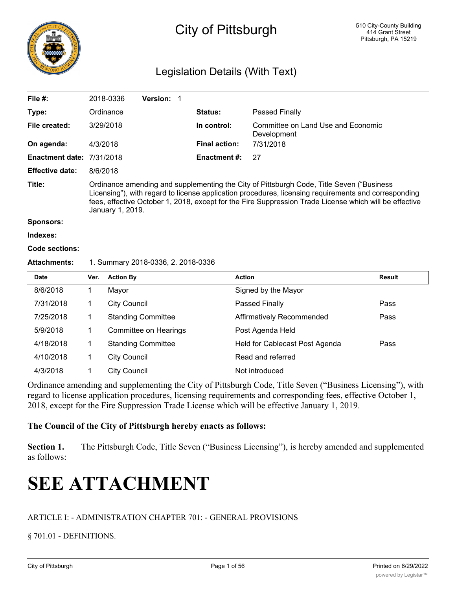

# City of Pittsburgh

# Legislation Details (With Text)

| File #:                                                   |                                                                                                                                                                                                                                                                                                                                | 2018-0336<br>Version: 1   |                      |                                                   |               |
|-----------------------------------------------------------|--------------------------------------------------------------------------------------------------------------------------------------------------------------------------------------------------------------------------------------------------------------------------------------------------------------------------------|---------------------------|----------------------|---------------------------------------------------|---------------|
| Type:                                                     |                                                                                                                                                                                                                                                                                                                                | Ordinance                 | Status:              | Passed Finally                                    |               |
| File created:                                             |                                                                                                                                                                                                                                                                                                                                | 3/29/2018                 | In control:          | Committee on Land Use and Economic<br>Development |               |
| On agenda:                                                | 4/3/2018                                                                                                                                                                                                                                                                                                                       |                           | <b>Final action:</b> | 7/31/2018                                         |               |
| <b>Enactment date:</b>                                    |                                                                                                                                                                                                                                                                                                                                | 7/31/2018                 | Enactment #:         | 27                                                |               |
| <b>Effective date:</b>                                    | 8/6/2018                                                                                                                                                                                                                                                                                                                       |                           |                      |                                                   |               |
| Title:                                                    | Ordinance amending and supplementing the City of Pittsburgh Code, Title Seven ("Business<br>Licensing"), with regard to license application procedures, licensing requirements and corresponding<br>fees, effective October 1, 2018, except for the Fire Suppression Trade License which will be effective<br>January 1, 2019. |                           |                      |                                                   |               |
| <b>Sponsors:</b>                                          |                                                                                                                                                                                                                                                                                                                                |                           |                      |                                                   |               |
| Indexes:                                                  |                                                                                                                                                                                                                                                                                                                                |                           |                      |                                                   |               |
| Code sections:                                            |                                                                                                                                                                                                                                                                                                                                |                           |                      |                                                   |               |
| <b>Attachments:</b><br>1. Summary 2018-0336, 2. 2018-0336 |                                                                                                                                                                                                                                                                                                                                |                           |                      |                                                   |               |
| <b>Date</b>                                               | Ver.                                                                                                                                                                                                                                                                                                                           | <b>Action By</b>          | <b>Action</b>        |                                                   | <b>Result</b> |
| 8/6/2018                                                  | 1                                                                                                                                                                                                                                                                                                                              | Mayor                     |                      | Signed by the Mayor                               |               |
| 7/31/2018                                                 | 1                                                                                                                                                                                                                                                                                                                              | <b>City Council</b>       |                      | Passed Finally                                    | Pass          |
| 7/25/2018                                                 | 1                                                                                                                                                                                                                                                                                                                              | <b>Standing Committee</b> |                      | Affirmatively Recommended                         | Pass          |
| 5/9/2018                                                  | 1                                                                                                                                                                                                                                                                                                                              | Committee on Hearings     |                      | Post Agenda Held                                  |               |
| 4/18/2018                                                 | 1                                                                                                                                                                                                                                                                                                                              | <b>Standing Committee</b> |                      | Held for Cablecast Post Agenda                    | Pass          |
| 4/10/2018                                                 | 1                                                                                                                                                                                                                                                                                                                              | <b>City Council</b>       |                      | Read and referred                                 |               |
| 4/3/2018                                                  | 1                                                                                                                                                                                                                                                                                                                              | <b>City Council</b>       |                      | Not introduced                                    |               |

Ordinance amending and supplementing the City of Pittsburgh Code, Title Seven ("Business Licensing"), with regard to license application procedures, licensing requirements and corresponding fees, effective October 1, 2018, except for the Fire Suppression Trade License which will be effective January 1, 2019.

# **The Council of the City of Pittsburgh hereby enacts as follows:**

**Section 1.** The Pittsburgh Code, Title Seven ("Business Licensing"), is hereby amended and supplemented as follows:

# **SEE ATTACHMENT**

# ARTICLE I: - ADMINISTRATION CHAPTER 701: - GENERAL PROVISIONS

§ 701.01 - DEFINITIONS.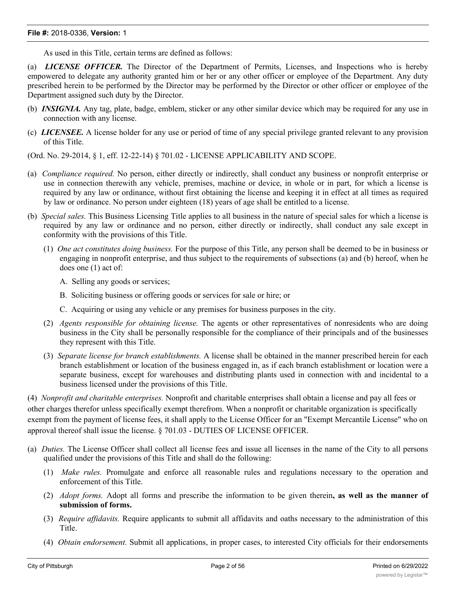As used in this Title, certain terms are defined as follows:

(a) *LICENSE OFFICER.* The Director of the Department of Permits, Licenses, and Inspections who is hereby empowered to delegate any authority granted him or her or any other officer or employee of the Department. Any duty prescribed herein to be performed by the Director may be performed by the Director or other officer or employee of the Department assigned such duty by the Director.

- (b) *INSIGNIA.* Any tag, plate, badge, emblem, sticker or any other similar device which may be required for any use in connection with any license.
- (c) *LICENSEE.* A license holder for any use or period of time of any special privilege granted relevant to any provision of this Title.

(Ord. No. 29-2014, § 1, eff. 12-22-14) § 701.02 - LICENSE APPLICABILITY AND SCOPE.

- (a) *Compliance required.* No person, either directly or indirectly, shall conduct any business or nonprofit enterprise or use in connection therewith any vehicle, premises, machine or device, in whole or in part, for which a license is required by any law or ordinance, without first obtaining the license and keeping it in effect at all times as required by law or ordinance. No person under eighteen (18) years of age shall be entitled to a license.
- (b) *Special sales.* This Business Licensing Title applies to all business in the nature of special sales for which a license is required by any law or ordinance and no person, either directly or indirectly, shall conduct any sale except in conformity with the provisions of this Title.
	- (1) *One act constitutes doing business.* For the purpose of this Title, any person shall be deemed to be in business or engaging in nonprofit enterprise, and thus subject to the requirements of subsections (a) and (b) hereof, when he does one (1) act of:
		- A. Selling any goods or services;
		- B. Soliciting business or offering goods or services for sale or hire; or
		- C. Acquiring or using any vehicle or any premises for business purposes in the city.
	- (2) *Agents responsible for obtaining license.* The agents or other representatives of nonresidents who are doing business in the City shall be personally responsible for the compliance of their principals and of the businesses they represent with this Title.
	- (3) *Separate license for branch establishments.* A license shall be obtained in the manner prescribed herein for each branch establishment or location of the business engaged in, as if each branch establishment or location were a separate business, except for warehouses and distributing plants used in connection with and incidental to a business licensed under the provisions of this Title.

(4) *Nonprofit and charitable enterprises.* Nonprofit and charitable enterprises shall obtain a license and pay all fees or other charges therefor unless specifically exempt therefrom. When a nonprofit or charitable organization is specifically exempt from the payment of license fees, it shall apply to the License Officer for an "Exempt Mercantile License" who on approval thereof shall issue the license. § 701.03 - DUTIES OF LICENSE OFFICER.

- (a) *Duties.* The License Officer shall collect all license fees and issue all licenses in the name of the City to all persons qualified under the provisions of this Title and shall do the following:
	- (1) *Make rules.* Promulgate and enforce all reasonable rules and regulations necessary to the operation and enforcement of this Title.
	- (2) *Adopt forms.* Adopt all forms and prescribe the information to be given therein**, as well as the manner of submission of forms.**
	- (3) *Require affidavits.* Require applicants to submit all affidavits and oaths necessary to the administration of this Title.
	- (4) *Obtain endorsement.* Submit all applications, in proper cases, to interested City officials for their endorsements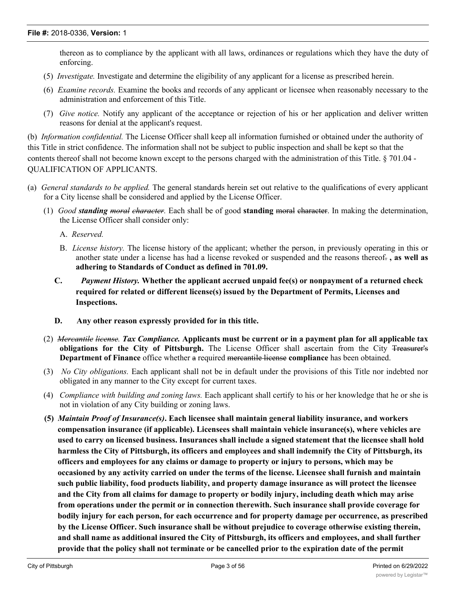thereon as to compliance by the applicant with all laws, ordinances or regulations which they have the duty of enforcing.

- (5) *Investigate.* Investigate and determine the eligibility of any applicant for a license as prescribed herein.
- (6) *Examine records.* Examine the books and records of any applicant or licensee when reasonably necessary to the administration and enforcement of this Title.
- (7) *Give notice.* Notify any applicant of the acceptance or rejection of his or her application and deliver written reasons for denial at the applicant's request.

(b) *Information confidential.* The License Officer shall keep all information furnished or obtained under the authority of this Title in strict confidence. The information shall not be subject to public inspection and shall be kept so that the contents thereof shall not become known except to the persons charged with the administration of this Title. § 701.04 - QUALIFICATION OF APPLICANTS.

- (a) *General standards to be applied.* The general standards herein set out relative to the qualifications of every applicant for a City license shall be considered and applied by the License Officer.
	- (1) *Good standing moral character.* Each shall be of good **standing** moral character. In making the determination, the License Officer shall consider only:
		- A. *Reserved.*
		- B. *License history.* The license history of the applicant; whether the person, in previously operating in this or another state under a license has had a license revoked or suspended and the reasons thereof. **, as well as adhering to Standards of Conduct as defined in 701.09.**
		- **C.** *Payment History.* **Whether the applicant accrued unpaid fee(s) or nonpayment of a returned check required for related or different license(s) issued by the Department of Permits, Licenses and Inspections.**
		- **D. Any other reason expressly provided for in this title.**
	- (2) *Mereantile lieense. Tax Compliance*. Applicants must be current or in a payment plan for all applicable tax **obligations for the City of Pittsburgh.** The License Officer shall ascertain from the City Treasurer's **Department of Finance** office whether a required mercantile license **compliance** has been obtained.
	- (3) *No City obligations.* Each applicant shall not be in default under the provisions of this Title nor indebted nor obligated in any manner to the City except for current taxes.
	- (4) *Compliance with building and zoning laws.* Each applicant shall certify to his or her knowledge that he or she is not in violation of any City building or zoning laws.
	- **(5)** *Maintain Proof of Insurance(s)***. Each licensee shall maintain general liability insurance, and workers compensation insurance (if applicable). Licensees shall maintain vehicle insurance(s), where vehicles are used to carry on licensed business. Insurances shall include a signed statement that the licensee shall hold harmless the City of Pittsburgh, its officers and employees and shall indemnify the City of Pittsburgh, its officers and employees for any claims or damage to property or injury to persons, which may be occasioned by any activity carried on under the terms of the license. Licensee shall furnish and maintain such public liability, food products liability, and property damage insurance as will protect the licensee and the City from all claims for damage to property or bodily injury, including death which may arise from operations under the permit or in connection therewith. Such insurance shall provide coverage for bodily injury for each person, for each occurrence and for property damage per occurrence, as prescribed by the License Officer. Such insurance shall be without prejudice to coverage otherwise existing therein, and shall name as additional insured the City of Pittsburgh, its officers and employees, and shall further provide that the policy shall not terminate or be cancelled prior to the expiration date of the permit**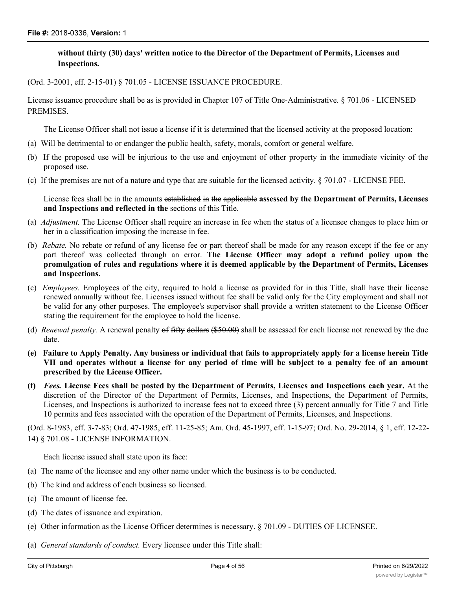# **without thirty (30) days' written notice to the Director of the Department of Permits, Licenses and Inspections.**

(Ord. 3-2001, eff. 2-15-01) § 701.05 - LICENSE ISSUANCE PROCEDURE.

License issuance procedure shall be as is provided in Chapter 107 of Title One-Administrative. § 701.06 - LICENSED PREMISES.

The License Officer shall not issue a license if it is determined that the licensed activity at the proposed location:

- (a) Will be detrimental to or endanger the public health, safety, morals, comfort or general welfare.
- (b) If the proposed use will be injurious to the use and enjoyment of other property in the immediate vicinity of the proposed use.
- (c) If the premises are not of a nature and type that are suitable for the licensed activity. § 701.07 LICENSE FEE.

License fees shall be in the amounts established in the applicable **assessed by the Department of Permits, Licenses and Inspections and reflected in the** sections of this Title.

- (a) *Adjustment.* The License Officer shall require an increase in fee when the status of a licensee changes to place him or her in a classification imposing the increase in fee.
- (b) *Rebate.* No rebate or refund of any license fee or part thereof shall be made for any reason except if the fee or any part thereof was collected through an error. **The License Officer may adopt a refund policy upon the promulgation of rules and regulations where it is deemed applicable by the Department of Permits, Licenses and Inspections.**
- (c) *Employees.* Employees of the city, required to hold a license as provided for in this Title, shall have their license renewed annually without fee. Licenses issued without fee shall be valid only for the City employment and shall not be valid for any other purposes. The employee's supervisor shall provide a written statement to the License Officer stating the requirement for the employee to hold the license.
- (d) *Renewal penalty.* A renewal penalty of fifty dollars (\$50.00) shall be assessed for each license not renewed by the due date.
- (e) Failure to Apply Penalty. Any business or individual that fails to appropriately apply for a license herein Title VII and operates without a license for any period of time will be subject to a penalty fee of an amount **prescribed by the License Officer.**
- (f) Fees. License Fees shall be posted by the Department of Permits, Licenses and Inspections each year. At the discretion of the Director of the Department of Permits, Licenses, and Inspections, the Department of Permits, Licenses, and Inspections is authorized to increase fees not to exceed three (3) percent annually for Title 7 and Title 10 permits and fees associated with the operation of the Department of Permits, Licenses, and Inspections.

(Ord. 8-1983, eff. 3-7-83; Ord. 47-1985, eff. 11-25-85; Am. Ord. 45-1997, eff. 1-15-97; Ord. No. 29-2014, § 1, eff. 12-22- 14) § 701.08 - LICENSE INFORMATION.

Each license issued shall state upon its face:

- (a) The name of the licensee and any other name under which the business is to be conducted.
- (b) The kind and address of each business so licensed.
- (c) The amount of license fee.
- (d) The dates of issuance and expiration.
- (e) Other information as the License Officer determines is necessary. § 701.09 DUTIES OF LICENSEE.
- (a) *General standards of conduct.* Every licensee under this Title shall: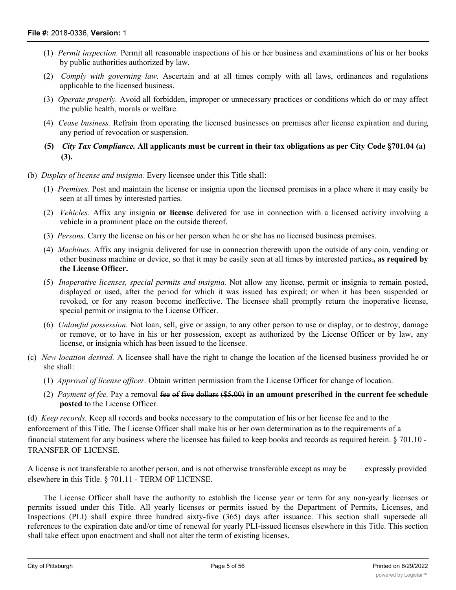- (1) *Permit inspection.* Permit all reasonable inspections of his or her business and examinations of his or her books by public authorities authorized by law.
- (2) *Comply with governing law.* Ascertain and at all times comply with all laws, ordinances and regulations applicable to the licensed business.
- (3) *Operate properly.* Avoid all forbidden, improper or unnecessary practices or conditions which do or may affect the public health, morals or welfare.
- (4) *Cease business.* Refrain from operating the licensed businesses on premises after license expiration and during any period of revocation or suspension.
- **(5)** *City Tax Compliance.* **All applicants must be current in their tax obligations as per City Code §701.04 (a) (3).**
- (b) *Display of license and insignia.* Every licensee under this Title shall:
	- (1) *Premises.* Post and maintain the license or insignia upon the licensed premises in a place where it may easily be seen at all times by interested parties.
	- (2) *Vehicles.* Affix any insignia **or license** delivered for use in connection with a licensed activity involving a vehicle in a prominent place on the outside thereof.
	- (3) *Persons.* Carry the license on his or her person when he or she has no licensed business premises.
	- (4) *Machines.* Affix any insignia delivered for use in connection therewith upon the outside of any coin, vending or other business machine or device, so that it may be easily seen at all times by interested parties.**, as required by the License Officer.**
	- (5) *Inoperative licenses, special permits and insignia.* Not allow any license, permit or insignia to remain posted, displayed or used, after the period for which it was issued has expired; or when it has been suspended or revoked, or for any reason become ineffective. The licensee shall promptly return the inoperative license, special permit or insignia to the License Officer.
	- (6) *Unlawful possession.* Not loan, sell, give or assign, to any other person to use or display, or to destroy, damage or remove, or to have in his or her possession, except as authorized by the License Officer or by law, any license, or insignia which has been issued to the licensee.
- (c) *New location desired.* A licensee shall have the right to change the location of the licensed business provided he or she shall:
	- (1) *Approval of license officer.* Obtain written permission from the License Officer for change of location.
	- (2) *Payment of fee.* Pay a removal fee of five dollars (\$5.00) **in an amount prescribed in the current fee schedule posted** to the License Officer.

(d) *Keep records.* Keep all records and books necessary to the computation of his or her license fee and to the enforcement of this Title. The License Officer shall make his or her own determination as to the requirements of a financial statement for any business where the licensee has failed to keep books and records as required herein. § 701.10 - TRANSFER OF LICENSE.

A license is not transferable to another person, and is not otherwise transferable except as may be expressly provided elsewhere in this Title. § 701.11 - TERM OF LICENSE.

The License Officer shall have the authority to establish the license year or term for any non-yearly licenses or permits issued under this Title. All yearly licenses or permits issued by the Department of Permits, Licenses, and Inspections (PLI) shall expire three hundred sixty-five (365) days after issuance. This section shall supersede all references to the expiration date and/or time of renewal for yearly PLI-issued licenses elsewhere in this Title. This section shall take effect upon enactment and shall not alter the term of existing licenses.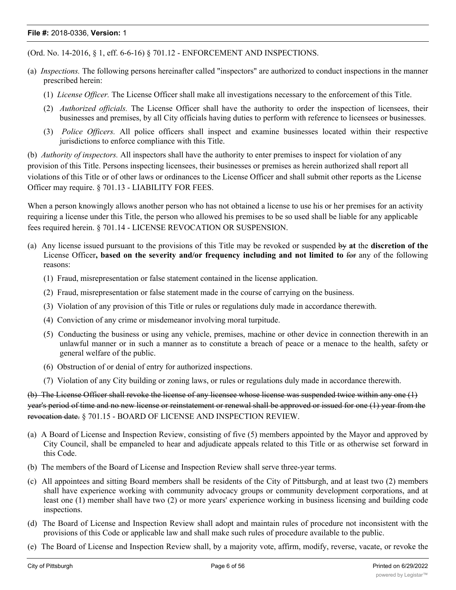(Ord. No. 14-2016, § 1, eff. 6-6-16) § 701.12 - ENFORCEMENT AND INSPECTIONS.

- (a) *Inspections.* The following persons hereinafter called "inspectors" are authorized to conduct inspections in the manner prescribed herein:
	- (1) *License Officer.* The License Officer shall make all investigations necessary to the enforcement of this Title.
	- (2) *Authorized officials.* The License Officer shall have the authority to order the inspection of licensees, their businesses and premises, by all City officials having duties to perform with reference to licensees or businesses.
	- (3) *Police Officers.* All police officers shall inspect and examine businesses located within their respective jurisdictions to enforce compliance with this Title.

(b) *Authority of inspectors.* All inspectors shall have the authority to enter premises to inspect for violation of any provision of this Title. Persons inspecting licensees, their businesses or premises as herein authorized shall report all violations of this Title or of other laws or ordinances to the License Officer and shall submit other reports as the License Officer may require. § 701.13 - LIABILITY FOR FEES.

When a person knowingly allows another person who has not obtained a license to use his or her premises for an activity requiring a license under this Title, the person who allowed his premises to be so used shall be liable for any applicable fees required herein. § 701.14 - LICENSE REVOCATION OR SUSPENSION.

- (a) Any license issued pursuant to the provisions of this Title may be revoked or suspended by **at** the **discretion of the** License Officer**, based on the severity and/or frequency including and not limited to** for any of the following reasons:
	- (1) Fraud, misrepresentation or false statement contained in the license application.
	- (2) Fraud, misrepresentation or false statement made in the course of carrying on the business.
	- (3) Violation of any provision of this Title or rules or regulations duly made in accordance therewith.
	- (4) Conviction of any crime or misdemeanor involving moral turpitude.
	- (5) Conducting the business or using any vehicle, premises, machine or other device in connection therewith in an unlawful manner or in such a manner as to constitute a breach of peace or a menace to the health, safety or general welfare of the public.
	- (6) Obstruction of or denial of entry for authorized inspections.
	- (7) Violation of any City building or zoning laws, or rules or regulations duly made in accordance therewith.

(b) The License Officer shall revoke the license of any licensee whose license was suspended twice within any one (1) year's period of time and no new license or reinstatement or renewal shall be approved or issued for one (1) year from the revocation date. § 701.15 - BOARD OF LICENSE AND INSPECTION REVIEW.

- (a) A Board of License and Inspection Review, consisting of five (5) members appointed by the Mayor and approved by City Council, shall be empaneled to hear and adjudicate appeals related to this Title or as otherwise set forward in this Code.
- (b) The members of the Board of License and Inspection Review shall serve three-year terms.
- (c) All appointees and sitting Board members shall be residents of the City of Pittsburgh, and at least two (2) members shall have experience working with community advocacy groups or community development corporations, and at least one (1) member shall have two (2) or more years' experience working in business licensing and building code inspections.
- (d) The Board of License and Inspection Review shall adopt and maintain rules of procedure not inconsistent with the provisions of this Code or applicable law and shall make such rules of procedure available to the public.
- (e) The Board of License and Inspection Review shall, by a majority vote, affirm, modify, reverse, vacate, or revoke the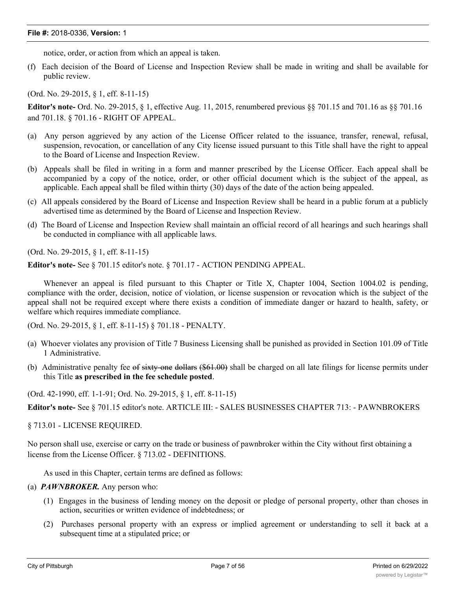notice, order, or action from which an appeal is taken.

(f) Each decision of the Board of License and Inspection Review shall be made in writing and shall be available for public review.

(Ord. No. 29-2015, § 1, eff. 8-11-15)

**Editor's note-** Ord. No. 29-2015, § 1, effective Aug. 11, 2015, renumbered previous §§ 701.15 and 701.16 as §§ 701.16 and 701.18. § 701.16 - RIGHT OF APPEAL.

- (a) Any person aggrieved by any action of the License Officer related to the issuance, transfer, renewal, refusal, suspension, revocation, or cancellation of any City license issued pursuant to this Title shall have the right to appeal to the Board of License and Inspection Review.
- (b) Appeals shall be filed in writing in a form and manner prescribed by the License Officer. Each appeal shall be accompanied by a copy of the notice, order, or other official document which is the subject of the appeal, as applicable. Each appeal shall be filed within thirty (30) days of the date of the action being appealed.
- (c) All appeals considered by the Board of License and Inspection Review shall be heard in a public forum at a publicly advertised time as determined by the Board of License and Inspection Review.
- (d) The Board of License and Inspection Review shall maintain an official record of all hearings and such hearings shall be conducted in compliance with all applicable laws.

(Ord. No. 29-2015, § 1, eff. 8-11-15)

**Editor's note-** See § 701.15 editor's note. § 701.17 - ACTION PENDING APPEAL.

Whenever an appeal is filed pursuant to this Chapter or Title X, Chapter 1004, Section 1004.02 is pending, compliance with the order, decision, notice of violation, or license suspension or revocation which is the subject of the appeal shall not be required except where there exists a condition of immediate danger or hazard to health, safety, or welfare which requires immediate compliance.

(Ord. No. 29-2015, § 1, eff. 8-11-15) § 701.18 - PENALTY.

- (a) Whoever violates any provision of Title 7 Business Licensing shall be punished as provided in Section 101.09 of Title 1 Administrative.
- (b) Administrative penalty fee of sixty-one dollars  $(461.00)$  shall be charged on all late filings for license permits under this Title **as prescribed in the fee schedule posted**.

(Ord. 42-1990, eff. 1-1-91; Ord. No. 29-2015, § 1, eff. 8-11-15)

**Editor's note-** See § 701.15 editor's note. ARTICLE III: - SALES BUSINESSES CHAPTER 713: - PAWNBROKERS

§ 713.01 - LICENSE REQUIRED.

No person shall use, exercise or carry on the trade or business of pawnbroker within the City without first obtaining a license from the License Officer. § 713.02 - DEFINITIONS.

As used in this Chapter, certain terms are defined as follows:

(a) *PAWNBROKER.* Any person who:

- (1) Engages in the business of lending money on the deposit or pledge of personal property, other than choses in action, securities or written evidence of indebtedness; or
- (2) Purchases personal property with an express or implied agreement or understanding to sell it back at a subsequent time at a stipulated price; or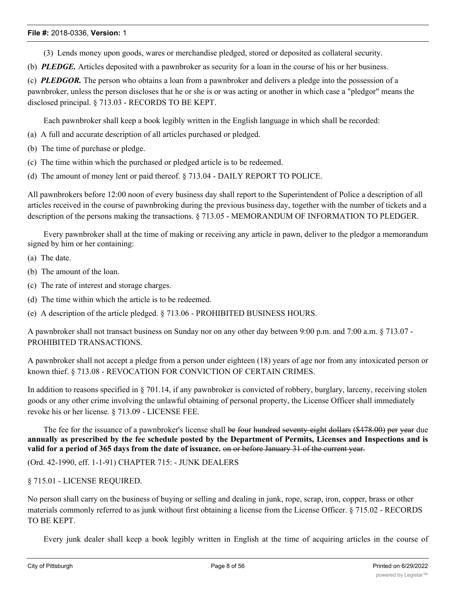- (3) Lends money upon goods, wares or merchandise pledged, stored or deposited as collateral security.
- (b) *PLEDGE.* Articles deposited with a pawnbroker as security for a loan in the course of his or her business.

(c) *PLEDGOR.* The person who obtains a loan from a pawnbroker and delivers a pledge into the possession of a pawnbroker, unless the person discloses that he or she is or was acting or another in which case a "pledgor" means the disclosed principal. § 713.03 - RECORDS TO BE KEPT.

Each pawnbroker shall keep a book legibly written in the English language in which shall be recorded:

- (a) A full and accurate description of all articles purchased or pledged.
- (b) The time of purchase or pledge.
- (c) The time within which the purchased or pledged article is to be redeemed.
- (d) The amount of money lent or paid thereof. § 713.04 DAILY REPORT TO POLICE.

All pawnbrokers before 12:00 noon of every business day shall report to the Superintendent of Police a description of all articles received in the course of pawnbroking during the previous business day, together with the number of tickets and a description of the persons making the transactions. § 713.05 - MEMORANDUM OF INFORMATION TO PLEDGER.

Every pawnbroker shall at the time of making or receiving any article in pawn, deliver to the pledgor a memorandum signed by him or her containing:

- (a) The date.
- (b) The amount of the loan.
- (c) The rate of interest and storage charges.
- (d) The time within which the article is to be redeemed.

(e) A description of the article pledged. § 713.06 - PROHIBITED BUSINESS HOURS.

A pawnbroker shall not transact business on Sunday nor on any other day between 9:00 p.m. and 7:00 a.m. § 713.07 - PROHIBITED TRANSACTIONS.

A pawnbroker shall not accept a pledge from a person under eighteen (18) years of age nor from any intoxicated person or known thief. § 713.08 - REVOCATION FOR CONVICTION OF CERTAIN CRIMES.

In addition to reasons specified in § 701.14, if any pawnbroker is convicted of robbery, burglary, larceny, receiving stolen goods or any other crime involving the unlawful obtaining of personal property, the License Officer shall immediately revoke his or her license. § 713.09 - LICENSE FEE.

The fee for the issuance of a pawnbroker's license shall be four hundred seventy-eight dollars (\$478.00) per year due annually as prescribed by the fee schedule posted by the Department of Permits, Licenses and Inspections and is **valid for a period of 365 days from the date of issuance.** on or before January 31 of the current year.

(Ord. 42-1990, eff. 1-1-91) CHAPTER 715: - JUNK DEALERS

§ 715.01 - LICENSE REQUIRED.

No person shall carry on the business of buying or selling and dealing in junk, rope, scrap, iron, copper, brass or other materials commonly referred to as junk without first obtaining a license from the License Officer. § 715.02 - RECORDS TO BE KEPT.

Every junk dealer shall keep a book legibly written in English at the time of acquiring articles in the course of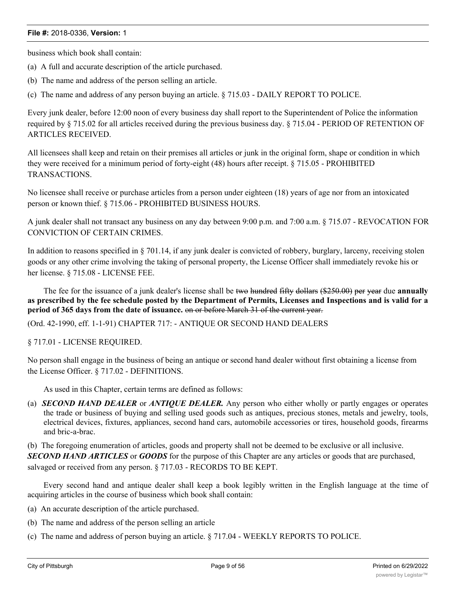business which book shall contain:

- (a) A full and accurate description of the article purchased.
- (b) The name and address of the person selling an article.

(c) The name and address of any person buying an article. § 715.03 - DAILY REPORT TO POLICE.

Every junk dealer, before 12:00 noon of every business day shall report to the Superintendent of Police the information required by § 715.02 for all articles received during the previous business day. § 715.04 - PERIOD OF RETENTION OF ARTICLES RECEIVED.

All licensees shall keep and retain on their premises all articles or junk in the original form, shape or condition in which they were received for a minimum period of forty-eight (48) hours after receipt. § 715.05 - PROHIBITED TRANSACTIONS.

No licensee shall receive or purchase articles from a person under eighteen (18) years of age nor from an intoxicated person or known thief. § 715.06 - PROHIBITED BUSINESS HOURS.

A junk dealer shall not transact any business on any day between 9:00 p.m. and 7:00 a.m. § 715.07 - REVOCATION FOR CONVICTION OF CERTAIN CRIMES.

In addition to reasons specified in  $\S 701.14$ , if any junk dealer is convicted of robbery, burglary, larceny, receiving stolen goods or any other crime involving the taking of personal property, the License Officer shall immediately revoke his or her license. § 715.08 - LICENSE FEE.

The fee for the issuance of a junk dealer's license shall be two hundred fifty dollars (\$250.00) per year due **annually** as prescribed by the fee schedule posted by the Department of Permits, Licenses and Inspections and is valid for a **period of 365 days from the date of issuance.** on or before March 31 of the current year.

(Ord. 42-1990, eff. 1-1-91) CHAPTER 717: - ANTIQUE OR SECOND HAND DEALERS

§ 717.01 - LICENSE REQUIRED.

No person shall engage in the business of being an antique or second hand dealer without first obtaining a license from the License Officer. § 717.02 - DEFINITIONS.

As used in this Chapter, certain terms are defined as follows:

(a) *SECOND HAND DEALER* or *ANTIQUE DEALER.* Any person who either wholly or partly engages or operates the trade or business of buying and selling used goods such as antiques, precious stones, metals and jewelry, tools, electrical devices, fixtures, appliances, second hand cars, automobile accessories or tires, household goods, firearms and bric-a-brac.

(b) The foregoing enumeration of articles, goods and property shall not be deemed to be exclusive or all inclusive.

*SECOND HAND ARTICLES* or *GOODS* for the purpose of this Chapter are any articles or goods that are purchased, salvaged or received from any person. § 717.03 - RECORDS TO BE KEPT.

Every second hand and antique dealer shall keep a book legibly written in the English language at the time of acquiring articles in the course of business which book shall contain:

- (a) An accurate description of the article purchased.
- (b) The name and address of the person selling an article
- (c) The name and address of person buying an article. § 717.04 WEEKLY REPORTS TO POLICE.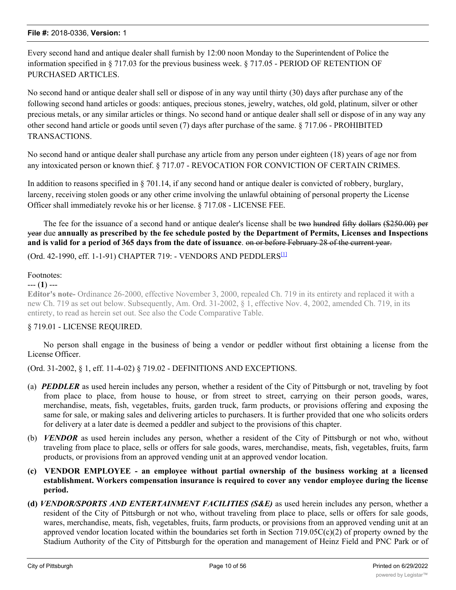Every second hand and antique dealer shall furnish by 12:00 noon Monday to the Superintendent of Police the information specified in § 717.03 for the previous business week. § 717.05 - PERIOD OF RETENTION OF PURCHASED ARTICLES.

No second hand or antique dealer shall sell or dispose of in any way until thirty (30) days after purchase any of the following second hand articles or goods: antiques, precious stones, jewelry, watches, old gold, platinum, silver or other precious metals, or any similar articles or things. No second hand or antique dealer shall sell or dispose of in any way any other second hand article or goods until seven (7) days after purchase of the same. § 717.06 - PROHIBITED TRANSACTIONS.

No second hand or antique dealer shall purchase any article from any person under eighteen (18) years of age nor from any intoxicated person or known thief. § 717.07 - REVOCATION FOR CONVICTION OF CERTAIN CRIMES.

In addition to reasons specified in § 701.14, if any second hand or antique dealer is convicted of robbery, burglary, larceny, receiving stolen goods or any other crime involving the unlawful obtaining of personal property the License Officer shall immediately revoke his or her license. § 717.08 - LICENSE FEE.

The fee for the issuance of a second hand or antique dealer's license shall be two hundred fifty dollars (\$250.00) per year due annually as prescribed by the fee schedule posted by the Department of Permits, Licenses and Inspections **and is valid for a period of 365 days from the date of issuance**. on or before February 28 of the current year.

(Ord. 42-1990, eff. 1-1-91) CHAPTER 719: - VENDORS AND PEDDLERS[1]

# Footnotes:

--- (**1**) ---

**Editor's note-** Ordinance 26-2000, effective November 3, 2000, repealed Ch. 719 in its entirety and replaced it with a new Ch. 719 as set out below. Subsequently, Am. Ord. 31-2002, § 1, effective Nov. 4, 2002, amended Ch. 719, in its entirety, to read as herein set out. See also the Code Comparative Table.

# § 719.01 - LICENSE REQUIRED.

No person shall engage in the business of being a vendor or peddler without first obtaining a license from the License Officer.

(Ord. 31-2002, § 1, eff. 11-4-02) § 719.02 - DEFINITIONS AND EXCEPTIONS.

- (a) *PEDDLER* as used herein includes any person, whether a resident of the City of Pittsburgh or not, traveling by foot from place to place, from house to house, or from street to street, carrying on their person goods, wares, merchandise, meats, fish, vegetables, fruits, garden truck, farm products, or provisions offering and exposing the same for sale, or making sales and delivering articles to purchasers. It is further provided that one who solicits orders for delivery at a later date is deemed a peddler and subject to the provisions of this chapter.
- (b) *VENDOR* as used herein includes any person, whether a resident of the City of Pittsburgh or not who, without traveling from place to place, sells or offers for sale goods, wares, merchandise, meats, fish, vegetables, fruits, farm products, or provisions from an approved vending unit at an approved vendor location.
- **(c) VENDOR EMPLOYEE - an employee without partial ownership of the business working at a licensed establishment. Workers compensation insurance is required to cover any vendor employee during the license period.**
- **(d)** *VENDOR/SPORTS AND ENTERTAINMENT FACILITIES (S&E)* as used herein includes any person, whether a resident of the City of Pittsburgh or not who, without traveling from place to place, sells or offers for sale goods, wares, merchandise, meats, fish, vegetables, fruits, farm products, or provisions from an approved vending unit at an approved vendor location located within the boundaries set forth in Section 719.05C(c)(2) of property owned by the Stadium Authority of the City of Pittsburgh for the operation and management of Heinz Field and PNC Park or of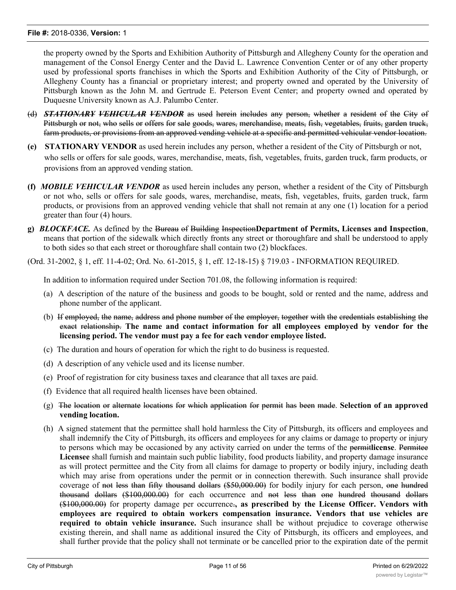the property owned by the Sports and Exhibition Authority of Pittsburgh and Allegheny County for the operation and management of the Consol Energy Center and the David L. Lawrence Convention Center or of any other property used by professional sports franchises in which the Sports and Exhibition Authority of the City of Pittsburgh, or Allegheny County has a financial or proprietary interest; and property owned and operated by the University of Pittsburgh known as the John M. and Gertrude E. Peterson Event Center; and property owned and operated by Duquesne University known as A.J. Palumbo Center.

- (d) *STATIONARY VEHICULAR VENDOR* as used herein includes any person, whether a resident of the City of Pittsburgh or not, who sells or offers for sale goods, wares, merchandise, meats, fish, vegetables, fruits, garden truck, farm products, or provisions from an approved vending vehicle at a specific and permitted vehicular vendor location.
- **(e) STATIONARY VENDOR** as used herein includes any person, whether a resident of the City of Pittsburgh or not, who sells or offers for sale goods, wares, merchandise, meats, fish, vegetables, fruits, garden truck, farm products, or provisions from an approved vending station.
- **(f)** *MOBILE VEHICULAR VENDOR* as used herein includes any person, whether a resident of the City of Pittsburgh or not who, sells or offers for sale goods, wares, merchandise, meats, fish, vegetables, fruits, garden truck, farm products, or provisions from an approved vending vehicle that shall not remain at any one (1) location for a period greater than four (4) hours.
- **g)** *BLOCKFACE.* As defined by the Bureau of Building Inspection**Department of Permits, Licenses and Inspection**, means that portion of the sidewalk which directly fronts any street or thoroughfare and shall be understood to apply to both sides so that each street or thoroughfare shall contain two (2) blockfaces.

(Ord. 31-2002, § 1, eff. 11-4-02; Ord. No. 61-2015, § 1, eff. 12-18-15) § 719.03 - INFORMATION REQUIRED.

In addition to information required under Section 701.08, the following information is required:

- (a) A description of the nature of the business and goods to be bought, sold or rented and the name, address and phone number of the applicant.
- (b) If employed, the name, address and phone number of the employer, together with the credentials establishing the exact relationship. **The name and contact information for all employees employed by vendor for the licensing period. The vendor must pay a fee for each vendor employee listed.**
- (c) The duration and hours of operation for which the right to do business is requested.
- (d) A description of any vehicle used and its license number.
- (e) Proof of registration for city business taxes and clearance that all taxes are paid.
- (f) Evidence that all required health licenses have been obtained.
- (g) The location or alternate locations for which application for permit has been made. **Selection of an approved vending location.**
- (h) A signed statement that the permittee shall hold harmless the City of Pittsburgh, its officers and employees and shall indemnify the City of Pittsburgh, its officers and employees for any claims or damage to property or injury to persons which may be occasioned by any activity carried on under the terms of the permit**license**. Permitee **Licensee** shall furnish and maintain such public liability, food products liability, and property damage insurance as will protect permittee and the City from all claims for damage to property or bodily injury, including death which may arise from operations under the permit or in connection therewith. Such insurance shall provide coverage of not less than fifty thousand dollars (\$50,000.00) for bodily injury for each person, one hundred thousand dollars (\$100,000.00) for each occurrence and not less than one hundred thousand dollars (\$100,000.00) for property damage per occurrence.**, as prescribed by the License Officer. Vendors with employees are required to obtain workers compensation insurance. Vendors that use vehicles are required to obtain vehicle insurance.** Such insurance shall be without prejudice to coverage otherwise existing therein, and shall name as additional insured the City of Pittsburgh, its officers and employees, and shall further provide that the policy shall not terminate or be cancelled prior to the expiration date of the permit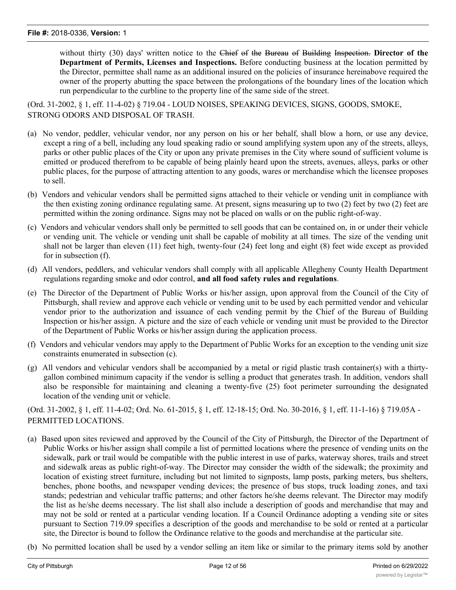without thirty (30) days' written notice to the Chief of the Bureau of Building Inspection. **Director of the Department of Permits, Licenses and Inspections.** Before conducting business at the location permitted by the Director, permittee shall name as an additional insured on the policies of insurance hereinabove required the owner of the property abutting the space between the prolongations of the boundary lines of the location which run perpendicular to the curbline to the property line of the same side of the street.

(Ord. 31-2002, § 1, eff. 11-4-02) § 719.04 - LOUD NOISES, SPEAKING DEVICES, SIGNS, GOODS, SMOKE, STRONG ODORS AND DISPOSAL OF TRASH.

- (a) No vendor, peddler, vehicular vendor, nor any person on his or her behalf, shall blow a horn, or use any device, except a ring of a bell, including any loud speaking radio or sound amplifying system upon any of the streets, alleys, parks or other public places of the City or upon any private premises in the City where sound of sufficient volume is emitted or produced therefrom to be capable of being plainly heard upon the streets, avenues, alleys, parks or other public places, for the purpose of attracting attention to any goods, wares or merchandise which the licensee proposes to sell.
- (b) Vendors and vehicular vendors shall be permitted signs attached to their vehicle or vending unit in compliance with the then existing zoning ordinance regulating same. At present, signs measuring up to two (2) feet by two (2) feet are permitted within the zoning ordinance. Signs may not be placed on walls or on the public right-of-way.
- (c) Vendors and vehicular vendors shall only be permitted to sell goods that can be contained on, in or under their vehicle or vending unit. The vehicle or vending unit shall be capable of mobility at all times. The size of the vending unit shall not be larger than eleven (11) feet high, twenty-four (24) feet long and eight (8) feet wide except as provided for in subsection (f).
- (d) All vendors, peddlers, and vehicular vendors shall comply with all applicable Allegheny County Health Department regulations regarding smoke and odor control, **and all food safety rules and regulations**.
- (e) The Director of the Department of Public Works or his/her assign, upon approval from the Council of the City of Pittsburgh, shall review and approve each vehicle or vending unit to be used by each permitted vendor and vehicular vendor prior to the authorization and issuance of each vending permit by the Chief of the Bureau of Building Inspection or his/her assign. A picture and the size of each vehicle or vending unit must be provided to the Director of the Department of Public Works or his/her assign during the application process.
- (f) Vendors and vehicular vendors may apply to the Department of Public Works for an exception to the vending unit size constraints enumerated in subsection (c).
- (g) All vendors and vehicular vendors shall be accompanied by a metal or rigid plastic trash container(s) with a thirtygallon combined minimum capacity if the vendor is selling a product that generates trash. In addition, vendors shall also be responsible for maintaining and cleaning a twenty-five (25) foot perimeter surrounding the designated location of the vending unit or vehicle.

(Ord. 31-2002, § 1, eff. 11-4-02; Ord. No. 61-2015, § 1, eff. 12-18-15; Ord. No. 30-2016, § 1, eff. 11-1-16) § 719.05A - PERMITTED LOCATIONS.

- (a) Based upon sites reviewed and approved by the Council of the City of Pittsburgh, the Director of the Department of Public Works or his/her assign shall compile a list of permitted locations where the presence of vending units on the sidewalk, park or trail would be compatible with the public interest in use of parks, waterway shores, trails and street and sidewalk areas as public right-of-way. The Director may consider the width of the sidewalk; the proximity and location of existing street furniture, including but not limited to signposts, lamp posts, parking meters, bus shelters, benches, phone booths, and newspaper vending devices; the presence of bus stops, truck loading zones, and taxi stands; pedestrian and vehicular traffic patterns; and other factors he/she deems relevant. The Director may modify the list as he/she deems necessary. The list shall also include a description of goods and merchandise that may and may not be sold or rented at a particular vending location. If a Council Ordinance adopting a vending site or sites pursuant to Section 719.09 specifies a description of the goods and merchandise to be sold or rented at a particular site, the Director is bound to follow the Ordinance relative to the goods and merchandise at the particular site.
- (b) No permitted location shall be used by a vendor selling an item like or similar to the primary items sold by another

non-vendor business within one hundred (100) feet of the permitted location, unless otherwise permitted by the non-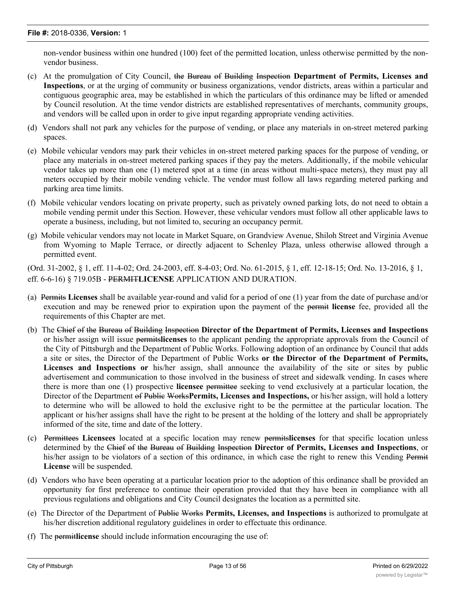non-vendor business within one hundred (100) feet of the permitted location, unless otherwise permitted by the nonvendor business.

- (c) At the promulgation of City Council, the Bureau of Building Inspection **Department of Permits, Licenses and Inspections**, or at the urging of community or business organizations, vendor districts, areas within a particular and contiguous geographic area, may be established in which the particulars of this ordinance may be lifted or amended by Council resolution. At the time vendor districts are established representatives of merchants, community groups, and vendors will be called upon in order to give input regarding appropriate vending activities.
- (d) Vendors shall not park any vehicles for the purpose of vending, or place any materials in on-street metered parking spaces.
- (e) Mobile vehicular vendors may park their vehicles in on-street metered parking spaces for the purpose of vending, or place any materials in on-street metered parking spaces if they pay the meters. Additionally, if the mobile vehicular vendor takes up more than one (1) metered spot at a time (in areas without multi-space meters), they must pay all meters occupied by their mobile vending vehicle. The vendor must follow all laws regarding metered parking and parking area time limits.
- (f) Mobile vehicular vendors locating on private property, such as privately owned parking lots, do not need to obtain a mobile vending permit under this Section. However, these vehicular vendors must follow all other applicable laws to operate a business, including, but not limited to, securing an occupancy permit.
- (g) Mobile vehicular vendors may not locate in Market Square, on Grandview Avenue, Shiloh Street and Virginia Avenue from Wyoming to Maple Terrace, or directly adjacent to Schenley Plaza, unless otherwise allowed through a permitted event.

(Ord. 31-2002, § 1, eff. 11-4-02; Ord. 24-2003, eff. 8-4-03; Ord. No. 61-2015, § 1, eff. 12-18-15; Ord. No. 13-2016, § 1, eff. 6-6-16) § 719.05B - PERMIT**LICENSE** APPLICATION AND DURATION.

- (a) Permits **Licenses** shall be available year-round and valid for a period of one (1) year from the date of purchase and/or execution and may be renewed prior to expiration upon the payment of the permit **license** fee, provided all the requirements of this Chapter are met.
- (b) The Chief of the Bureau of Building Inspection **Director of the Department of Permits, Licenses and Inspections** or his/her assign will issue permits**licenses** to the applicant pending the appropriate approvals from the Council of the City of Pittsburgh and the Department of Public Works. Following adoption of an ordinance by Council that adds a site or sites, the Director of the Department of Public Works **or the Director of the Department of Permits, Licenses and Inspections or** his/her assign, shall announce the availability of the site or sites by public advertisement and communication to those involved in the business of street and sidewalk vending. In cases where there is more than one (1) prospective **licensee** permittee seeking to vend exclusively at a particular location, the Director of the Department of Public Works**Permits, Licenses and Inspections,** or his/her assign, will hold a lottery to determine who will be allowed to hold the exclusive right to be the permittee at the particular location. The applicant or his/her assigns shall have the right to be present at the holding of the lottery and shall be appropriately informed of the site, time and date of the lottery.
- (c) Permittees **Licensees** located at a specific location may renew permits**licenses** for that specific location unless determined by the Chief of the Bureau of Building Inspection **Director of Permits, Licenses and Inspections**, or his/her assign to be violators of a section of this ordinance, in which case the right to renew this Vending Permit **License** will be suspended.
- (d) Vendors who have been operating at a particular location prior to the adoption of this ordinance shall be provided an opportunity for first preference to continue their operation provided that they have been in compliance with all previous regulations and obligations and City Council designates the location as a permitted site.
- (e) The Director of the Department of Public Works **Permits, Licenses, and Inspections** is authorized to promulgate at his/her discretion additional regulatory guidelines in order to effectuate this ordinance.
- (f) The permit**license** should include information encouraging the use of: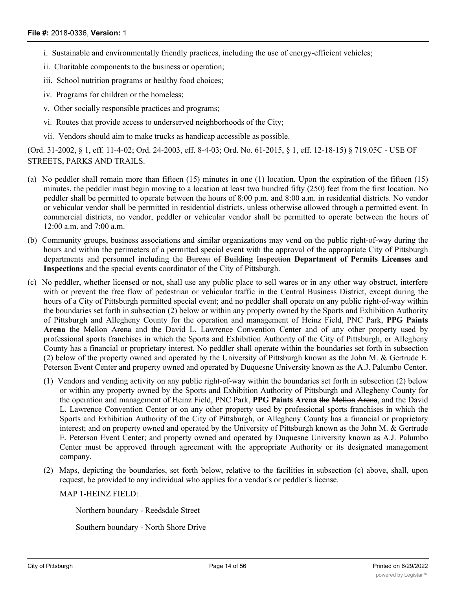- i. Sustainable and environmentally friendly practices, including the use of energy-efficient vehicles;
- ii. Charitable components to the business or operation;
- iii. School nutrition programs or healthy food choices;
- iv. Programs for children or the homeless;
- v. Other socially responsible practices and programs;
- vi. Routes that provide access to underserved neighborhoods of the City;
- vii. Vendors should aim to make trucks as handicap accessible as possible.

(Ord. 31-2002, § 1, eff. 11-4-02; Ord. 24-2003, eff. 8-4-03; Ord. No. 61-2015, § 1, eff. 12-18-15) § 719.05C - USE OF STREETS, PARKS AND TRAILS.

- (a) No peddler shall remain more than fifteen (15) minutes in one (1) location. Upon the expiration of the fifteen (15) minutes, the peddler must begin moving to a location at least two hundred fifty (250) feet from the first location. No peddler shall be permitted to operate between the hours of 8:00 p.m. and 8:00 a.m. in residential districts. No vendor or vehicular vendor shall be permitted in residential districts, unless otherwise allowed through a permitted event. In commercial districts, no vendor, peddler or vehicular vendor shall be permitted to operate between the hours of 12:00 a.m. and 7:00 a.m.
- (b) Community groups, business associations and similar organizations may vend on the public right-of-way during the hours and within the perimeters of a permitted special event with the approval of the appropriate City of Pittsburgh departments and personnel including the Bureau of Building Inspection **Department of Permits Licenses and Inspections** and the special events coordinator of the City of Pittsburgh.
- (c) No peddler, whether licensed or not, shall use any public place to sell wares or in any other way obstruct, interfere with or prevent the free flow of pedestrian or vehicular traffic in the Central Business District, except during the hours of a City of Pittsburgh permitted special event; and no peddler shall operate on any public right-of-way within the boundaries set forth in subsection (2) below or within any property owned by the Sports and Exhibition Authority of Pittsburgh and Allegheny County for the operation and management of Heinz Field, PNC Park, **PPG Paints Arena** the Mellon Arena and the David L. Lawrence Convention Center and of any other property used by professional sports franchises in which the Sports and Exhibition Authority of the City of Pittsburgh, or Allegheny County has a financial or proprietary interest. No peddler shall operate within the boundaries set forth in subsection (2) below of the property owned and operated by the University of Pittsburgh known as the John M. & Gertrude E. Peterson Event Center and property owned and operated by Duquesne University known as the A.J. Palumbo Center.
	- (1) Vendors and vending activity on any public right-of-way within the boundaries set forth in subsection (2) below or within any property owned by the Sports and Exhibition Authority of Pittsburgh and Allegheny County for the operation and management of Heinz Field, PNC Park, **PPG Paints Arena** the Mellon Arena, and the David L. Lawrence Convention Center or on any other property used by professional sports franchises in which the Sports and Exhibition Authority of the City of Pittsburgh, or Allegheny County has a financial or proprietary interest; and on property owned and operated by the University of Pittsburgh known as the John M. & Gertrude E. Peterson Event Center; and property owned and operated by Duquesne University known as A.J. Palumbo Center must be approved through agreement with the appropriate Authority or its designated management company.
	- (2) Maps, depicting the boundaries, set forth below, relative to the facilities in subsection (c) above, shall, upon request, be provided to any individual who applies for a vendor's or peddler's license.

MAP 1-HEINZ FIELD:

Northern boundary - Reedsdale Street

Southern boundary - North Shore Drive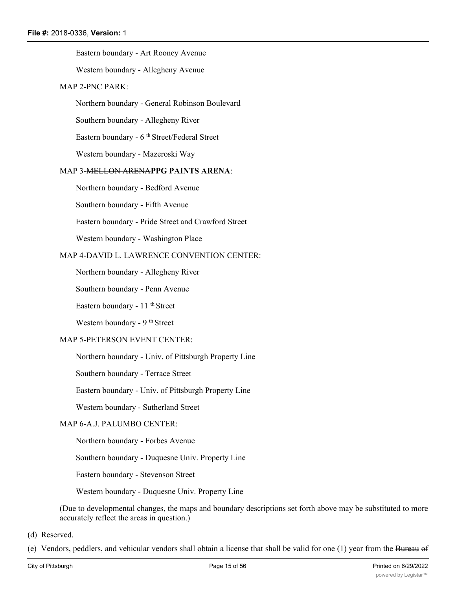#### Eastern boundary - Art Rooney Avenue

Western boundary - Allegheny Avenue

#### MAP 2-PNC PARK:

Northern boundary - General Robinson Boulevard

Southern boundary - Allegheny River

Eastern boundary - 6<sup>th</sup> Street/Federal Street

Western boundary - Mazeroski Way

#### MAP 3-MELLON ARENA**PPG PAINTS ARENA**:

Northern boundary - Bedford Avenue

Southern boundary - Fifth Avenue

Eastern boundary - Pride Street and Crawford Street

Western boundary - Washington Place

# MAP 4-DAVID L. LAWRENCE CONVENTION CENTER:

Northern boundary - Allegheny River

Southern boundary - Penn Avenue

Eastern boundary -  $11$ <sup>th</sup> Street

Western boundary - 9<sup>th</sup> Street

#### MAP 5-PETERSON EVENT CENTER:

Northern boundary - Univ. of Pittsburgh Property Line

Southern boundary - Terrace Street

Eastern boundary - Univ. of Pittsburgh Property Line

Western boundary - Sutherland Street

#### MAP 6-A.J. PALUMBO CENTER:

Northern boundary - Forbes Avenue

Southern boundary - Duquesne Univ. Property Line

Eastern boundary - Stevenson Street

Western boundary - Duquesne Univ. Property Line

(Due to developmental changes, the maps and boundary descriptions set forth above may be substituted to more accurately reflect the areas in question.)

(d) Reserved.

(e) Vendors, peddlers, and vehicular vendors shall obtain a license that shall be valid for one (1) year from the Bureau of

Building Inspection **Department of Permits Licenses and Inspections**. The badge**, license,** or sticker shall be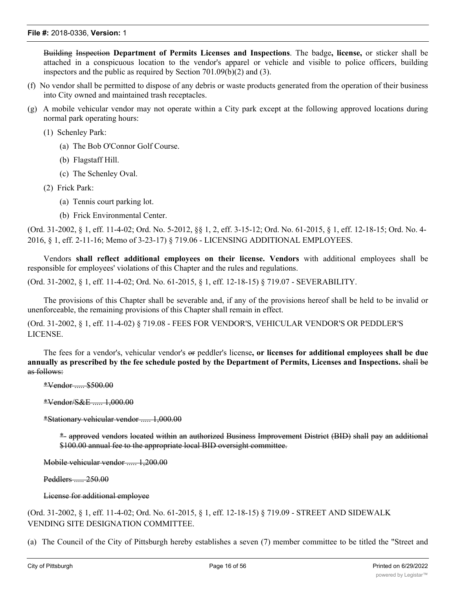Building Inspection **Department of Permits Licenses and Inspections**. The badge**, license,** or sticker shall be attached in a conspicuous location to the vendor's apparel or vehicle and visible to police officers, building inspectors and the public as required by Section 701.09(b)(2) and (3).

- (f) No vendor shall be permitted to dispose of any debris or waste products generated from the operation of their business into City owned and maintained trash receptacles.
- (g) A mobile vehicular vendor may not operate within a City park except at the following approved locations during normal park operating hours:
	- (1) Schenley Park:
		- (a) The Bob O'Connor Golf Course.
		- (b) Flagstaff Hill.
		- (c) The Schenley Oval.
	- (2) Frick Park:
		- (a) Tennis court parking lot.
		- (b) Frick Environmental Center.

(Ord. 31-2002, § 1, eff. 11-4-02; Ord. No. 5-2012, §§ 1, 2, eff. 3-15-12; Ord. No. 61-2015, § 1, eff. 12-18-15; Ord. No. 4- 2016, § 1, eff. 2-11-16; Memo of 3-23-17) § 719.06 - LICENSING ADDITIONAL EMPLOYEES.

Vendors **shall reflect additional employees on their license. Vendors** with additional employees shall be responsible for employees' violations of this Chapter and the rules and regulations.

(Ord. 31-2002, § 1, eff. 11-4-02; Ord. No. 61-2015, § 1, eff. 12-18-15) § 719.07 - SEVERABILITY.

The provisions of this Chapter shall be severable and, if any of the provisions hereof shall be held to be invalid or unenforceable, the remaining provisions of this Chapter shall remain in effect.

(Ord. 31-2002, § 1, eff. 11-4-02) § 719.08 - FEES FOR VENDOR'S, VEHICULAR VENDOR'S OR PEDDLER'S LICENSE.

The fees for a vendor's, vehicular vendor's or peddler's license**, or licenses for additional employees shall be due** annually as prescribed by the fee schedule posted by the Department of Permits, Licenses and Inspections. shall be as follows:

\*Vendor ..... \$500.00

\*Vendor/S&E ..... 1,000.00

\*Stationary vehicular vendor ..... 1,000.00

\*- approved vendors located within an authorized Business Improvement District (BID) shall pay an additional \$100.00 annual fee to the appropriate local BID oversight committee.

Mobile vehicular vendor ..... 1,200.00

Peddlers ..... 250.00

#### License for additional employee

(Ord. 31-2002, § 1, eff. 11-4-02; Ord. No. 61-2015, § 1, eff. 12-18-15) § 719.09 - STREET AND SIDEWALK VENDING SITE DESIGNATION COMMITTEE.

(a) The Council of the City of Pittsburgh hereby establishes a seven (7) member committee to be titled the "Street and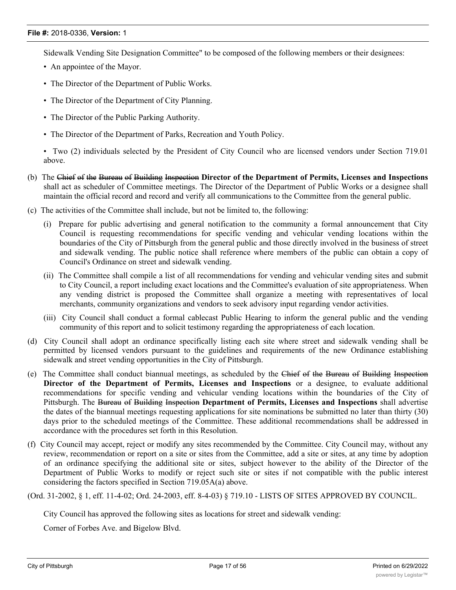Sidewalk Vending Site Designation Committee" to be composed of the following members or their designees:

- An appointee of the Mayor.
- The Director of the Department of Public Works.
- The Director of the Department of City Planning.
- The Director of the Public Parking Authority.
- The Director of the Department of Parks, Recreation and Youth Policy.

• Two (2) individuals selected by the President of City Council who are licensed vendors under Section 719.01 above.

- (b) The Chief of the Bureau of Building Inspection **Director of the Department of Permits, Licenses and Inspections** shall act as scheduler of Committee meetings. The Director of the Department of Public Works or a designee shall maintain the official record and record and verify all communications to the Committee from the general public.
- (c) The activities of the Committee shall include, but not be limited to, the following:
	- (i) Prepare for public advertising and general notification to the community a formal announcement that City Council is requesting recommendations for specific vending and vehicular vending locations within the boundaries of the City of Pittsburgh from the general public and those directly involved in the business of street and sidewalk vending. The public notice shall reference where members of the public can obtain a copy of Council's Ordinance on street and sidewalk vending.
	- (ii) The Committee shall compile a list of all recommendations for vending and vehicular vending sites and submit to City Council, a report including exact locations and the Committee's evaluation of site appropriateness. When any vending district is proposed the Committee shall organize a meeting with representatives of local merchants, community organizations and vendors to seek advisory input regarding vendor activities.
	- (iii) City Council shall conduct a formal cablecast Public Hearing to inform the general public and the vending community of this report and to solicit testimony regarding the appropriateness of each location.
- (d) City Council shall adopt an ordinance specifically listing each site where street and sidewalk vending shall be permitted by licensed vendors pursuant to the guidelines and requirements of the new Ordinance establishing sidewalk and street vending opportunities in the City of Pittsburgh.
- (e) The Committee shall conduct biannual meetings, as scheduled by the Chief of the Bureau of Building Inspection **Director of the Department of Permits, Licenses and Inspections** or a designee, to evaluate additional recommendations for specific vending and vehicular vending locations within the boundaries of the City of Pittsburgh. The Bureau of Building Inspection **Department of Permits, Licenses and Inspections** shall advertise the dates of the biannual meetings requesting applications for site nominations be submitted no later than thirty (30) days prior to the scheduled meetings of the Committee. These additional recommendations shall be addressed in accordance with the procedures set forth in this Resolution.
- (f) City Council may accept, reject or modify any sites recommended by the Committee. City Council may, without any review, recommendation or report on a site or sites from the Committee, add a site or sites, at any time by adoption of an ordinance specifying the additional site or sites, subject however to the ability of the Director of the Department of Public Works to modify or reject such site or sites if not compatible with the public interest considering the factors specified in Section 719.05A(a) above.

(Ord. 31-2002, § 1, eff. 11-4-02; Ord. 24-2003, eff. 8-4-03) § 719.10 - LISTS OF SITES APPROVED BY COUNCIL.

City Council has approved the following sites as locations for street and sidewalk vending:

Corner of Forbes Ave. and Bigelow Blvd.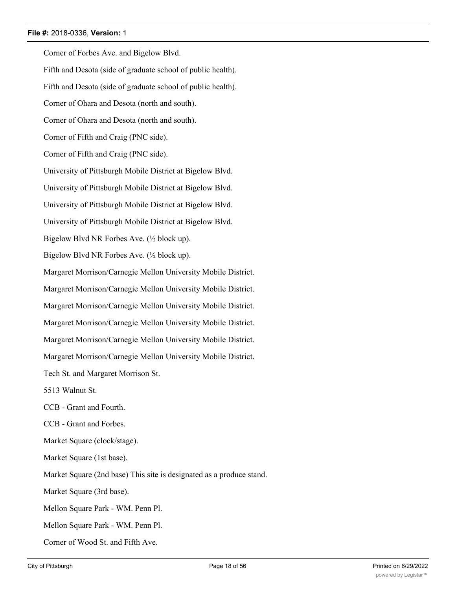Corner of Forbes Ave. and Bigelow Blvd. Fifth and Desota (side of graduate school of public health). Fifth and Desota (side of graduate school of public health). Corner of Ohara and Desota (north and south). Corner of Ohara and Desota (north and south). Corner of Fifth and Craig (PNC side). Corner of Fifth and Craig (PNC side). University of Pittsburgh Mobile District at Bigelow Blvd. University of Pittsburgh Mobile District at Bigelow Blvd. University of Pittsburgh Mobile District at Bigelow Blvd. University of Pittsburgh Mobile District at Bigelow Blvd. Bigelow Blvd NR Forbes Ave. (½ block up). Bigelow Blvd NR Forbes Ave. (½ block up). Margaret Morrison/Carnegie Mellon University Mobile District. Margaret Morrison/Carnegie Mellon University Mobile District. Margaret Morrison/Carnegie Mellon University Mobile District. Margaret Morrison/Carnegie Mellon University Mobile District. Margaret Morrison/Carnegie Mellon University Mobile District. Margaret Morrison/Carnegie Mellon University Mobile District. Tech St. and Margaret Morrison St. 5513 Walnut St. CCB - Grant and Fourth. CCB - Grant and Forbes. Market Square (clock/stage). Market Square (1st base). Market Square (2nd base) This site is designated as a produce stand. Market Square (3rd base). Mellon Square Park - WM. Penn Pl. Mellon Square Park - WM. Penn Pl. Corner of Wood St. and Fifth Ave.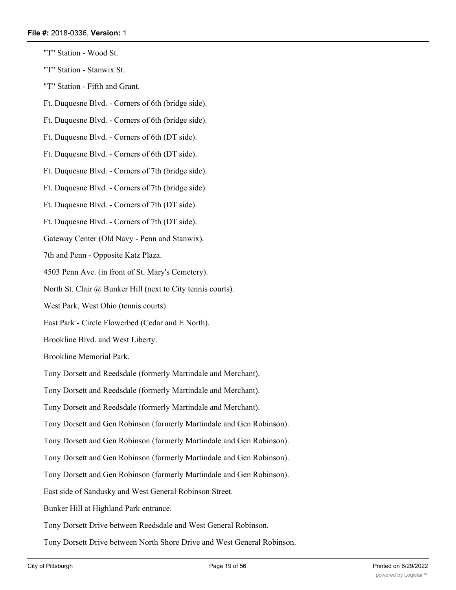- "T" Station Wood St.
- "T" Station Stanwix St.
- "T" Station Fifth and Grant.
- Ft. Duquesne Blvd. Corners of 6th (bridge side).
- Ft. Duquesne Blvd. Corners of 6th (bridge side).
- Ft. Duquesne Blvd. Corners of 6th (DT side).
- Ft. Duquesne Blvd. Corners of 6th (DT side).
- Ft. Duquesne Blvd. Corners of 7th (bridge side).
- Ft. Duquesne Blvd. Corners of 7th (bridge side).
- Ft. Duquesne Blvd. Corners of 7th (DT side).
- Ft. Duquesne Blvd. Corners of 7th (DT side).
- Gateway Center (Old Navy Penn and Stanwix).
- 7th and Penn Opposite Katz Plaza.
- 4503 Penn Ave. (in front of St. Mary's Cemetery).
- North St. Clair @ Bunker Hill (next to City tennis courts).
- West Park, West Ohio (tennis courts).
- East Park Circle Flowerbed (Cedar and E North).
- Brookline Blvd. and West Liberty.
- Brookline Memorial Park.
- Tony Dorsett and Reedsdale (formerly Martindale and Merchant).
- Tony Dorsett and Reedsdale (formerly Martindale and Merchant).
- Tony Dorsett and Reedsdale (formerly Martindale and Merchant).
- Tony Dorsett and Gen Robinson (formerly Martindale and Gen Robinson).
- Tony Dorsett and Gen Robinson (formerly Martindale and Gen Robinson).
- Tony Dorsett and Gen Robinson (formerly Martindale and Gen Robinson).
- Tony Dorsett and Gen Robinson (formerly Martindale and Gen Robinson).
- East side of Sandusky and West General Robinson Street.
- Bunker Hill at Highland Park entrance.
- Tony Dorsett Drive between Reedsdale and West General Robinson.
- Tony Dorsett Drive between North Shore Drive and West General Robinson.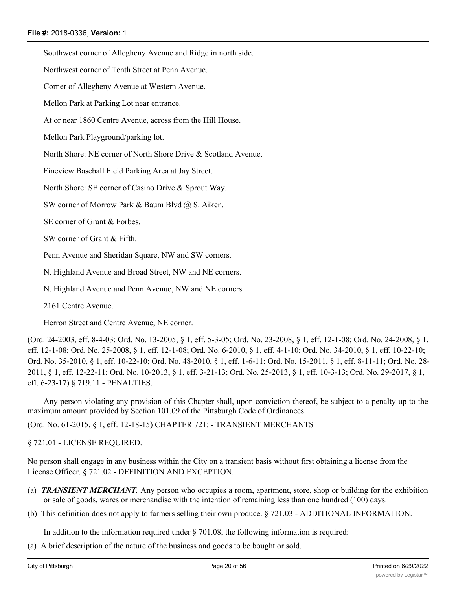Southwest corner of Allegheny Avenue and Ridge in north side.

Northwest corner of Tenth Street at Penn Avenue.

Corner of Allegheny Avenue at Western Avenue.

Mellon Park at Parking Lot near entrance.

At or near 1860 Centre Avenue, across from the Hill House.

Mellon Park Playground/parking lot.

North Shore: NE corner of North Shore Drive & Scotland Avenue.

Fineview Baseball Field Parking Area at Jay Street.

North Shore: SE corner of Casino Drive & Sprout Way.

SW corner of Morrow Park & Baum Blvd @ S. Aiken.

SE corner of Grant & Forbes.

SW corner of Grant & Fifth.

Penn Avenue and Sheridan Square, NW and SW corners.

N. Highland Avenue and Broad Street, NW and NE corners.

N. Highland Avenue and Penn Avenue, NW and NE corners.

2161 Centre Avenue.

Herron Street and Centre Avenue, NE corner.

(Ord. 24-2003, eff. 8-4-03; Ord. No. 13-2005, § 1, eff. 5-3-05; Ord. No. 23-2008, § 1, eff. 12-1-08; Ord. No. 24-2008, § 1, eff. 12-1-08; Ord. No. 25-2008, § 1, eff. 12-1-08; Ord. No. 6-2010, § 1, eff. 4-1-10; Ord. No. 34-2010, § 1, eff. 10-22-10; Ord. No. 35-2010, § 1, eff. 10-22-10; Ord. No. 48-2010, § 1, eff. 1-6-11; Ord. No. 15-2011, § 1, eff. 8-11-11; Ord. No. 28- 2011, § 1, eff. 12-22-11; Ord. No. 10-2013, § 1, eff. 3-21-13; Ord. No. 25-2013, § 1, eff. 10-3-13; Ord. No. 29-2017, § 1, eff. 6-23-17) § 719.11 - PENALTIES.

Any person violating any provision of this Chapter shall, upon conviction thereof, be subject to a penalty up to the maximum amount provided by Section 101.09 of the Pittsburgh Code of Ordinances.

(Ord. No. 61-2015, § 1, eff. 12-18-15) CHAPTER 721: - TRANSIENT MERCHANTS

§ 721.01 - LICENSE REQUIRED.

No person shall engage in any business within the City on a transient basis without first obtaining a license from the License Officer. § 721.02 - DEFINITION AND EXCEPTION.

- (a) *TRANSIENT MERCHANT.* Any person who occupies a room, apartment, store, shop or building for the exhibition or sale of goods, wares or merchandise with the intention of remaining less than one hundred (100) days.
- (b) This definition does not apply to farmers selling their own produce. § 721.03 ADDITIONAL INFORMATION.

In addition to the information required under  $\S$  701.08, the following information is required:

(a) A brief description of the nature of the business and goods to be bought or sold.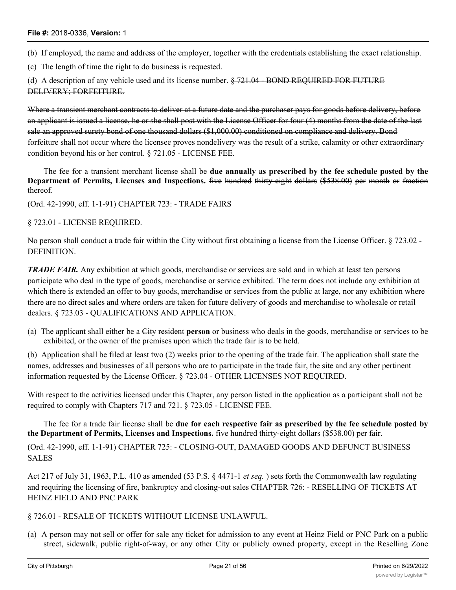(b) If employed, the name and address of the employer, together with the credentials establishing the exact relationship.

(c) The length of time the right to do business is requested.

(d) A description of any vehicle used and its license number. § 721.04 - BOND REQUIRED FOR FUTURE DELIVERY; FORFEITURE.

Where a transient merchant contracts to deliver at a future date and the purchaser pays for goods before delivery, before an applicant is issued a license, he or she shall post with the License Officer for four (4) months from the date of the last sale an approved surety bond of one thousand dollars (\$1,000.00) conditioned on compliance and delivery. Bond forfeiture shall not occur where the licensee proves nondelivery was the result of a strike, calamity or other extraordinary condition beyond his or her control. § 721.05 - LICENSE FEE.

The fee for a transient merchant license shall be **due annually as prescribed by the fee schedule posted by the Department of Permits, Licenses and Inspections.** five hundred thirty-eight dollars (\$538.00) per month or fraction thereof.

(Ord. 42-1990, eff. 1-1-91) CHAPTER 723: - TRADE FAIRS

#### § 723.01 - LICENSE REQUIRED.

No person shall conduct a trade fair within the City without first obtaining a license from the License Officer. § 723.02 - DEFINITION.

*TRADE FAIR.* Any exhibition at which goods, merchandise or services are sold and in which at least ten persons participate who deal in the type of goods, merchandise or service exhibited. The term does not include any exhibition at which there is extended an offer to buy goods, merchandise or services from the public at large, nor any exhibition where there are no direct sales and where orders are taken for future delivery of goods and merchandise to wholesale or retail dealers. § 723.03 - QUALIFICATIONS AND APPLICATION.

(a) The applicant shall either be a City resident **person** or business who deals in the goods, merchandise or services to be exhibited, or the owner of the premises upon which the trade fair is to be held.

(b) Application shall be filed at least two (2) weeks prior to the opening of the trade fair. The application shall state the names, addresses and businesses of all persons who are to participate in the trade fair, the site and any other pertinent information requested by the License Officer. § 723.04 - OTHER LICENSES NOT REQUIRED.

With respect to the activities licensed under this Chapter, any person listed in the application as a participant shall not be required to comply with Chapters 717 and 721. § 723.05 - LICENSE FEE.

The fee for a trade fair license shall be **due for each respective fair as prescribed by the fee schedule posted by the Department of Permits, Licenses and Inspections.** five hundred thirty-eight dollars (\$538.00) per fair.

(Ord. 42-1990, eff. 1-1-91) CHAPTER 725: - CLOSING-OUT, DAMAGED GOODS AND DEFUNCT BUSINESS SALES

Act 217 of July 31, 1963, P.L. 410 as amended (53 P.S. § 4471-1 *et seq.* ) sets forth the Commonwealth law regulating and requiring the licensing of fire, bankruptcy and closing-out sales CHAPTER 726: - RESELLING OF TICKETS AT HEINZ FIELD AND PNC PARK

# § 726.01 - RESALE OF TICKETS WITHOUT LICENSE UNLAWFUL.

(a) A person may not sell or offer for sale any ticket for admission to any event at Heinz Field or PNC Park on a public street, sidewalk, public right-of-way, or any other City or publicly owned property, except in the Reselling Zone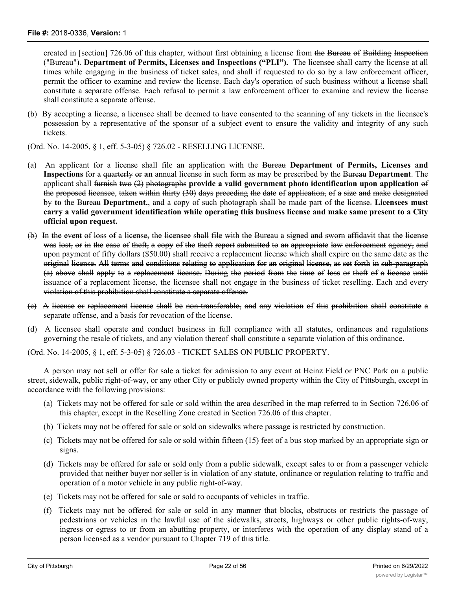created in [section] 726.06 of this chapter, without first obtaining a license from the Bureau of Building Inspection ("Bureau"). **Department of Permits, Licenses and Inspections ("PLI").** The licensee shall carry the license at all times while engaging in the business of ticket sales, and shall if requested to do so by a law enforcement officer, permit the officer to examine and review the license. Each day's operation of such business without a license shall constitute a separate offense. Each refusal to permit a law enforcement officer to examine and review the license shall constitute a separate offense.

(b) By accepting a license, a licensee shall be deemed to have consented to the scanning of any tickets in the licensee's possession by a representative of the sponsor of a subject event to ensure the validity and integrity of any such tickets.

(Ord. No. 14-2005, § 1, eff. 5-3-05) § 726.02 - RESELLING LICENSE.

- (a) An applicant for a license shall file an application with the Bureau **Department of Permits, Licenses and Inspections** for a quarterly or **an** annual license in such form as may be prescribed by the Bureau **Department**. The applicant shall furnish two (2) photographs **provide a valid government photo identification upon application** of the proposed licensee, taken within thirty (30) days preceding the date of application, of a size and make designated by **to** the Bureau **Department.**, and a copy of such photograph shall be made part of the license. **Licensees must** carry a valid government identification while operating this business license and make same present to a City **official upon request.**
- (b) In the event of loss of a license, the licensee shall file with the Bureau a signed and sworn affidavit that the license was lost, or in the case of theft, a copy of the theft report submitted to an appropriate law enforcement agency, and upon payment of fifty dollars (\$50.00) shall receive a replacement license which shall expire on the same date as the original license. All terms and conditions relating to application for an original license, as set forth in sub-paragraph (a) above shall apply to a replacement license. During the period from the time of loss or theft of a license until issuance of a replacement license, the licensee shall not engage in the business of ticket reselling. Each and every violation of this prohibition shall constitute a separate offense.
- (c) A license or replacement license shall be non-transferable, and any violation of this prohibition shall constitute a separate offense, and a basis for revocation of the license.
- (d) A licensee shall operate and conduct business in full compliance with all statutes, ordinances and regulations governing the resale of tickets, and any violation thereof shall constitute a separate violation of this ordinance.

(Ord. No. 14-2005, § 1, eff. 5-3-05) § 726.03 - TICKET SALES ON PUBLIC PROPERTY.

A person may not sell or offer for sale a ticket for admission to any event at Heinz Field or PNC Park on a public street, sidewalk, public right-of-way, or any other City or publicly owned property within the City of Pittsburgh, except in accordance with the following provisions:

- (a) Tickets may not be offered for sale or sold within the area described in the map referred to in Section 726.06 of this chapter, except in the Reselling Zone created in Section 726.06 of this chapter.
- (b) Tickets may not be offered for sale or sold on sidewalks where passage is restricted by construction.
- (c) Tickets may not be offered for sale or sold within fifteen (15) feet of a bus stop marked by an appropriate sign or signs.
- (d) Tickets may be offered for sale or sold only from a public sidewalk, except sales to or from a passenger vehicle provided that neither buyer nor seller is in violation of any statute, ordinance or regulation relating to traffic and operation of a motor vehicle in any public right-of-way.
- (e) Tickets may not be offered for sale or sold to occupants of vehicles in traffic.
- (f) Tickets may not be offered for sale or sold in any manner that blocks, obstructs or restricts the passage of pedestrians or vehicles in the lawful use of the sidewalks, streets, highways or other public rights-of-way, ingress or egress to or from an abutting property, or interferes with the operation of any display stand of a person licensed as a vendor pursuant to Chapter 719 of this title.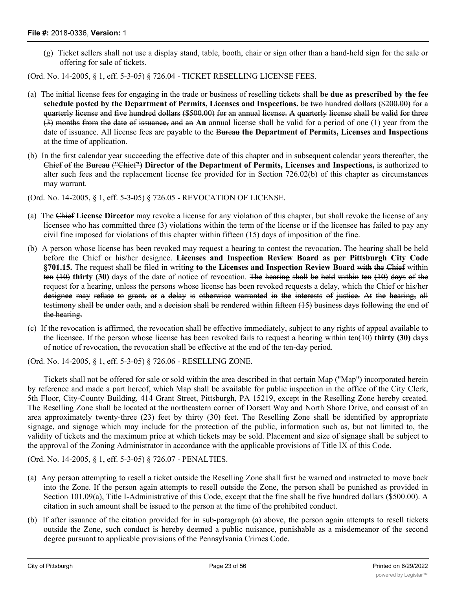(g) Ticket sellers shall not use a display stand, table, booth, chair or sign other than a hand-held sign for the sale or offering for sale of tickets.

(Ord. No. 14-2005, § 1, eff. 5-3-05) § 726.04 - TICKET RESELLING LICENSE FEES.

- (a) The initial license fees for engaging in the trade or business of reselling tickets shall **be due as prescribed by the fee schedule posted by the Department of Permits, Licenses and Inspections.** be two hundred dollars (\$200.00) for a quarterly license and five hundred dollars (\$500.00) for an annual license. A quarterly license shall be valid for three (3) months from the date of issuance, and an **An** annual license shall be valid for a period of one (1) year from the date of issuance. All license fees are payable to the Bureau **the Department of Permits, Licenses and Inspections** at the time of application.
- (b) In the first calendar year succeeding the effective date of this chapter and in subsequent calendar years thereafter, the Chief of the Bureau ("Chief") **Director of the Department of Permits, Licenses and Inspections,** is authorized to alter such fees and the replacement license fee provided for in Section 726.02(b) of this chapter as circumstances may warrant.
- (Ord. No. 14-2005, § 1, eff. 5-3-05) § 726.05 REVOCATION OF LICENSE.
- (a) The Chief **License Director** may revoke a license for any violation of this chapter, but shall revoke the license of any licensee who has committed three (3) violations within the term of the license or if the licensee has failed to pay any civil fine imposed for violations of this chapter within fifteen (15) days of imposition of the fine.
- (b) A person whose license has been revoked may request a hearing to contest the revocation. The hearing shall be held before the Chief or his/her designee. **Licenses and Inspection Review Board as per Pittsburgh City Code §701.15.** The request shall be filed in writing **to the Licenses and Inspection Review Board** with the Chief within ten (10) **thirty (30)** days of the date of notice of revocation. The hearing shall be held within ten (10) days of the request for a hearing, unless the persons whose license has been revoked requests a delay, which the Chief or his/her designee may refuse to grant, or a delay is otherwise warranted in the interests of justice. At the hearing, all testimony shall be under oath, and a decision shall be rendered within fifteen (15) business days following the end of the hearing.
- (c) If the revocation is affirmed, the revocation shall be effective immediately, subject to any rights of appeal available to the licensee. If the person whose license has been revoked fails to request a hearing within ten(10) **thirty (30)** days of notice of revocation, the revocation shall be effective at the end of the ten-day period.

(Ord. No. 14-2005, § 1, eff. 5-3-05) § 726.06 - RESELLING ZONE.

Tickets shall not be offered for sale or sold within the area described in that certain Map ("Map") incorporated herein by reference and made a part hereof, which Map shall be available for public inspection in the office of the City Clerk, 5th Floor, City-County Building, 414 Grant Street, Pittsburgh, PA 15219, except in the Reselling Zone hereby created. The Reselling Zone shall be located at the northeastern corner of Dorsett Way and North Shore Drive, and consist of an area approximately twenty-three (23) feet by thirty (30) feet. The Reselling Zone shall be identified by appropriate signage, and signage which may include for the protection of the public, information such as, but not limited to, the validity of tickets and the maximum price at which tickets may be sold. Placement and size of signage shall be subject to the approval of the Zoning Administrator in accordance with the applicable provisions of Title IX of this Code.

(Ord. No. 14-2005, § 1, eff. 5-3-05) § 726.07 - PENALTIES.

- (a) Any person attempting to resell a ticket outside the Reselling Zone shall first be warned and instructed to move back into the Zone. If the person again attempts to resell outside the Zone, the person shall be punished as provided in Section 101.09(a), Title I-Administrative of this Code, except that the fine shall be five hundred dollars (\$500.00). A citation in such amount shall be issued to the person at the time of the prohibited conduct.
- (b) If after issuance of the citation provided for in sub-paragraph (a) above, the person again attempts to resell tickets outside the Zone, such conduct is hereby deemed a public nuisance, punishable as a misdemeanor of the second degree pursuant to applicable provisions of the Pennsylvania Crimes Code.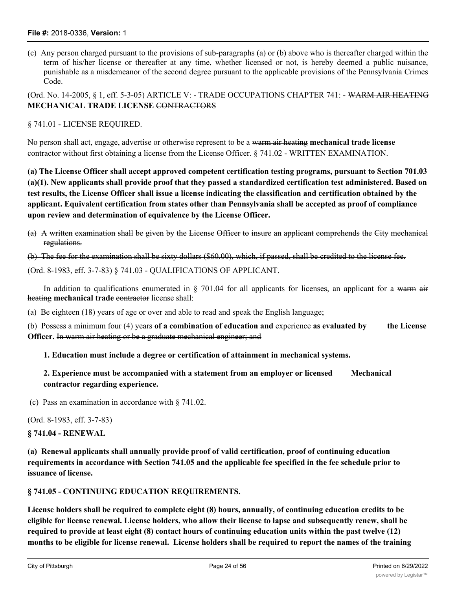(c) Any person charged pursuant to the provisions of sub-paragraphs (a) or (b) above who is thereafter charged within the term of his/her license or thereafter at any time, whether licensed or not, is hereby deemed a public nuisance, punishable as a misdemeanor of the second degree pursuant to the applicable provisions of the Pennsylvania Crimes Code.

(Ord. No. 14-2005, § 1, eff. 5-3-05) ARTICLE V: - TRADE OCCUPATIONS CHAPTER 741: - WARM AIR HEATING **MECHANICAL TRADE LICENSE** CONTRACTORS

§ 741.01 - LICENSE REQUIRED.

No person shall act, engage, advertise or otherwise represent to be a warm air heating **mechanical trade license** contractor without first obtaining a license from the License Officer. § 741.02 - WRITTEN EXAMINATION.

**(a) The License Officer shall accept approved competent certification testing programs, pursuant to Section 701.03 (a)(1). New applicants shall provide proof that they passed a standardized certification test administered. Based on test results, the License Officer shall issue a license indicating the classification and certification obtained by the applicant. Equivalent certification from states other than Pennsylvania shall be accepted as proof of compliance upon review and determination of equivalence by the License Officer.**

(a) A written examination shall be given by the License Officer to insure an applicant comprehends the City mechanical regulations.

(b) The fee for the examination shall be sixty dollars (\$60.00), which, if passed, shall be credited to the license fee.

(Ord. 8-1983, eff. 3-7-83) § 741.03 - QUALIFICATIONS OF APPLICANT.

In addition to qualifications enumerated in  $\S$  701.04 for all applicants for licenses, an applicant for a warm air heating **mechanical trade** contractor license shall:

(a) Be eighteen  $(18)$  years of age or over and able to read and speak the English language;

(b) Possess a minimum four (4) years **of a combination of education and** experience **as evaluated by the License Officer.** In warm air heating or be a graduate mechanical engineer; and

**1. Education must include a degree or certification of attainment in mechanical systems.**

**2. Experience must be accompanied with a statement from an employer or licensed Mechanical contractor regarding experience.**

(c) Pass an examination in accordance with § 741.02.

(Ord. 8-1983, eff. 3-7-83)

**§ 741.04 - RENEWAL**

**(a) Renewal applicants shall annually provide proof of valid certification, proof of continuing education requirements in accordance with Section 741.05 and the applicable fee specified in the fee schedule prior to issuance of license.**

**§ 741.05 - CONTINUING EDUCATION REQUIREMENTS.**

**License holders shall be required to complete eight (8) hours, annually, of continuing education credits to be eligible for license renewal. License holders, who allow their license to lapse and subsequently renew, shall be required to provide at least eight (8) contact hours of continuing education units within the past twelve (12) months to be eligible for license renewal. License holders shall be required to report the names of the training**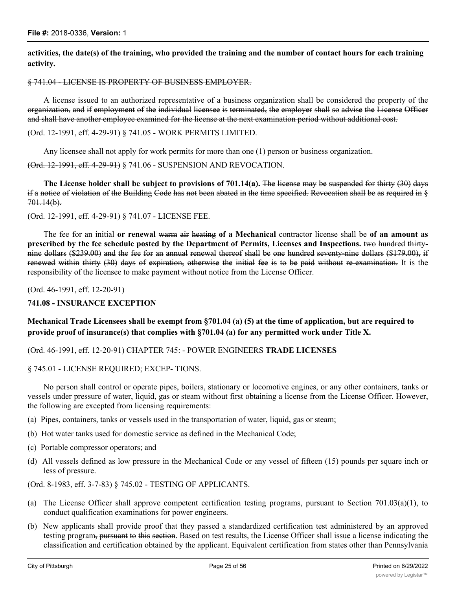**activities, the date(s) of the training, who provided the training and the number of contact hours for each training activity.**

#### § 741.04 - LICENSE IS PROPERTY OF BUSINESS EMPLOYER.

A license issued to an authorized representative of a business organization shall be considered the property of the organization, and if employment of the individual licensee is terminated, the employer shall so advise the License Officer and shall have another employee examined for the license at the next examination period without additional cost.

#### (Ord. 12-1991, eff. 4-29-91) § 741.05 - WORK PERMITS LIMITED.

Any licensee shall not apply for work permits for more than one (1) person or business organization.

(Ord. 12-1991, eff. 4-29-91) § 741.06 - SUSPENSION AND REVOCATION.

**The License holder shall be subject to provisions of 701.14(a).** The license may be suspended for thirty (30) days if a notice of violation of the Building Code has not been abated in the time specified. Revocation shall be as required in § 701.14(b).

#### (Ord. 12-1991, eff. 4-29-91) § 741.07 - LICENSE FEE.

The fee for an initial **or renewal** warm air heating **of a Mechanical** contractor license shall be **of an amount as prescribed by the fee schedule posted by the Department of Permits, Licenses and Inspections.** two hundred thirtynine dollars (\$239.00) and the fee for an annual renewal thereof shall be one hundred seventy-nine dollars (\$179.00), if renewed within thirty (30) days of expiration, otherwise the initial fee is to be paid without re-examination. It is the responsibility of the licensee to make payment without notice from the License Officer.

(Ord. 46-1991, eff. 12-20-91)

# **741.08 - INSURANCE EXCEPTION**

# **Mechanical Trade Licensees shall be exempt from §701.04 (a) (5) at the time of application, but are required to provide proof of insurance(s) that complies with §701.04 (a) for any permitted work under Title X.**

(Ord. 46-1991, eff. 12-20-91) CHAPTER 745: - POWER ENGINEERS **TRADE LICENSES**

#### § 745.01 - LICENSE REQUIRED; EXCEP- TIONS.

No person shall control or operate pipes, boilers, stationary or locomotive engines, or any other containers, tanks or vessels under pressure of water, liquid, gas or steam without first obtaining a license from the License Officer. However, the following are excepted from licensing requirements:

- (a) Pipes, containers, tanks or vessels used in the transportation of water, liquid, gas or steam;
- (b) Hot water tanks used for domestic service as defined in the Mechanical Code;
- (c) Portable compressor operators; and
- (d) All vessels defined as low pressure in the Mechanical Code or any vessel of fifteen (15) pounds per square inch or less of pressure.

(Ord. 8-1983, eff. 3-7-83) § 745.02 - TESTING OF APPLICANTS.

- (a) The License Officer shall approve competent certification testing programs, pursuant to Section 701.03(a)(1), to conduct qualification examinations for power engineers.
- (b) New applicants shall provide proof that they passed a standardized certification test administered by an approved testing program, pursuant to this section. Based on test results, the License Officer shall issue a license indicating the classification and certification obtained by the applicant. Equivalent certification from states other than Pennsylvania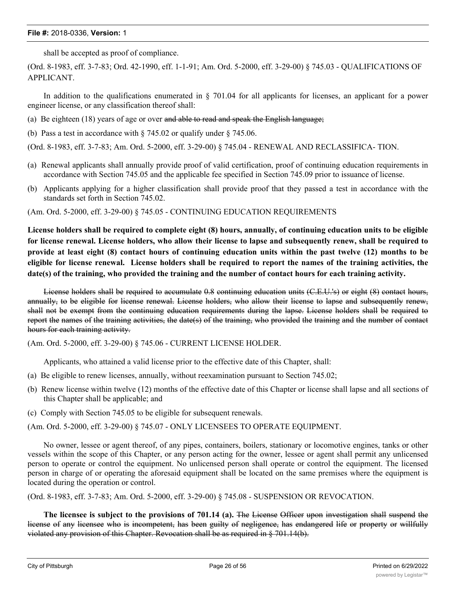shall be accepted as proof of compliance.

(Ord. 8-1983, eff. 3-7-83; Ord. 42-1990, eff. 1-1-91; Am. Ord. 5-2000, eff. 3-29-00) § 745.03 - QUALIFICATIONS OF APPLICANT.

In addition to the qualifications enumerated in § 701.04 for all applicants for licenses, an applicant for a power engineer license, or any classification thereof shall:

- (a) Be eighteen  $(18)$  years of age or over and able to read and speak the English language;
- (b) Pass a test in accordance with § 745.02 or qualify under § 745.06.

(Ord. 8-1983, eff. 3-7-83; Am. Ord. 5-2000, eff. 3-29-00) § 745.04 - RENEWAL AND RECLASSIFICA- TION.

- (a) Renewal applicants shall annually provide proof of valid certification, proof of continuing education requirements in accordance with Section 745.05 and the applicable fee specified in Section 745.09 prior to issuance of license.
- (b) Applicants applying for a higher classification shall provide proof that they passed a test in accordance with the standards set forth in Section 745.02.

(Am. Ord. 5-2000, eff. 3-29-00) § 745.05 - CONTINUING EDUCATION REQUIREMENTS

License holders shall be required to complete eight (8) hours, annually, of continuing education units to be eligible for license renewal. License holders, who allow their license to lapse and subsequently renew, shall be required to provide at least eight (8) contact hours of continuing education units within the past twelve (12) months to be eligible for license renewal. License holders shall be required to report the names of the training activities, the **date(s) of the training, who provided the training and the number of contact hours for each training activity.**

License holders shall be required to accumulate 0.8 continuing education units (C.E.U.'s) or eight (8) contact hours, annually, to be eligible for license renewal. License holders, who allow their license to lapse and subsequently renew, shall not be exempt from the continuing education requirements during the lapse. License holders shall be required to report the names of the training activities, the date(s) of the training, who provided the training and the number of contact hours for each training activity.

(Am. Ord. 5-2000, eff. 3-29-00) § 745.06 - CURRENT LICENSE HOLDER.

Applicants, who attained a valid license prior to the effective date of this Chapter, shall:

- (a) Be eligible to renew licenses, annually, without reexamination pursuant to Section 745.02;
- (b) Renew license within twelve (12) months of the effective date of this Chapter or license shall lapse and all sections of this Chapter shall be applicable; and
- (c) Comply with Section 745.05 to be eligible for subsequent renewals.

(Am. Ord. 5-2000, eff. 3-29-00) § 745.07 - ONLY LICENSEES TO OPERATE EQUIPMENT.

No owner, lessee or agent thereof, of any pipes, containers, boilers, stationary or locomotive engines, tanks or other vessels within the scope of this Chapter, or any person acting for the owner, lessee or agent shall permit any unlicensed person to operate or control the equipment. No unlicensed person shall operate or control the equipment. The licensed person in charge of or operating the aforesaid equipment shall be located on the same premises where the equipment is located during the operation or control.

(Ord. 8-1983, eff. 3-7-83; Am. Ord. 5-2000, eff. 3-29-00) § 745.08 - SUSPENSION OR REVOCATION.

**The licensee is subject to the provisions of 701.14 (a).** The License Officer upon investigation shall suspend the license of any licensee who is incompetent, has been guilty of negligence, has endangered life or property or willfully violated any provision of this Chapter. Revocation shall be as required in § 701.14(b).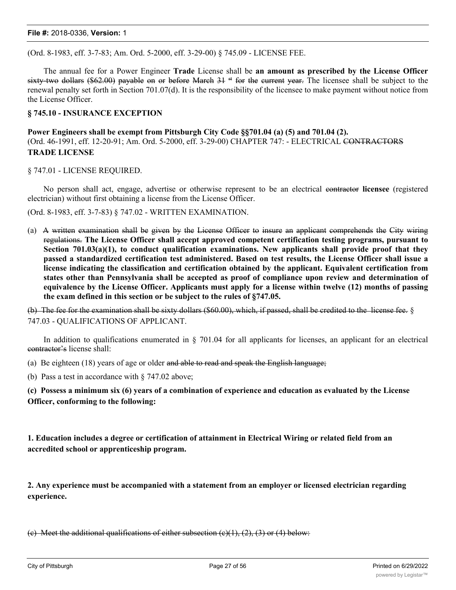(Ord. 8-1983, eff. 3-7-83; Am. Ord. 5-2000, eff. 3-29-00) § 745.09 - LICENSE FEE.

The annual fee for a Power Engineer **Trade** License shall be **an amount as prescribed by the License Officer** sixty-two dollars (\$62.00) payable on or before March  $31$  <sup>st</sup> for the current year. The licensee shall be subject to the renewal penalty set forth in Section 701.07(d). It is the responsibility of the licensee to make payment without notice from the License Officer.

#### **§ 745.10 - INSURANCE EXCEPTION**

**Power Engineers shall be exempt from Pittsburgh City Code §§701.04 (a) (5) and 701.04 (2).** (Ord. 46-1991, eff. 12-20-91; Am. Ord. 5-2000, eff. 3-29-00) CHAPTER 747: - ELECTRICAL CONTRACTORS **TRADE LICENSE**

§ 747.01 - LICENSE REQUIRED.

No person shall act, engage, advertise or otherwise represent to be an electrical contractor **licensee** (registered electrician) without first obtaining a license from the License Officer.

(Ord. 8-1983, eff. 3-7-83) § 747.02 - WRITTEN EXAMINATION.

(a) A written examination shall be given by the License Officer to insure an applicant comprehends the City wiring regulations. **The License Officer shall accept approved competent certification testing programs, pursuant to Section 701.03(a)(1), to conduct qualification examinations. New applicants shall provide proof that they passed a standardized certification test administered. Based on test results, the License Officer shall issue a license indicating the classification and certification obtained by the applicant. Equivalent certification from states other than Pennsylvania shall be accepted as proof of compliance upon review and determination of** equivalence by the License Officer. Applicants must apply for a license within twelve (12) months of passing **the exam defined in this section or be subject to the rules of §747.05.**

(b) The fee for the examination shall be sixty dollars (\$60.00), which, if passed, shall be credited to the license fee. § 747.03 - QUALIFICATIONS OF APPLICANT.

In addition to qualifications enumerated in  $\S$  701.04 for all applicants for licenses, an applicant for an electrical contractor's license shall:

(a) Be eighteen  $(18)$  years of age or older and able to read and speak the English language;

(b) Pass a test in accordance with § 747.02 above;

**(c) Possess a minimum six (6) years of a combination of experience and education as evaluated by the License Officer, conforming to the following:**

**1. Education includes a degree or certification of attainment in Electrical Wiring or related field from an accredited school or apprenticeship program.**

**2. Any experience must be accompanied with a statement from an employer or licensed electrician regarding experience.**

(e) Meet the additional qualifications of either subsection  $(e)(1), (2), (3)$  or (4) below: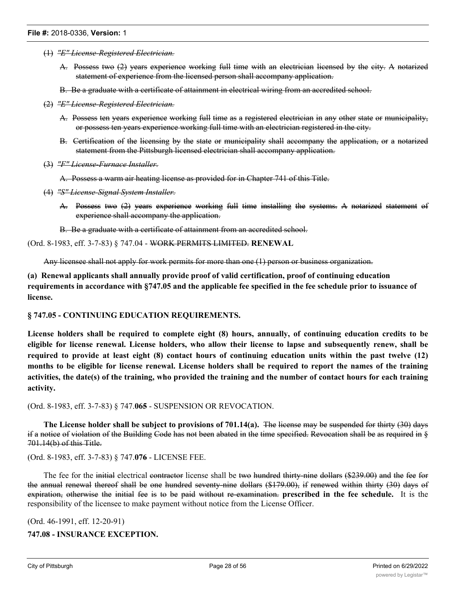- (1) *"E" License-Registered Electrician.*
	- A. Possess two (2) years experience working full time with an electrician licensed by the city. A notarized statement of experience from the licensed person shall accompany application.
	- B. Be a graduate with a certificate of attainment in electrical wiring from an accredited school.
- (2) *"E" License-Registered Electrician.*
	- A. Possess ten years experience working full time as a registered electrician in any other state or municipality, or possess ten years experience working full time with an electrician registered in the city.
	- B. Certification of the licensing by the state or municipality shall accompany the application, or a notarized statement from the Pittsburgh licensed electrician shall accompany application.
- (3) *"F" License-Furnace Installer.*

A. Possess a warm air heating license as provided for in Chapter 741 of this Title.

- (4) *"S" License-Signal System Installer.*
	- A. Possess two (2) years experience working full time installing the systems. A notarized statement of experience shall accompany the application.

B. Be a graduate with a certificate of attainment from an accredited school.

#### (Ord. 8-1983, eff. 3-7-83) § 747.04 - WORK PERMITS LIMITED. **RENEWAL**

Any licensee shall not apply for work permits for more than one (1) person or business organization.

**(a) Renewal applicants shall annually provide proof of valid certification, proof of continuing education requirements in accordance with §747.05 and the applicable fee specified in the fee schedule prior to issuance of license.**

#### **§ 747.05 - CONTINUING EDUCATION REQUIREMENTS.**

License holders shall be required to complete eight (8) hours, annually, of continuing education credits to be eligible for license renewal. License holders, who allow their license to lapse and subsequently renew, shall be required to provide at least eight (8) contact hours of continuing education units within the past twelve (12) months to be eligible for license renewal. License holders shall be required to report the names of the training activities, the date(s) of the training, who provided the training and the number of contact hours for each training **activity.**

(Ord. 8-1983, eff. 3-7-83) § 747.**065** - SUSPENSION OR REVOCATION.

**The License holder shall be subject to provisions of 701.14(a).** The license may be suspended for thirty (30) days if a notice of violation of the Building Code has not been abated in the time specified. Revocation shall be as required in § 701.14(b) of this Title.

(Ord. 8-1983, eff. 3-7-83) § 747.**076** - LICENSE FEE.

The fee for the initial electrical contractor license shall be two hundred thirty-nine dollars (\$239.00) and the fee for the annual renewal thereof shall be one hundred seventy-nine dollars (\$179.00), if renewed within thirty (30) days of expiration, otherwise the initial fee is to be paid without re-examination. **prescribed in the fee schedule.** It is the responsibility of the licensee to make payment without notice from the License Officer.

(Ord. 46-1991, eff. 12-20-91)

**747.08 - INSURANCE EXCEPTION.**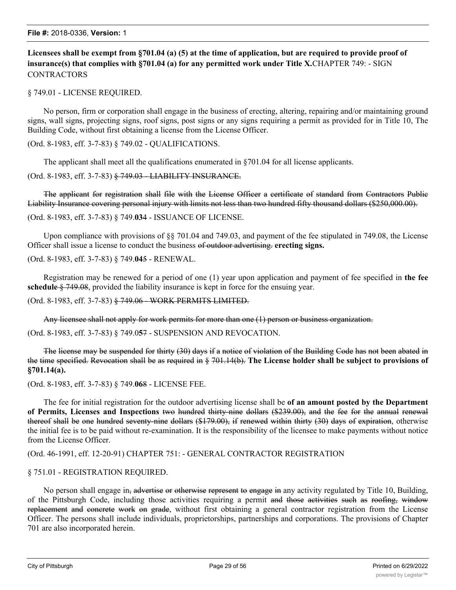**Licensees shall be exempt from §701.04 (a) (5) at the time of application, but are required to provide proof of insurance(s) that complies with §701.04 (a) for any permitted work under Title X.**CHAPTER 749: - SIGN **CONTRACTORS** 

§ 749.01 - LICENSE REQUIRED.

No person, firm or corporation shall engage in the business of erecting, altering, repairing and/or maintaining ground signs, wall signs, projecting signs, roof signs, post signs or any signs requiring a permit as provided for in Title 10, The Building Code, without first obtaining a license from the License Officer.

(Ord. 8-1983, eff. 3-7-83) § 749.02 - QUALIFICATIONS.

The applicant shall meet all the qualifications enumerated in §701.04 for all license applicants.

(Ord. 8-1983, eff. 3-7-83) § 749.03 - LIABILITY INSURANCE.

The applicant for registration shall file with the License Officer a certificate of standard from Contractors Public Liability Insurance covering personal injury with limits not less than two hundred fifty thousand dollars (\$250,000.00).

(Ord. 8-1983, eff. 3-7-83) § 749.**03**4 - ISSUANCE OF LICENSE.

Upon compliance with provisions of §§ 701.04 and 749.03, and payment of the fee stipulated in 749.08, the License Officer shall issue a license to conduct the business of outdoor advertising. **erecting signs.**

(Ord. 8-1983, eff. 3-7-83) § 749.**04**5 - RENEWAL.

Registration may be renewed for a period of one (1) year upon application and payment of fee specified in **the fee schedule** § 749.08, provided the liability insurance is kept in force for the ensuing year.

(Ord. 8-1983, eff. 3-7-83) § 749.06 - WORK PERMITS LIMITED.

Any licensee shall not apply for work permits for more than one (1) person or business organization.

(Ord. 8-1983, eff. 3-7-83) § 749.0**5**7 - SUSPENSION AND REVOCATION.

The license may be suspended for thirty (30) days if a notice of violation of the Building Code has not been abated in the time specified. Revocation shall be as required in § 701.14(b). **The License holder shall be subject to provisions of §701.14(a).**

(Ord. 8-1983, eff. 3-7-83) § 749.**06**8 - LICENSE FEE.

The fee for initial registration for the outdoor advertising license shall be **of an amount posted by the Department of Permits, Licenses and Inspections** two hundred thirty-nine dollars (\$239.00), and the fee for the annual renewal thereof shall be one hundred seventy-nine dollars (\$179.00), if renewed within thirty (30) days of expiration, otherwise the initial fee is to be paid without re-examination. It is the responsibility of the licensee to make payments without notice from the License Officer.

(Ord. 46-1991, eff. 12-20-91) CHAPTER 751: - GENERAL CONTRACTOR REGISTRATION

#### § 751.01 - REGISTRATION REQUIRED.

No person shall engage in, advertise or otherwise represent to engage in any activity regulated by Title 10, Building, of the Pittsburgh Code, including those activities requiring a permit and those activities such as roofing, window replacement and concrete work on grade, without first obtaining a general contractor registration from the License Officer. The persons shall include individuals, proprietorships, partnerships and corporations. The provisions of Chapter 701 are also incorporated herein.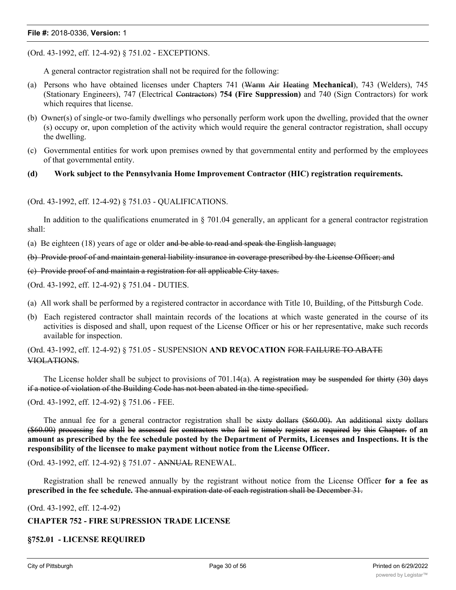(Ord. 43-1992, eff. 12-4-92) § 751.02 - EXCEPTIONS.

A general contractor registration shall not be required for the following:

- (a) Persons who have obtained licenses under Chapters 741 (Warm Air Heating **Mechanical**), 743 (Welders), 745 (Stationary Engineers), 747 (Electrical Contractors) **754 (Fire Suppression)** and 740 (Sign Contractors) for work which requires that license.
- (b) Owner(s) of single-or two-family dwellings who personally perform work upon the dwelling, provided that the owner (s) occupy or, upon completion of the activity which would require the general contractor registration, shall occupy the dwelling.
- (c) Governmental entities for work upon premises owned by that governmental entity and performed by the employees of that governmental entity.

#### **(d) Work subject to the Pennsylvania Home Improvement Contractor (HIC) registration requirements.**

(Ord. 43-1992, eff. 12-4-92) § 751.03 - QUALIFICATIONS.

In addition to the qualifications enumerated in  $\S$  701.04 generally, an applicant for a general contractor registration shall:

(a) Be eighteen  $(18)$  years of age or older and be able to read and speak the English language;

(b) Provide proof of and maintain general liability insurance in coverage prescribed by the License Officer; and

(c) Provide proof of and maintain a registration for all applicable City taxes.

(Ord. 43-1992, eff. 12-4-92) § 751.04 - DUTIES.

- (a) All work shall be performed by a registered contractor in accordance with Title 10, Building, of the Pittsburgh Code.
- (b) Each registered contractor shall maintain records of the locations at which waste generated in the course of its activities is disposed and shall, upon request of the License Officer or his or her representative, make such records available for inspection.

(Ord. 43-1992, eff. 12-4-92) § 751.05 - SUSPENSION **AND REVOCATION** FOR FAILURE TO ABATE VIOLATIONS.

The License holder shall be subject to provisions of 701.14(a). A registration may be suspended for thirty  $(30)$  days if a notice of violation of the Building Code has not been abated in the time specified.

(Ord. 43-1992, eff. 12-4-92) § 751.06 - FEE.

The annual fee for a general contractor registration shall be sixty dollars (\$60.00). An additional sixty dollars (\$60.00) processing fee shall be assessed for contractors who fail to timely register as required by this Chapter. **of an** amount as prescribed by the fee schedule posted by the Department of Permits, Licenses and Inspections. It is the **responsibility of the licensee to make payment without notice from the License Officer.**

(Ord. 43-1992, eff. 12-4-92) § 751.07 - ANNUAL RENEWAL.

Registration shall be renewed annually by the registrant without notice from the License Officer **for a fee as prescribed in the fee schedule.** The annual expiration date of each registration shall be December 31.

(Ord. 43-1992, eff. 12-4-92)

#### **CHAPTER 752 - FIRE SUPRESSION TRADE LICENSE**

#### **§752.01 - LICENSE REQUIRED**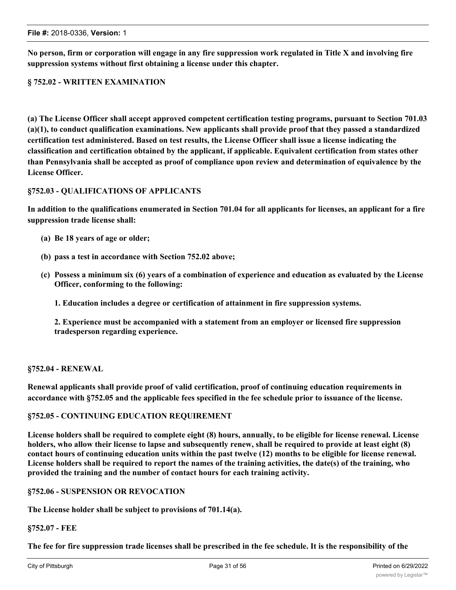**§ 752.02 - WRITTEN EXAMINATION**

**(a) The License Officer shall accept approved competent certification testing programs, pursuant to Section 701.03 (a)(1), to conduct qualification examinations. New applicants shall provide proof that they passed a standardized certification test administered. Based on test results, the License Officer shall issue a license indicating the**

**No person, firm or corporation will engage in any fire suppression work regulated in Title X and involving fire**

**classification and certification obtained by the applicant, if applicable. Equivalent certification from states other than Pennsylvania shall be accepted as proof of compliance upon review and determination of equivalence by the License Officer.**

# **§752.03 - QUALIFICATIONS OF APPLICANTS**

**In addition to the qualifications enumerated in Section 701.04 for all applicants for licenses, an applicant for a fire suppression trade license shall:**

- **(a) Be 18 years of age or older;**
- **(b) pass a test in accordance with Section 752.02 above;**

**suppression systems without first obtaining a license under this chapter.**

- **(c) Possess a minimum six (6) years of a combination of experience and education as evaluated by the License Officer, conforming to the following:**
	- **1. Education includes a degree or certification of attainment in fire suppression systems.**

**2. Experience must be accompanied with a statement from an employer or licensed fire suppression tradesperson regarding experience.**

#### **§752.04 - RENEWAL**

**Renewal applicants shall provide proof of valid certification, proof of continuing education requirements in accordance with §752.05 and the applicable fees specified in the fee schedule prior to issuance of the license.**

#### **§752.05 - CONTINUING EDUCATION REQUIREMENT**

**License holders shall be required to complete eight (8) hours, annually, to be eligible for license renewal. License holders, who allow their license to lapse and subsequently renew, shall be required to provide at least eight (8) contact hours of continuing education units within the past twelve (12) months to be eligible for license renewal. License holders shall be required to report the names of the training activities, the date(s) of the training, who provided the training and the number of contact hours for each training activity.**

#### **§752.06 - SUSPENSION OR REVOCATION**

**The License holder shall be subject to provisions of 701.14(a).**

#### **§752.07 - FEE**

**The fee for fire suppression trade licenses shall be prescribed in the fee schedule. It is the responsibility of the**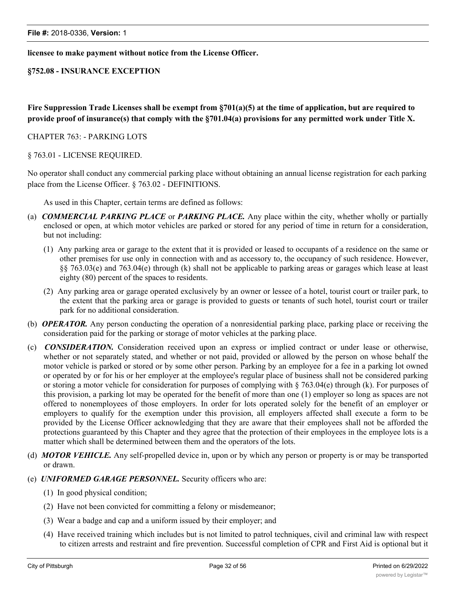#### **licensee to make payment without notice from the License Officer.**

#### **§752.08 - INSURANCE EXCEPTION**

**Fire Suppression Trade Licenses shall be exempt from §701(a)(5) at the time of application, but are required to provide proof of insurance(s) that comply with the §701.04(a) provisions for any permitted work under Title X.**

#### CHAPTER 763: - PARKING LOTS

#### § 763.01 - LICENSE REQUIRED.

No operator shall conduct any commercial parking place without obtaining an annual license registration for each parking place from the License Officer. § 763.02 - DEFINITIONS.

As used in this Chapter, certain terms are defined as follows:

- (a) *COMMERCIAL PARKING PLACE* or *PARKING PLACE.* Any place within the city, whether wholly or partially enclosed or open, at which motor vehicles are parked or stored for any period of time in return for a consideration, but not including:
	- (1) Any parking area or garage to the extent that it is provided or leased to occupants of a residence on the same or other premises for use only in connection with and as accessory to, the occupancy of such residence. However, §§ 763.03(e) and 763.04(e) through (k) shall not be applicable to parking areas or garages which lease at least eighty (80) percent of the spaces to residents.
	- (2) Any parking area or garage operated exclusively by an owner or lessee of a hotel, tourist court or trailer park, to the extent that the parking area or garage is provided to guests or tenants of such hotel, tourist court or trailer park for no additional consideration.
- (b) *OPERATOR.* Any person conducting the operation of a nonresidential parking place, parking place or receiving the consideration paid for the parking or storage of motor vehicles at the parking place.
- (c) *CONSIDERATION.* Consideration received upon an express or implied contract or under lease or otherwise, whether or not separately stated, and whether or not paid, provided or allowed by the person on whose behalf the motor vehicle is parked or stored or by some other person. Parking by an employee for a fee in a parking lot owned or operated by or for his or her employer at the employee's regular place of business shall not be considered parking or storing a motor vehicle for consideration for purposes of complying with  $\S$  763.04(e) through (k). For purposes of this provision, a parking lot may be operated for the benefit of more than one (1) employer so long as spaces are not offered to nonemployees of those employers. In order for lots operated solely for the benefit of an employer or employers to qualify for the exemption under this provision, all employers affected shall execute a form to be provided by the License Officer acknowledging that they are aware that their employees shall not be afforded the protections guaranteed by this Chapter and they agree that the protection of their employees in the employee lots is a matter which shall be determined between them and the operators of the lots.
- (d) *MOTOR VEHICLE.* Any self-propelled device in, upon or by which any person or property is or may be transported or drawn.
- (e) *UNIFORMED GARAGE PERSONNEL.* Security officers who are:
	- (1) In good physical condition;
	- (2) Have not been convicted for committing a felony or misdemeanor;
	- (3) Wear a badge and cap and a uniform issued by their employer; and
	- (4) Have received training which includes but is not limited to patrol techniques, civil and criminal law with respect to citizen arrests and restraint and fire prevention. Successful completion of CPR and First Aid is optional but it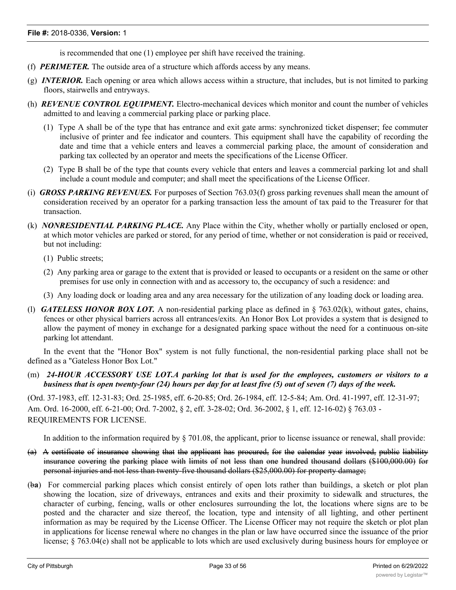is recommended that one (1) employee per shift have received the training.

- (f) *PERIMETER.* The outside area of a structure which affords access by any means.
- (g) *INTERIOR.* Each opening or area which allows access within a structure, that includes, but is not limited to parking floors, stairwells and entryways.
- (h) *REVENUE CONTROL EQUIPMENT.* Electro-mechanical devices which monitor and count the number of vehicles admitted to and leaving a commercial parking place or parking place.
	- (1) Type A shall be of the type that has entrance and exit gate arms: synchronized ticket dispenser; fee commuter inclusive of printer and fee indicator and counters. This equipment shall have the capability of recording the date and time that a vehicle enters and leaves a commercial parking place, the amount of consideration and parking tax collected by an operator and meets the specifications of the License Officer.
	- (2) Type B shall be of the type that counts every vehicle that enters and leaves a commercial parking lot and shall include a count module and computer; and shall meet the specifications of the License Officer.
- (i) *GROSS PARKING REVENUES.* For purposes of Section 763.03(f) gross parking revenues shall mean the amount of consideration received by an operator for a parking transaction less the amount of tax paid to the Treasurer for that transaction.
- (k) *NONRESIDENTIAL PARKING PLACE.* Any Place within the City, whether wholly or partially enclosed or open, at which motor vehicles are parked or stored, for any period of time, whether or not consideration is paid or received, but not including:
	- (1) Public streets;
	- (2) Any parking area or garage to the extent that is provided or leased to occupants or a resident on the same or other premises for use only in connection with and as accessory to, the occupancy of such a residence: and
	- (3) Any loading dock or loading area and any area necessary for the utilization of any loading dock or loading area.
- (l) *GATELESS HONOR BOX LOT.* A non-residential parking place as defined in § 763.02(k), without gates, chains, fences or other physical barriers across all entrances/exits. An Honor Box Lot provides a system that is designed to allow the payment of money in exchange for a designated parking space without the need for a continuous on-site parking lot attendant.

In the event that the "Honor Box" system is not fully functional, the non-residential parking place shall not be defined as a "Gateless Honor Box Lot."

# (m) *24-HOUR ACCESSORY USE LOT.A parking lot that is used for the employees, customers or visitors to a business that is open twenty-four (24) hours per day for at least five (5) out of seven (7) days of the week.*

(Ord. 37-1983, eff. 12-31-83; Ord. 25-1985, eff. 6-20-85; Ord. 26-1984, eff. 12-5-84; Am. Ord. 41-1997, eff. 12-31-97; Am. Ord. 16-2000, eff. 6-21-00; Ord. 7-2002, § 2, eff. 3-28-02; Ord. 36-2002, § 1, eff. 12-16-02) § 763.03 - REQUIREMENTS FOR LICENSE.

In addition to the information required by § 701.08, the applicant, prior to license issuance or renewal, shall provide:

- (a) A certificate of insurance showing that the applicant has procured, for the calendar year involved, public liability insurance covering the parking place with limits of not less than one hundred thousand dollars (\$100,000.00) for personal injuries and not less than twenty-five thousand dollars (\$25,000.00) for property damage;
- (b**a**) For commercial parking places which consist entirely of open lots rather than buildings, a sketch or plot plan showing the location, size of driveways, entrances and exits and their proximity to sidewalk and structures, the character of curbing, fencing, walls or other enclosures surrounding the lot, the locations where signs are to be posted and the character and size thereof, the location, type and intensity of all lighting, and other pertinent information as may be required by the License Officer. The License Officer may not require the sketch or plot plan in applications for license renewal where no changes in the plan or law have occurred since the issuance of the prior license; § 763.04(e) shall not be applicable to lots which are used exclusively during business hours for employee or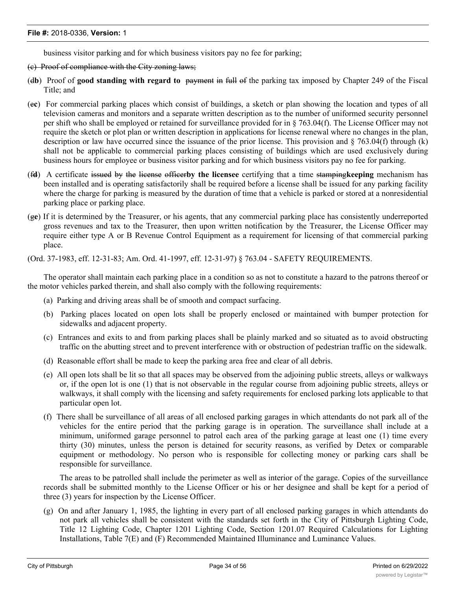business visitor parking and for which business visitors pay no fee for parking;

#### (c) Proof of compliance with the City zoning laws;

- (d**b**) Proof of **good standing with regard to** payment in full of the parking tax imposed by Chapter 249 of the Fiscal Title; and
- (e**c**) For commercial parking places which consist of buildings, a sketch or plan showing the location and types of all television cameras and monitors and a separate written description as to the number of uniformed security personnel per shift who shall be employed or retained for surveillance provided for in § 763.04(f). The License Officer may not require the sketch or plot plan or written description in applications for license renewal where no changes in the plan, description or law have occurred since the issuance of the prior license. This provision and § 763.04(f) through (k) shall not be applicable to commercial parking places consisting of buildings which are used exclusively during business hours for employee or business visitor parking and for which business visitors pay no fee for parking.
- (f**d**) A certificate issued by the license officer**by the licensee** certifying that a time stamping**keeping** mechanism has been installed and is operating satisfactorily shall be required before a license shall be issued for any parking facility where the charge for parking is measured by the duration of time that a vehicle is parked or stored at a nonresidential parking place or parking place.
- (g**e**) If it is determined by the Treasurer, or his agents, that any commercial parking place has consistently underreported gross revenues and tax to the Treasurer, then upon written notification by the Treasurer, the License Officer may require either type A or B Revenue Control Equipment as a requirement for licensing of that commercial parking place.

(Ord. 37-1983, eff. 12-31-83; Am. Ord. 41-1997, eff. 12-31-97) § 763.04 - SAFETY REQUIREMENTS.

The operator shall maintain each parking place in a condition so as not to constitute a hazard to the patrons thereof or the motor vehicles parked therein, and shall also comply with the following requirements:

- (a) Parking and driving areas shall be of smooth and compact surfacing.
- (b) Parking places located on open lots shall be properly enclosed or maintained with bumper protection for sidewalks and adjacent property.
- (c) Entrances and exits to and from parking places shall be plainly marked and so situated as to avoid obstructing traffic on the abutting street and to prevent interference with or obstruction of pedestrian traffic on the sidewalk.
- (d) Reasonable effort shall be made to keep the parking area free and clear of all debris.
- (e) All open lots shall be lit so that all spaces may be observed from the adjoining public streets, alleys or walkways or, if the open lot is one (1) that is not observable in the regular course from adjoining public streets, alleys or walkways, it shall comply with the licensing and safety requirements for enclosed parking lots applicable to that particular open lot.
- (f) There shall be surveillance of all areas of all enclosed parking garages in which attendants do not park all of the vehicles for the entire period that the parking garage is in operation. The surveillance shall include at a minimum, uniformed garage personnel to patrol each area of the parking garage at least one (1) time every thirty (30) minutes, unless the person is detained for security reasons, as verified by Detex or comparable equipment or methodology. No person who is responsible for collecting money or parking cars shall be responsible for surveillance.

The areas to be patrolled shall include the perimeter as well as interior of the garage. Copies of the surveillance records shall be submitted monthly to the License Officer or his or her designee and shall be kept for a period of three (3) years for inspection by the License Officer.

(g) On and after January 1, 1985, the lighting in every part of all enclosed parking garages in which attendants do not park all vehicles shall be consistent with the standards set forth in the City of Pittsburgh Lighting Code, Title 12 Lighting Code, Chapter 1201 Lighting Code, Section 1201.07 Required Calculations for Lighting Installations, Table 7(E) and (F) Recommended Maintained Illuminance and Luminance Values.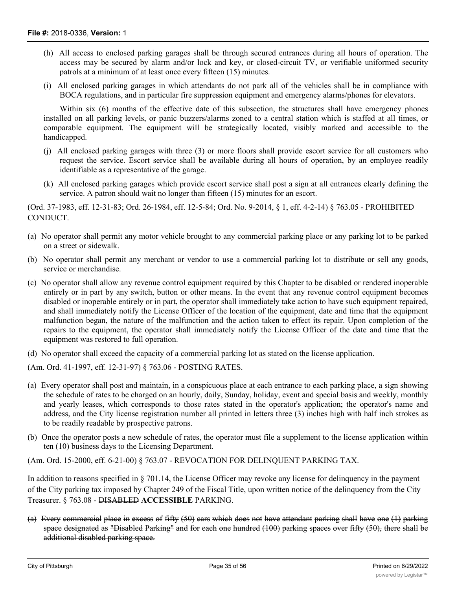- (h) All access to enclosed parking garages shall be through secured entrances during all hours of operation. The access may be secured by alarm and/or lock and key, or closed-circuit TV, or verifiable uniformed security patrols at a minimum of at least once every fifteen (15) minutes.
- (i) All enclosed parking garages in which attendants do not park all of the vehicles shall be in compliance with BOCA regulations, and in particular fire suppression equipment and emergency alarms/phones for elevators.

Within six (6) months of the effective date of this subsection, the structures shall have emergency phones installed on all parking levels, or panic buzzers/alarms zoned to a central station which is staffed at all times, or comparable equipment. The equipment will be strategically located, visibly marked and accessible to the handicapped.

- (j) All enclosed parking garages with three (3) or more floors shall provide escort service for all customers who request the service. Escort service shall be available during all hours of operation, by an employee readily identifiable as a representative of the garage.
- (k) All enclosed parking garages which provide escort service shall post a sign at all entrances clearly defining the service. A patron should wait no longer than fifteen (15) minutes for an escort.

(Ord. 37-1983, eff. 12-31-83; Ord. 26-1984, eff. 12-5-84; Ord. No. 9-2014, § 1, eff. 4-2-14) § 763.05 - PROHIBITED CONDUCT.

- (a) No operator shall permit any motor vehicle brought to any commercial parking place or any parking lot to be parked on a street or sidewalk.
- (b) No operator shall permit any merchant or vendor to use a commercial parking lot to distribute or sell any goods, service or merchandise.
- (c) No operator shall allow any revenue control equipment required by this Chapter to be disabled or rendered inoperable entirely or in part by any switch, button or other means. In the event that any revenue control equipment becomes disabled or inoperable entirely or in part, the operator shall immediately take action to have such equipment repaired, and shall immediately notify the License Officer of the location of the equipment, date and time that the equipment malfunction began, the nature of the malfunction and the action taken to effect its repair. Upon completion of the repairs to the equipment, the operator shall immediately notify the License Officer of the date and time that the equipment was restored to full operation.
- (d) No operator shall exceed the capacity of a commercial parking lot as stated on the license application.

(Am. Ord. 41-1997, eff. 12-31-97) § 763.06 - POSTING RATES.

- (a) Every operator shall post and maintain, in a conspicuous place at each entrance to each parking place, a sign showing the schedule of rates to be charged on an hourly, daily, Sunday, holiday, event and special basis and weekly, monthly and yearly leases, which corresponds to those rates stated in the operator's application; the operator's name and address, and the City license registration number all printed in letters three (3) inches high with half inch strokes as to be readily readable by prospective patrons.
- (b) Once the operator posts a new schedule of rates, the operator must file a supplement to the license application within ten (10) business days to the Licensing Department.

(Am. Ord. 15-2000, eff. 6-21-00) § 763.07 - REVOCATION FOR DELINQUENT PARKING TAX.

In addition to reasons specified in § 701.14, the License Officer may revoke any license for delinquency in the payment of the City parking tax imposed by Chapter 249 of the Fiscal Title, upon written notice of the delinquency from the City Treasurer. § 763.08 - DISABLED **ACCESSIBLE** PARKING.

(a) Every commercial place in excess of fifty (50) cars which does not have attendant parking shall have one (1) parking space designated as "Disabled Parking" and for each one hundred (100) parking spaces over fifty (50), there shall be additional disabled parking space.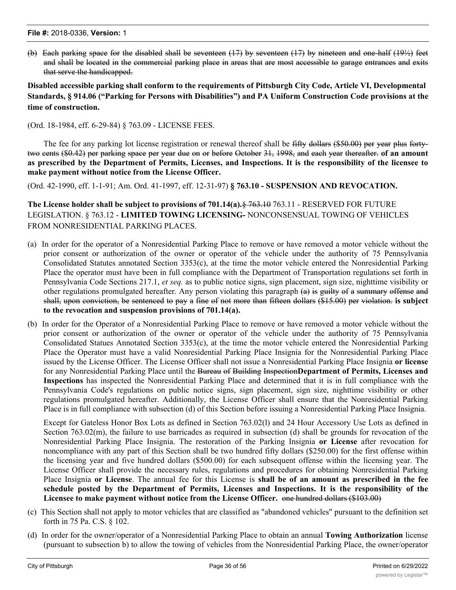(b) Each parking space for the disabled shall be seventeen (17) by seventeen (17) by nineteen and one-half (19½) feet and shall be located in the commercial parking place in areas that are most accessible to garage entrances and exits that serve the handicapped.

**Disabled accessible parking shall conform to the requirements of Pittsburgh City Code, Article VI, Developmental Standards, § 914.06 ("Parking for Persons with Disabilities") and PA Uniform Construction Code provisions at the time of construction.**

(Ord. 18-1984, eff. 6-29-84) § 763.09 - LICENSE FEES.

The fee for any parking lot license registration or renewal thereof shall be fifty dollars (\$50.00) per year plus fortytwo cents (\$0.42) per parking space per year due on or before October 31, 1998, and each year thereafter. **of an amount** as prescribed by the Department of Permits, Licenses, and Inspections. It is the responsibility of the licensee to **make payment without notice from the License Officer.**

(Ord. 42-1990, eff. 1-1-91; Am. Ord. 41-1997, eff. 12-31-97) **§ 763.10 - SUSPENSION AND REVOCATION.**

**The License holder shall be subject to provisions of 701.14(a).**§ 763.10 763.11 - RESERVED FOR FUTURE LEGISLATION. § 763.12 - **LIMITED TOWING LICENSING-** NONCONSENSUAL TOWING OF VEHICLES FROM NONRESIDENTIAL PARKING PLACES.

- (a) In order for the operator of a Nonresidential Parking Place to remove or have removed a motor vehicle without the prior consent or authorization of the owner or operator of the vehicle under the authority of 75 Pennsylvania Consolidated Statutes annotated Section 3353(c), at the time the motor vehicle entered the Nonresidential Parking Place the operator must have been in full compliance with the Department of Transportation regulations set forth in Pennsylvania Code Sections 217.1, *et seq.* as to public notice signs, sign placement, sign size, nighttime visibility or other regulations promulgated hereafter. Any person violating this paragraph (a) is guilty of a summary offense and shall, upon conviction, be sentenced to pay a fine of not more than fifteen dollars (\$15.00) per violation. **is subject to the revocation and suspension provisions of 701.14(a).**
- (b) In order for the Operator of a Nonresidential Parking Place to remove or have removed a motor vehicle without the prior consent or authorization of the owner or operator of the vehicle under the authority of 75 Pennsylvania Consolidated Statues Annotated Section 3353(c), at the time the motor vehicle entered the Nonresidential Parking Place the Operator must have a valid Nonresidential Parking Place Insignia for the Nonresidential Parking Place issued by the License Officer. The License Officer shall not issue a Nonresidential Parking Place Insignia **or license** for any Nonresidential Parking Place until the Bureau of Building Inspection**Department of Permits, Licenses and Inspections** has inspected the Nonresidential Parking Place and determined that it is in full compliance with the Pennsylvania Code's regulations on public notice signs, sign placement, sign size, nighttime visibility or other regulations promulgated hereafter. Additionally, the License Officer shall ensure that the Nonresidential Parking Place is in full compliance with subsection (d) of this Section before issuing a Nonresidential Parking Place Insignia.

Except for Gateless Honor Box Lots as defined in Section 763.02(l) and 24 Hour Accessory Use Lots as defined in Section 763.02(m), the failure to use barricades as required in subsection (d) shall be grounds for revocation of the Nonresidential Parking Place Insignia. The restoration of the Parking Insignia **or License** after revocation for noncompliance with any part of this Section shall be two hundred fifty dollars (\$250.00) for the first offense within the licensing year and five hundred dollars (\$500.00) for each subsequent offense within the licensing year. The License Officer shall provide the necessary rules, regulations and procedures for obtaining Nonresidential Parking Place Insignia **or License**. The annual fee for this License is **shall be of an amount as prescribed in the fee schedule posted by the Department of Permits, Licenses and Inspections. It is the responsibility of the Licensee to make payment without notice from the License Officer.** one hundred dollars (\$103.00)

- (c) This Section shall not apply to motor vehicles that are classified as "abandoned vehicles" pursuant to the definition set forth in 75 Pa. C.S. § 102.
- (d) In order for the owner/operator of a Nonresidential Parking Place to obtain an annual **Towing Authorization** license (pursuant to subsection b) to allow the towing of vehicles from the Nonresidential Parking Place, the owner/operator

of the Nonresidential Parking Place shall be required to place a physical barrier (such as a chain or fence) across all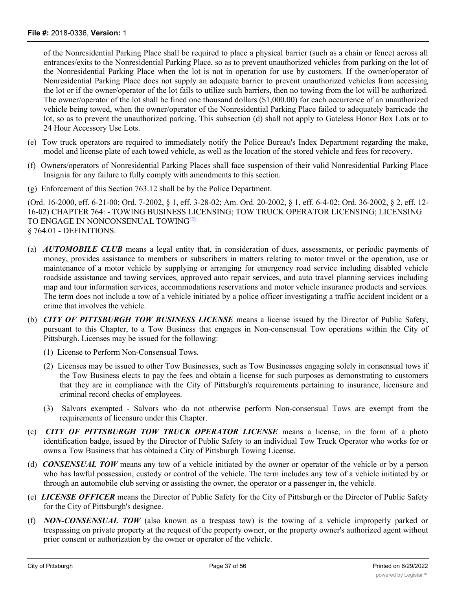of the Nonresidential Parking Place shall be required to place a physical barrier (such as a chain or fence) across all entrances/exits to the Nonresidential Parking Place, so as to prevent unauthorized vehicles from parking on the lot of the Nonresidential Parking Place when the lot is not in operation for use by customers. If the owner/operator of Nonresidential Parking Place does not supply an adequate barrier to prevent unauthorized vehicles from accessing the lot or if the owner/operator of the lot fails to utilize such barriers, then no towing from the lot will be authorized. The owner/operator of the lot shall be fined one thousand dollars (\$1,000.00) for each occurrence of an unauthorized vehicle being towed, when the owner/operator of the Nonresidential Parking Place failed to adequately barricade the lot, so as to prevent the unauthorized parking. This subsection (d) shall not apply to Gateless Honor Box Lots or to 24 Hour Accessory Use Lots.

- (e) Tow truck operators are required to immediately notify the Police Bureau's Index Department regarding the make, model and license plate of each towed vehicle, as well as the location of the stored vehicle and fees for recovery.
- (f) Owners/operators of Nonresidential Parking Places shall face suspension of their valid Nonresidential Parking Place Insignia for any failure to fully comply with amendments to this section.
- (g) Enforcement of this Section 763.12 shall be by the Police Department.

(Ord. 16-2000, eff. 6-21-00; Ord. 7-2002, § 1, eff. 3-28-02; Am. Ord. 20-2002, § 1, eff. 6-4-02; Ord. 36-2002, § 2, eff. 12- 16-02) CHAPTER 764: - TOWING BUSINESS LICENSING; TOW TRUCK OPERATOR LICENSING; LICENSING TO ENGAGE IN NONCONSENUAL TOWING<sup>[2]</sup> § 764.01 - DEFINITIONS.

- (a) *AUTOMOBILE CLUB* means a legal entity that, in consideration of dues, assessments, or periodic payments of money, provides assistance to members or subscribers in matters relating to motor travel or the operation, use or maintenance of a motor vehicle by supplying or arranging for emergency road service including disabled vehicle roadside assistance and towing services, approved auto repair services, and auto travel planning services including map and tour information services, accommodations reservations and motor vehicle insurance products and services. The term does not include a tow of a vehicle initiated by a police officer investigating a traffic accident incident or a crime that involves the vehicle.
- (b) *CITY OF PITTSBURGH TOW BUSINESS LICENSE* means a license issued by the Director of Public Safety, pursuant to this Chapter, to a Tow Business that engages in Non-consensual Tow operations within the City of Pittsburgh. Licenses may be issued for the following:
	- (1) License to Perform Non-Consensual Tows.
	- (2) Licenses may be issued to other Tow Businesses, such as Tow Businesses engaging solely in consensual tows if the Tow Business elects to pay the fees and obtain a license for such purposes as demonstrating to customers that they are in compliance with the City of Pittsburgh's requirements pertaining to insurance, licensure and criminal record checks of employees.
	- (3) Salvors exempted Salvors who do not otherwise perform Non-consensual Tows are exempt from the requirements of licensure under this Chapter.
- (c) *CITY OF PITTSBURGH TOW TRUCK OPERATOR LICENSE* means a license, in the form of a photo identification badge, issued by the Director of Public Safety to an individual Tow Truck Operator who works for or owns a Tow Business that has obtained a City of Pittsburgh Towing License.
- (d) *CONSENSUAL TOW* means any tow of a vehicle initiated by the owner or operator of the vehicle or by a person who has lawful possession, custody or control of the vehicle. The term includes any tow of a vehicle initiated by or through an automobile club serving or assisting the owner, the operator or a passenger in, the vehicle.
- (e) *LICENSE OFFICER* means the Director of Public Safety for the City of Pittsburgh or the Director of Public Safety for the City of Pittsburgh's designee.
- (f) *NON-CONSENSUAL TOW* (also known as a trespass tow) is the towing of a vehicle improperly parked or trespassing on private property at the request of the property owner, or the property owner's authorized agent without prior consent or authorization by the owner or operator of the vehicle.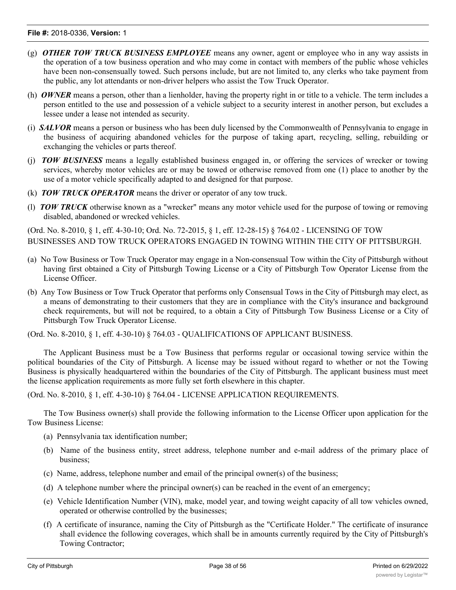- (g) *OTHER TOW TRUCK BUSINESS EMPLOYEE* means any owner, agent or employee who in any way assists in the operation of a tow business operation and who may come in contact with members of the public whose vehicles have been non-consensually towed. Such persons include, but are not limited to, any clerks who take payment from the public, any lot attendants or non-driver helpers who assist the Tow Truck Operator.
- (h) *OWNER* means a person, other than a lienholder, having the property right in or title to a vehicle. The term includes a person entitled to the use and possession of a vehicle subject to a security interest in another person, but excludes a lessee under a lease not intended as security.
- (i) *SALVOR* means a person or business who has been duly licensed by the Commonwealth of Pennsylvania to engage in the business of acquiring abandoned vehicles for the purpose of taking apart, recycling, selling, rebuilding or exchanging the vehicles or parts thereof.
- (j) *TOW BUSINESS* means a legally established business engaged in, or offering the services of wrecker or towing services, whereby motor vehicles are or may be towed or otherwise removed from one (1) place to another by the use of a motor vehicle specifically adapted to and designed for that purpose.
- (k) *TOW TRUCK OPERATOR* means the driver or operator of any tow truck.
- (l) *TOW TRUCK* otherwise known as a "wrecker" means any motor vehicle used for the purpose of towing or removing disabled, abandoned or wrecked vehicles.

(Ord. No. 8-2010, § 1, eff. 4-30-10; Ord. No. 72-2015, § 1, eff. 12-28-15) § 764.02 - LICENSING OF TOW BUSINESSES AND TOW TRUCK OPERATORS ENGAGED IN TOWING WITHIN THE CITY OF PITTSBURGH.

- (a) No Tow Business or Tow Truck Operator may engage in a Non-consensual Tow within the City of Pittsburgh without having first obtained a City of Pittsburgh Towing License or a City of Pittsburgh Tow Operator License from the License Officer.
- (b) Any Tow Business or Tow Truck Operator that performs only Consensual Tows in the City of Pittsburgh may elect, as a means of demonstrating to their customers that they are in compliance with the City's insurance and background check requirements, but will not be required, to a obtain a City of Pittsburgh Tow Business License or a City of Pittsburgh Tow Truck Operator License.

(Ord. No. 8-2010, § 1, eff. 4-30-10) § 764.03 - QUALIFICATIONS OF APPLICANT BUSINESS.

The Applicant Business must be a Tow Business that performs regular or occasional towing service within the political boundaries of the City of Pittsburgh. A license may be issued without regard to whether or not the Towing Business is physically headquartered within the boundaries of the City of Pittsburgh. The applicant business must meet the license application requirements as more fully set forth elsewhere in this chapter.

(Ord. No. 8-2010, § 1, eff. 4-30-10) § 764.04 - LICENSE APPLICATION REQUIREMENTS.

The Tow Business owner(s) shall provide the following information to the License Officer upon application for the Tow Business License:

- (a) Pennsylvania tax identification number;
- (b) Name of the business entity, street address, telephone number and e-mail address of the primary place of business;
- (c) Name, address, telephone number and email of the principal owner(s) of the business;
- (d) A telephone number where the principal owner(s) can be reached in the event of an emergency;
- (e) Vehicle Identification Number (VIN), make, model year, and towing weight capacity of all tow vehicles owned, operated or otherwise controlled by the businesses;
- (f) A certificate of insurance, naming the City of Pittsburgh as the "Certificate Holder." The certificate of insurance shall evidence the following coverages, which shall be in amounts currently required by the City of Pittsburgh's Towing Contractor;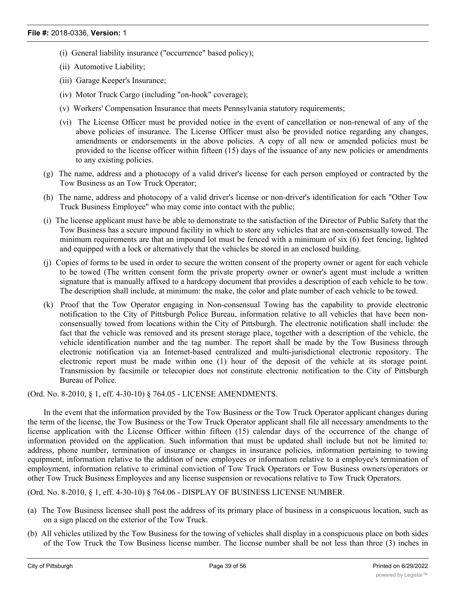- (i) General liability insurance ("occurrence" based policy);
- (ii) Automotive Liability;
- (iii) Garage Keeper's Insurance;
- (iv) Motor Truck Cargo (including "on-hook" coverage);
- (v) Workers' Compensation Insurance that meets Pennsylvania statutory requirements;
- (vi) The License Officer must be provided notice in the event of cancellation or non-renewal of any of the above policies of insurance. The License Officer must also be provided notice regarding any changes, amendments or endorsements in the above policies. A copy of all new or amended policies must be provided to the license officer within fifteen (15) days of the issuance of any new policies or amendments to any existing policies.
- (g) The name, address and a photocopy of a valid driver's license for each person employed or contracted by the Tow Business as an Tow Truck Operator;
- (h) The name, address and photocopy of a valid driver's license or non-driver's identification for each "Other Tow Truck Business Employee" who may come into contact with the public;
- (i) The license applicant must have be able to demonstrate to the satisfaction of the Director of Public Safety that the Tow Business has a secure impound facility in which to store any vehicles that are non-consensually towed. The minimum requirements are that an impound lot must be fenced with a minimum of six (6) feet fencing, lighted and equipped with a lock or alternatively that the vehicles be stored in an enclosed building.
- (j) Copies of forms to be used in order to secure the written consent of the property owner or agent for each vehicle to be towed (The written consent form the private property owner or owner's agent must include a written signature that is manually affixed to a hardcopy document that provides a description of each vehicle to be tow. The description shall include, at minimum: the make, the color and plate number of each vehicle to be towed.
- (k) Proof that the Tow Operator engaging in Non-consensual Towing has the capability to provide electronic notification to the City of Pittsburgh Police Bureau, information relative to all vehicles that have been nonconsensually towed from locations within the City of Pittsburgh. The electronic notification shall include: the fact that the vehicle was removed and its present storage place, together with a description of the vehicle, the vehicle identification number and the tag number. The report shall be made by the Tow Business through electronic notification via an Internet-based centralized and multi-jurisdictional electronic repository. The electronic report must be made within one (1) hour of the deposit of the vehicle at its storage point. Transmission by facsimile or telecopier does not constitute electronic notification to the City of Pittsburgh Bureau of Police.

(Ord. No. 8-2010, § 1, eff. 4-30-10) § 764.05 - LICENSE AMENDMENTS.

In the event that the information provided by the Tow Business or the Tow Truck Operator applicant changes during the term of the license, the Tow Business or the Tow Truck Operator applicant shall file all necessary amendments to the license application with the License Officer within fifteen (15) calendar days of the occurrence of the change of information provided on the application. Such information that must be updated shall include but not be limited to: address, phone number, termination of insurance or changes in insurance policies, information pertaining to towing equipment, information relative to the addition of new employees or information relative to a employee's termination of employment, information relative to criminal conviction of Tow Truck Operators or Tow Business owners/operators or other Tow Truck Business Employees and any license suspension or revocations relative to Tow Truck Operators.

(Ord. No. 8-2010, § 1, eff. 4-30-10) § 764.06 - DISPLAY OF BUSINESS LICENSE NUMBER.

- (a) The Tow Business licensee shall post the address of its primary place of business in a conspicuous location, such as on a sign placed on the exterior of the Tow Truck.
- (b) All vehicles utilized by the Tow Business for the towing of vehicles shall display in a conspicuous place on both sides of the Tow Truck the Tow Business license number. The license number shall be not less than three (3) inches in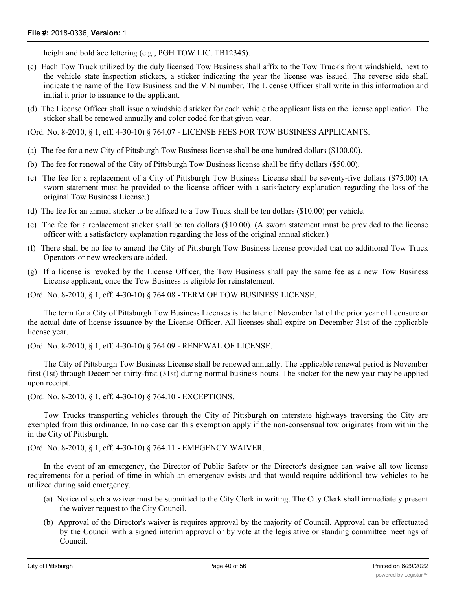height and boldface lettering (e.g., PGH TOW LIC. TB12345).

- (c) Each Tow Truck utilized by the duly licensed Tow Business shall affix to the Tow Truck's front windshield, next to the vehicle state inspection stickers, a sticker indicating the year the license was issued. The reverse side shall indicate the name of the Tow Business and the VIN number. The License Officer shall write in this information and initial it prior to issuance to the applicant.
- (d) The License Officer shall issue a windshield sticker for each vehicle the applicant lists on the license application. The sticker shall be renewed annually and color coded for that given year.

(Ord. No. 8-2010, § 1, eff. 4-30-10) § 764.07 - LICENSE FEES FOR TOW BUSINESS APPLICANTS.

- (a) The fee for a new City of Pittsburgh Tow Business license shall be one hundred dollars (\$100.00).
- (b) The fee for renewal of the City of Pittsburgh Tow Business license shall be fifty dollars (\$50.00).
- (c) The fee for a replacement of a City of Pittsburgh Tow Business License shall be seventy-five dollars (\$75.00) (A sworn statement must be provided to the license officer with a satisfactory explanation regarding the loss of the original Tow Business License.)
- (d) The fee for an annual sticker to be affixed to a Tow Truck shall be ten dollars (\$10.00) per vehicle.
- (e) The fee for a replacement sticker shall be ten dollars (\$10.00). (A sworn statement must be provided to the license officer with a satisfactory explanation regarding the loss of the original annual sticker.)
- (f) There shall be no fee to amend the City of Pittsburgh Tow Business license provided that no additional Tow Truck Operators or new wreckers are added.
- (g) If a license is revoked by the License Officer, the Tow Business shall pay the same fee as a new Tow Business License applicant, once the Tow Business is eligible for reinstatement.

(Ord. No. 8-2010, § 1, eff. 4-30-10) § 764.08 - TERM OF TOW BUSINESS LICENSE.

The term for a City of Pittsburgh Tow Business Licenses is the later of November 1st of the prior year of licensure or the actual date of license issuance by the License Officer. All licenses shall expire on December 31st of the applicable license year.

(Ord. No. 8-2010, § 1, eff. 4-30-10) § 764.09 - RENEWAL OF LICENSE.

The City of Pittsburgh Tow Business License shall be renewed annually. The applicable renewal period is November first (1st) through December thirty-first (31st) during normal business hours. The sticker for the new year may be applied upon receipt.

(Ord. No. 8-2010, § 1, eff. 4-30-10) § 764.10 - EXCEPTIONS.

Tow Trucks transporting vehicles through the City of Pittsburgh on interstate highways traversing the City are exempted from this ordinance. In no case can this exemption apply if the non-consensual tow originates from within the in the City of Pittsburgh.

(Ord. No. 8-2010, § 1, eff. 4-30-10) § 764.11 - EMEGENCY WAIVER.

In the event of an emergency, the Director of Public Safety or the Director's designee can waive all tow license requirements for a period of time in which an emergency exists and that would require additional tow vehicles to be utilized during said emergency.

- (a) Notice of such a waiver must be submitted to the City Clerk in writing. The City Clerk shall immediately present the waiver request to the City Council.
- (b) Approval of the Director's waiver is requires approval by the majority of Council. Approval can be effectuated by the Council with a signed interim approval or by vote at the legislative or standing committee meetings of Council.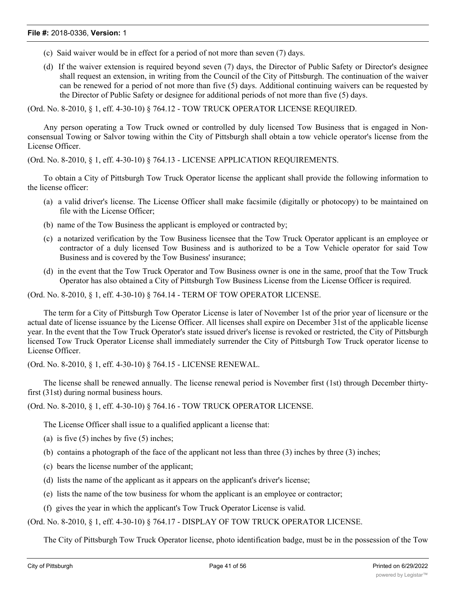- (c) Said waiver would be in effect for a period of not more than seven (7) days.
- (d) If the waiver extension is required beyond seven (7) days, the Director of Public Safety or Director's designee shall request an extension, in writing from the Council of the City of Pittsburgh. The continuation of the waiver can be renewed for a period of not more than five (5) days. Additional continuing waivers can be requested by the Director of Public Safety or designee for additional periods of not more than five (5) days.

(Ord. No. 8-2010, § 1, eff. 4-30-10) § 764.12 - TOW TRUCK OPERATOR LICENSE REQUIRED.

Any person operating a Tow Truck owned or controlled by duly licensed Tow Business that is engaged in Nonconsensual Towing or Salvor towing within the City of Pittsburgh shall obtain a tow vehicle operator's license from the License Officer.

(Ord. No. 8-2010, § 1, eff. 4-30-10) § 764.13 - LICENSE APPLICATION REQUIREMENTS.

To obtain a City of Pittsburgh Tow Truck Operator license the applicant shall provide the following information to the license officer:

- (a) a valid driver's license. The License Officer shall make facsimile (digitally or photocopy) to be maintained on file with the License Officer;
- (b) name of the Tow Business the applicant is employed or contracted by;
- (c) a notarized verification by the Tow Business licensee that the Tow Truck Operator applicant is an employee or contractor of a duly licensed Tow Business and is authorized to be a Tow Vehicle operator for said Tow Business and is covered by the Tow Business' insurance;
- (d) in the event that the Tow Truck Operator and Tow Business owner is one in the same, proof that the Tow Truck Operator has also obtained a City of Pittsburgh Tow Business License from the License Officer is required.

(Ord. No. 8-2010, § 1, eff. 4-30-10) § 764.14 - TERM OF TOW OPERATOR LICENSE.

The term for a City of Pittsburgh Tow Operator License is later of November 1st of the prior year of licensure or the actual date of license issuance by the License Officer. All licenses shall expire on December 31st of the applicable license year. In the event that the Tow Truck Operator's state issued driver's license is revoked or restricted, the City of Pittsburgh licensed Tow Truck Operator License shall immediately surrender the City of Pittsburgh Tow Truck operator license to License Officer.

(Ord. No. 8-2010, § 1, eff. 4-30-10) § 764.15 - LICENSE RENEWAL.

The license shall be renewed annually. The license renewal period is November first (1st) through December thirtyfirst (31st) during normal business hours.

(Ord. No. 8-2010, § 1, eff. 4-30-10) § 764.16 - TOW TRUCK OPERATOR LICENSE.

The License Officer shall issue to a qualified applicant a license that:

- (a) is five  $(5)$  inches by five  $(5)$  inches;
- (b) contains a photograph of the face of the applicant not less than three  $(3)$  inches by three  $(3)$  inches;
- (c) bears the license number of the applicant;
- (d) lists the name of the applicant as it appears on the applicant's driver's license;
- (e) lists the name of the tow business for whom the applicant is an employee or contractor;
- (f) gives the year in which the applicant's Tow Truck Operator License is valid.

(Ord. No. 8-2010, § 1, eff. 4-30-10) § 764.17 - DISPLAY OF TOW TRUCK OPERATOR LICENSE.

The City of Pittsburgh Tow Truck Operator license, photo identification badge, must be in the possession of the Tow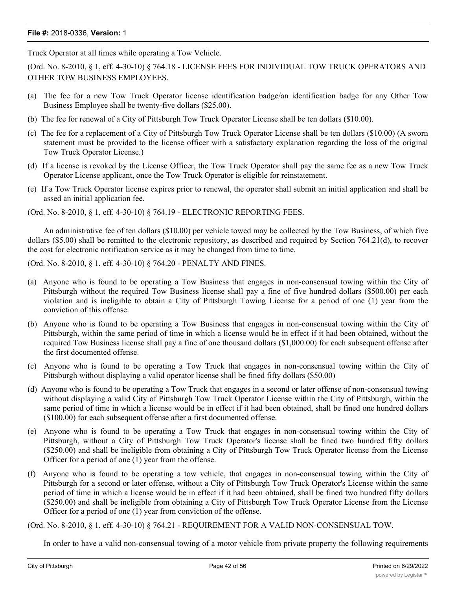Truck Operator at all times while operating a Tow Vehicle.

(Ord. No. 8-2010, § 1, eff. 4-30-10) § 764.18 - LICENSE FEES FOR INDIVIDUAL TOW TRUCK OPERATORS AND OTHER TOW BUSINESS EMPLOYEES.

- (a) The fee for a new Tow Truck Operator license identification badge/an identification badge for any Other Tow Business Employee shall be twenty-five dollars (\$25.00).
- (b) The fee for renewal of a City of Pittsburgh Tow Truck Operator License shall be ten dollars (\$10.00).
- (c) The fee for a replacement of a City of Pittsburgh Tow Truck Operator License shall be ten dollars (\$10.00) (A sworn statement must be provided to the license officer with a satisfactory explanation regarding the loss of the original Tow Truck Operator License.)
- (d) If a license is revoked by the License Officer, the Tow Truck Operator shall pay the same fee as a new Tow Truck Operator License applicant, once the Tow Truck Operator is eligible for reinstatement.
- (e) If a Tow Truck Operator license expires prior to renewal, the operator shall submit an initial application and shall be assed an initial application fee.

(Ord. No. 8-2010, § 1, eff. 4-30-10) § 764.19 - ELECTRONIC REPORTING FEES.

An administrative fee of ten dollars (\$10.00) per vehicle towed may be collected by the Tow Business, of which five dollars (\$5.00) shall be remitted to the electronic repository, as described and required by Section 764.21(d), to recover the cost for electronic notification service as it may be changed from time to time.

(Ord. No. 8-2010, § 1, eff. 4-30-10) § 764.20 - PENALTY AND FINES.

- (a) Anyone who is found to be operating a Tow Business that engages in non-consensual towing within the City of Pittsburgh without the required Tow Business license shall pay a fine of five hundred dollars (\$500.00) per each violation and is ineligible to obtain a City of Pittsburgh Towing License for a period of one (1) year from the conviction of this offense.
- (b) Anyone who is found to be operating a Tow Business that engages in non-consensual towing within the City of Pittsburgh, within the same period of time in which a license would be in effect if it had been obtained, without the required Tow Business license shall pay a fine of one thousand dollars (\$1,000.00) for each subsequent offense after the first documented offense.
- (c) Anyone who is found to be operating a Tow Truck that engages in non-consensual towing within the City of Pittsburgh without displaying a valid operator license shall be fined fifty dollars (\$50.00)
- (d) Anyone who is found to be operating a Tow Truck that engages in a second or later offense of non-consensual towing without displaying a valid City of Pittsburgh Tow Truck Operator License within the City of Pittsburgh, within the same period of time in which a license would be in effect if it had been obtained, shall be fined one hundred dollars (\$100.00) for each subsequent offense after a first documented offense.
- (e) Anyone who is found to be operating a Tow Truck that engages in non-consensual towing within the City of Pittsburgh, without a City of Pittsburgh Tow Truck Operator's license shall be fined two hundred fifty dollars (\$250.00) and shall be ineligible from obtaining a City of Pittsburgh Tow Truck Operator license from the License Officer for a period of one (1) year from the offense.
- (f) Anyone who is found to be operating a tow vehicle, that engages in non-consensual towing within the City of Pittsburgh for a second or later offense, without a City of Pittsburgh Tow Truck Operator's License within the same period of time in which a license would be in effect if it had been obtained, shall be fined two hundred fifty dollars (\$250.00) and shall be ineligible from obtaining a City of Pittsburgh Tow Truck Operator License from the License Officer for a period of one (1) year from conviction of the offense.

(Ord. No. 8-2010, § 1, eff. 4-30-10) § 764.21 - REQUIREMENT FOR A VALID NON-CONSENSUAL TOW.

In order to have a valid non-consensual towing of a motor vehicle from private property the following requirements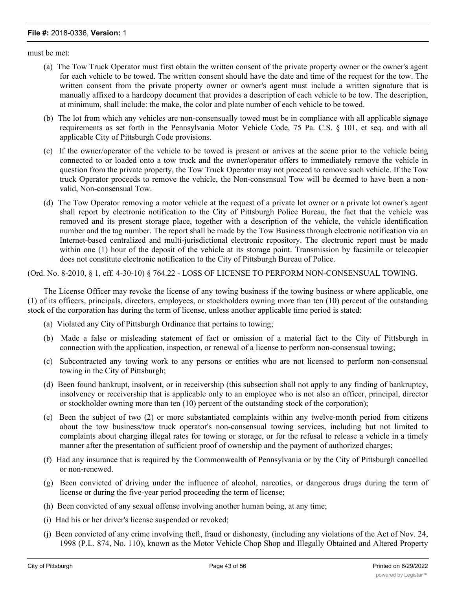must be met:

- (a) The Tow Truck Operator must first obtain the written consent of the private property owner or the owner's agent for each vehicle to be towed. The written consent should have the date and time of the request for the tow. The written consent from the private property owner or owner's agent must include a written signature that is manually affixed to a hardcopy document that provides a description of each vehicle to be tow. The description, at minimum, shall include: the make, the color and plate number of each vehicle to be towed.
- (b) The lot from which any vehicles are non-consensually towed must be in compliance with all applicable signage requirements as set forth in the Pennsylvania Motor Vehicle Code, 75 Pa. C.S. § 101, et seq. and with all applicable City of Pittsburgh Code provisions.
- (c) If the owner/operator of the vehicle to be towed is present or arrives at the scene prior to the vehicle being connected to or loaded onto a tow truck and the owner/operator offers to immediately remove the vehicle in question from the private property, the Tow Truck Operator may not proceed to remove such vehicle. If the Tow truck Operator proceeds to remove the vehicle, the Non-consensual Tow will be deemed to have been a nonvalid, Non-consensual Tow.
- (d) The Tow Operator removing a motor vehicle at the request of a private lot owner or a private lot owner's agent shall report by electronic notification to the City of Pittsburgh Police Bureau, the fact that the vehicle was removed and its present storage place, together with a description of the vehicle, the vehicle identification number and the tag number. The report shall be made by the Tow Business through electronic notification via an Internet-based centralized and multi-jurisdictional electronic repository. The electronic report must be made within one (1) hour of the deposit of the vehicle at its storage point. Transmission by facsimile or telecopier does not constitute electronic notification to the City of Pittsburgh Bureau of Police.

(Ord. No. 8-2010, § 1, eff. 4-30-10) § 764.22 - LOSS OF LICENSE TO PERFORM NON-CONSENSUAL TOWING.

The License Officer may revoke the license of any towing business if the towing business or where applicable, one (1) of its officers, principals, directors, employees, or stockholders owning more than ten (10) percent of the outstanding stock of the corporation has during the term of license, unless another applicable time period is stated:

- (a) Violated any City of Pittsburgh Ordinance that pertains to towing;
- (b) Made a false or misleading statement of fact or omission of a material fact to the City of Pittsburgh in connection with the application, inspection, or renewal of a license to perform non-consensual towing;
- (c) Subcontracted any towing work to any persons or entities who are not licensed to perform non-consensual towing in the City of Pittsburgh;
- (d) Been found bankrupt, insolvent, or in receivership (this subsection shall not apply to any finding of bankruptcy, insolvency or receivership that is applicable only to an employee who is not also an officer, principal, director or stockholder owning more than ten (10) percent of the outstanding stock of the corporation);
- (e) Been the subject of two (2) or more substantiated complaints within any twelve-month period from citizens about the tow business/tow truck operator's non-consensual towing services, including but not limited to complaints about charging illegal rates for towing or storage, or for the refusal to release a vehicle in a timely manner after the presentation of sufficient proof of ownership and the payment of authorized charges;
- (f) Had any insurance that is required by the Commonwealth of Pennsylvania or by the City of Pittsburgh cancelled or non-renewed.
- (g) Been convicted of driving under the influence of alcohol, narcotics, or dangerous drugs during the term of license or during the five-year period proceeding the term of license;
- (h) Been convicted of any sexual offense involving another human being, at any time;
- (i) Had his or her driver's license suspended or revoked;
- (j) Been convicted of any crime involving theft, fraud or dishonesty, (including any violations of the Act of Nov. 24, 1998 (P.L. 874, No. 110), known as the Motor Vehicle Chop Shop and Illegally Obtained and Altered Property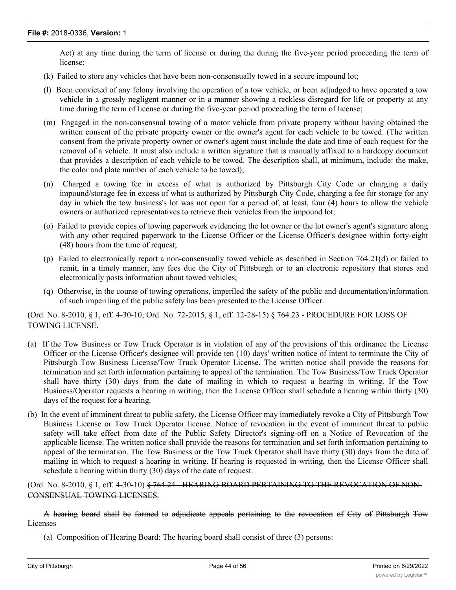Act) at any time during the term of license or during the during the five-year period proceeding the term of license;

- (k) Failed to store any vehicles that have been non-consensually towed in a secure impound lot;
- (l) Been convicted of any felony involving the operation of a tow vehicle, or been adjudged to have operated a tow vehicle in a grossly negligent manner or in a manner showing a reckless disregard for life or property at any time during the term of license or during the five-year period proceeding the term of license;
- (m) Engaged in the non-consensual towing of a motor vehicle from private property without having obtained the written consent of the private property owner or the owner's agent for each vehicle to be towed. (The written consent from the private property owner or owner's agent must include the date and time of each request for the removal of a vehicle. It must also include a written signature that is manually affixed to a hardcopy document that provides a description of each vehicle to be towed. The description shall, at minimum, include: the make, the color and plate number of each vehicle to be towed);
- (n) Charged a towing fee in excess of what is authorized by Pittsburgh City Code or charging a daily impound/storage fee in excess of what is authorized by Pittsburgh City Code, charging a fee for storage for any day in which the tow business's lot was not open for a period of, at least, four (4) hours to allow the vehicle owners or authorized representatives to retrieve their vehicles from the impound lot;
- (o) Failed to provide copies of towing paperwork evidencing the lot owner or the lot owner's agent's signature along with any other required paperwork to the License Officer or the License Officer's designee within forty-eight (48) hours from the time of request;
- (p) Failed to electronically report a non-consensually towed vehicle as described in Section 764.21(d) or failed to remit, in a timely manner, any fees due the City of Pittsburgh or to an electronic repository that stores and electronically posts information about towed vehicles;
- (q) Otherwise, in the course of towing operations, imperiled the safety of the public and documentation/information of such imperiling of the public safety has been presented to the License Officer.

(Ord. No. 8-2010, § 1, eff. 4-30-10; Ord. No. 72-2015, § 1, eff. 12-28-15) § 764.23 - PROCEDURE FOR LOSS OF TOWING LICENSE.

- (a) If the Tow Business or Tow Truck Operator is in violation of any of the provisions of this ordinance the License Officer or the License Officer's designee will provide ten (10) days' written notice of intent to terminate the City of Pittsburgh Tow Business License/Tow Truck Operator License. The written notice shall provide the reasons for termination and set forth information pertaining to appeal of the termination. The Tow Business/Tow Truck Operator shall have thirty (30) days from the date of mailing in which to request a hearing in writing. If the Tow Business/Operator requests a hearing in writing, then the License Officer shall schedule a hearing within thirty (30) days of the request for a hearing.
- (b) In the event of imminent threat to public safety, the License Officer may immediately revoke a City of Pittsburgh Tow Business License or Tow Truck Operator license. Notice of revocation in the event of imminent threat to public safety will take effect from date of the Public Safety Director's signing-off on a Notice of Revocation of the applicable license. The written notice shall provide the reasons for termination and set forth information pertaining to appeal of the termination. The Tow Business or the Tow Truck Operator shall have thirty (30) days from the date of mailing in which to request a hearing in writing. If hearing is requested in writing, then the License Officer shall schedule a hearing within thirty (30) days of the date of request.

(Ord. No. 8-2010, § 1, eff. 4-30-10) § 764.24 - HEARING BOARD PERTAINING TO THE REVOCATION OF NON-CONSENSUAL TOWING LICENSES.

A hearing board shall be formed to adjudicate appeals pertaining to the revocation of City of Pittsburgh Tow Licenses

(a) Composition of Hearing Board: The hearing board shall consist of three (3) persons: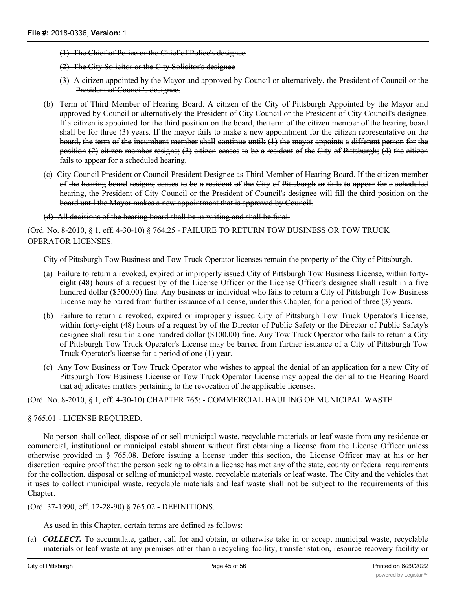- (1) The Chief of Police or the Chief of Police's designee
- (2) The City Solicitor or the City Solicitor's designee
- (3) A citizen appointed by the Mayor and approved by Council or alternatively, the President of Council or the President of Council's designee.
- (b) Term of Third Member of Hearing Board. A citizen of the City of Pittsburgh Appointed by the Mayor and approved by Council or alternatively the President of City Council or the President of City Council's designee. If a citizen is appointed for the third position on the board, the term of the citizen member of the hearing board shall be for three (3) years. If the mayor fails to make a new appointment for the citizen representative on the board, the term of the incumbent member shall continue until: (1) the mayor appoints a different person for the position (2) citizen member resigns; (3) citizen ceases to be a resident of the City of Pittsburgh; (4) the citizen fails to appear for a scheduled hearing.
- (c) City Council President or Council President Designee as Third Member of Hearing Board. If the citizen member of the hearing board resigns, ceases to be a resident of the City of Pittsburgh or fails to appear for a scheduled hearing, the President of City Council or the President of Council's designee will fill the third position on the board until the Mayor makes a new appointment that is approved by Council.

(d) All decisions of the hearing board shall be in writing and shall be final.

(Ord. No. 8-2010, § 1, eff. 4-30-10) § 764.25 - FAILURE TO RETURN TOW BUSINESS OR TOW TRUCK OPERATOR LICENSES.

City of Pittsburgh Tow Business and Tow Truck Operator licenses remain the property of the City of Pittsburgh.

- (a) Failure to return a revoked, expired or improperly issued City of Pittsburgh Tow Business License, within fortyeight (48) hours of a request by of the License Officer or the License Officer's designee shall result in a five hundred dollar (\$500.00) fine. Any business or individual who fails to return a City of Pittsburgh Tow Business License may be barred from further issuance of a license, under this Chapter, for a period of three (3) years.
- (b) Failure to return a revoked, expired or improperly issued City of Pittsburgh Tow Truck Operator's License, within forty-eight (48) hours of a request by of the Director of Public Safety or the Director of Public Safety's designee shall result in a one hundred dollar (\$100.00) fine. Any Tow Truck Operator who fails to return a City of Pittsburgh Tow Truck Operator's License may be barred from further issuance of a City of Pittsburgh Tow Truck Operator's license for a period of one (1) year.
- (c) Any Tow Business or Tow Truck Operator who wishes to appeal the denial of an application for a new City of Pittsburgh Tow Business License or Tow Truck Operator License may appeal the denial to the Hearing Board that adjudicates matters pertaining to the revocation of the applicable licenses.

(Ord. No. 8-2010, § 1, eff. 4-30-10) CHAPTER 765: - COMMERCIAL HAULING OF MUNICIPAL WASTE

#### § 765.01 - LICENSE REQUIRED.

No person shall collect, dispose of or sell municipal waste, recyclable materials or leaf waste from any residence or commercial, institutional or municipal establishment without first obtaining a license from the License Officer unless otherwise provided in § 765.08. Before issuing a license under this section, the License Officer may at his or her discretion require proof that the person seeking to obtain a license has met any of the state, county or federal requirements for the collection, disposal or selling of municipal waste, recyclable materials or leaf waste. The City and the vehicles that it uses to collect municipal waste, recyclable materials and leaf waste shall not be subject to the requirements of this Chapter.

(Ord. 37-1990, eff. 12-28-90) § 765.02 - DEFINITIONS.

As used in this Chapter, certain terms are defined as follows:

(a) *COLLECT.* To accumulate, gather, call for and obtain, or otherwise take in or accept municipal waste, recyclable materials or leaf waste at any premises other than a recycling facility, transfer station, resource recovery facility or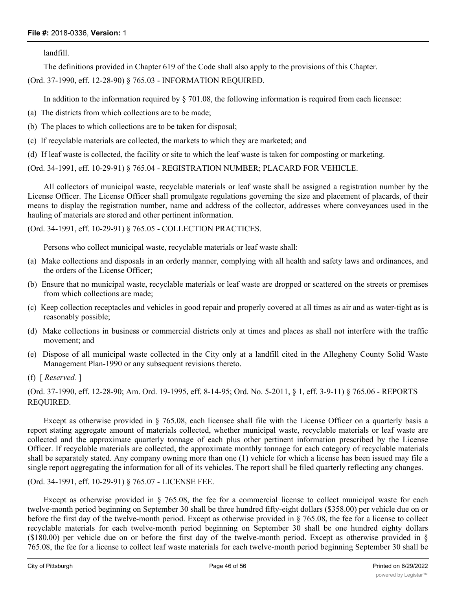landfill.

The definitions provided in Chapter 619 of the Code shall also apply to the provisions of this Chapter.

(Ord. 37-1990, eff. 12-28-90) § 765.03 - INFORMATION REQUIRED.

In addition to the information required by § 701.08, the following information is required from each licensee:

- (a) The districts from which collections are to be made;
- (b) The places to which collections are to be taken for disposal;
- (c) If recyclable materials are collected, the markets to which they are marketed; and
- (d) If leaf waste is collected, the facility or site to which the leaf waste is taken for composting or marketing.

(Ord. 34-1991, eff. 10-29-91) § 765.04 - REGISTRATION NUMBER; PLACARD FOR VEHICLE.

All collectors of municipal waste, recyclable materials or leaf waste shall be assigned a registration number by the License Officer. The License Officer shall promulgate regulations governing the size and placement of placards, of their means to display the registration number, name and address of the collector, addresses where conveyances used in the hauling of materials are stored and other pertinent information.

(Ord. 34-1991, eff. 10-29-91) § 765.05 - COLLECTION PRACTICES.

Persons who collect municipal waste, recyclable materials or leaf waste shall:

- (a) Make collections and disposals in an orderly manner, complying with all health and safety laws and ordinances, and the orders of the License Officer;
- (b) Ensure that no municipal waste, recyclable materials or leaf waste are dropped or scattered on the streets or premises from which collections are made;
- (c) Keep collection receptacles and vehicles in good repair and properly covered at all times as air and as water-tight as is reasonably possible;
- (d) Make collections in business or commercial districts only at times and places as shall not interfere with the traffic movement; and
- (e) Dispose of all municipal waste collected in the City only at a landfill cited in the Allegheny County Solid Waste Management Plan-1990 or any subsequent revisions thereto.
- (f) [ *Reserved.* ]

(Ord. 37-1990, eff. 12-28-90; Am. Ord. 19-1995, eff. 8-14-95; Ord. No. 5-2011, § 1, eff. 3-9-11) § 765.06 - REPORTS REQUIRED.

Except as otherwise provided in § 765.08, each licensee shall file with the License Officer on a quarterly basis a report stating aggregate amount of materials collected, whether municipal waste, recyclable materials or leaf waste are collected and the approximate quarterly tonnage of each plus other pertinent information prescribed by the License Officer. If recyclable materials are collected, the approximate monthly tonnage for each category of recyclable materials shall be separately stated. Any company owning more than one (1) vehicle for which a license has been issued may file a single report aggregating the information for all of its vehicles. The report shall be filed quarterly reflecting any changes.

#### (Ord. 34-1991, eff. 10-29-91) § 765.07 - LICENSE FEE.

Except as otherwise provided in § 765.08, the fee for a commercial license to collect municipal waste for each twelve-month period beginning on September 30 shall be three hundred fifty-eight dollars (\$358.00) per vehicle due on or before the first day of the twelve-month period. Except as otherwise provided in § 765.08, the fee for a license to collect recyclable materials for each twelve-month period beginning on September 30 shall be one hundred eighty dollars (\$180.00) per vehicle due on or before the first day of the twelve-month period. Except as otherwise provided in  $\S$ 765.08, the fee for a license to collect leaf waste materials for each twelve-month period beginning September 30 shall be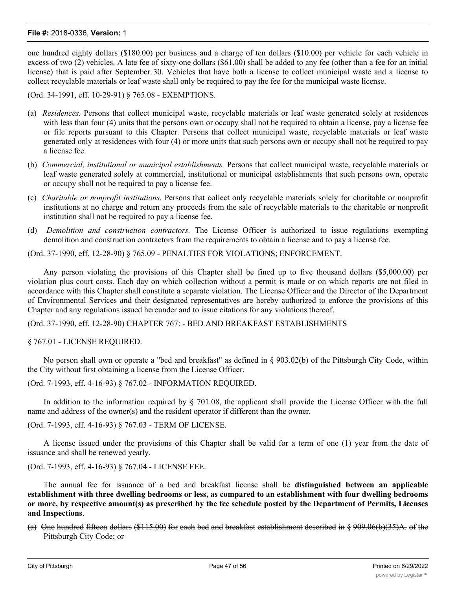one hundred eighty dollars (\$180.00) per business and a charge of ten dollars (\$10.00) per vehicle for each vehicle in excess of two (2) vehicles. A late fee of sixty-one dollars (\$61.00) shall be added to any fee (other than a fee for an initial license) that is paid after September 30. Vehicles that have both a license to collect municipal waste and a license to collect recyclable materials or leaf waste shall only be required to pay the fee for the municipal waste license.

(Ord. 34-1991, eff. 10-29-91) § 765.08 - EXEMPTIONS.

- (a) *Residences.* Persons that collect municipal waste, recyclable materials or leaf waste generated solely at residences with less than four (4) units that the persons own or occupy shall not be required to obtain a license, pay a license fee or file reports pursuant to this Chapter. Persons that collect municipal waste, recyclable materials or leaf waste generated only at residences with four (4) or more units that such persons own or occupy shall not be required to pay a license fee.
- (b) *Commercial, institutional or municipal establishments.* Persons that collect municipal waste, recyclable materials or leaf waste generated solely at commercial, institutional or municipal establishments that such persons own, operate or occupy shall not be required to pay a license fee.
- (c) *Charitable or nonprofit institutions.* Persons that collect only recyclable materials solely for charitable or nonprofit institutions at no charge and return any proceeds from the sale of recyclable materials to the charitable or nonprofit institution shall not be required to pay a license fee.
- (d) *Demolition and construction contractors.* The License Officer is authorized to issue regulations exempting demolition and construction contractors from the requirements to obtain a license and to pay a license fee.

(Ord. 37-1990, eff. 12-28-90) § 765.09 - PENALTIES FOR VIOLATIONS; ENFORCEMENT.

Any person violating the provisions of this Chapter shall be fined up to five thousand dollars (\$5,000.00) per violation plus court costs. Each day on which collection without a permit is made or on which reports are not filed in accordance with this Chapter shall constitute a separate violation. The License Officer and the Director of the Department of Environmental Services and their designated representatives are hereby authorized to enforce the provisions of this Chapter and any regulations issued hereunder and to issue citations for any violations thereof.

(Ord. 37-1990, eff. 12-28-90) CHAPTER 767: - BED AND BREAKFAST ESTABLISHMENTS

§ 767.01 - LICENSE REQUIRED.

No person shall own or operate a "bed and breakfast" as defined in § 903.02(b) of the Pittsburgh City Code, within the City without first obtaining a license from the License Officer.

(Ord. 7-1993, eff. 4-16-93) § 767.02 - INFORMATION REQUIRED.

In addition to the information required by § 701.08, the applicant shall provide the License Officer with the full name and address of the owner(s) and the resident operator if different than the owner.

(Ord. 7-1993, eff. 4-16-93) § 767.03 - TERM OF LICENSE.

A license issued under the provisions of this Chapter shall be valid for a term of one (1) year from the date of issuance and shall be renewed yearly.

(Ord. 7-1993, eff. 4-16-93) § 767.04 - LICENSE FEE.

The annual fee for issuance of a bed and breakfast license shall be **distinguished between an applicable establishment with three dwelling bedrooms or less, as compared to an establishment with four dwelling bedrooms** or more, by respective amount(s) as prescribed by the fee schedule posted by the Department of Permits, Licenses **and Inspections**.

(a) One hundred fifteen dollars (\$115.00) for each bed and breakfast establishment described in § 909.06(b)(35)A. of the Pittsburgh City Code; or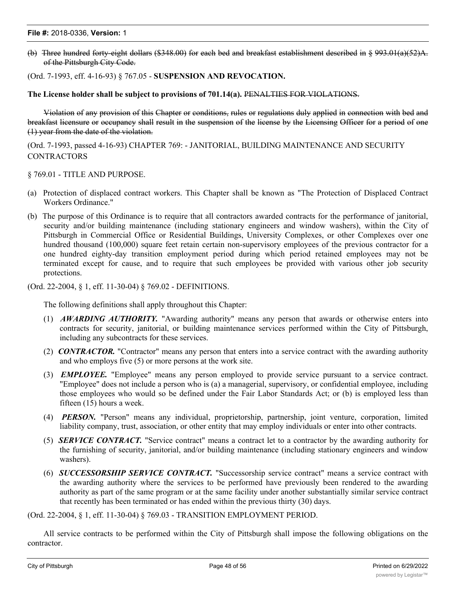(b) Three hundred forty-eight dollars (\$348.00) for each bed and breakfast establishment described in § 993.01(a)(52)A. of the Pittsburgh City Code.

#### (Ord. 7-1993, eff. 4-16-93) § 767.05 - **SUSPENSION AND REVOCATION.**

**The License holder shall be subject to provisions of 701.14(a).** PENALTIES FOR VIOLATIONS.

Violation of any provision of this Chapter or conditions, rules or regulations duly applied in connection with bed and breakfast licensure or occupancy shall result in the suspension of the license by the Licensing Officer for a period of one (1) year from the date of the violation.

(Ord. 7-1993, passed 4-16-93) CHAPTER 769: - JANITORIAL, BUILDING MAINTENANCE AND SECURITY **CONTRACTORS** 

§ 769.01 - TITLE AND PURPOSE.

- (a) Protection of displaced contract workers. This Chapter shall be known as "The Protection of Displaced Contract Workers Ordinance."
- (b) The purpose of this Ordinance is to require that all contractors awarded contracts for the performance of janitorial, security and/or building maintenance (including stationary engineers and window washers), within the City of Pittsburgh in Commercial Office or Residential Buildings, University Complexes, or other Complexes over one hundred thousand (100,000) square feet retain certain non-supervisory employees of the previous contractor for a one hundred eighty-day transition employment period during which period retained employees may not be terminated except for cause, and to require that such employees be provided with various other job security protections.

(Ord. 22-2004, § 1, eff. 11-30-04) § 769.02 - DEFINITIONS.

The following definitions shall apply throughout this Chapter:

- (1) *AWARDING AUTHORITY.* "Awarding authority" means any person that awards or otherwise enters into contracts for security, janitorial, or building maintenance services performed within the City of Pittsburgh, including any subcontracts for these services.
- (2) *CONTRACTOR.* "Contractor" means any person that enters into a service contract with the awarding authority and who employs five (5) or more persons at the work site.
- (3) *EMPLOYEE.* "Employee" means any person employed to provide service pursuant to a service contract. "Employee" does not include a person who is (a) a managerial, supervisory, or confidential employee, including those employees who would so be defined under the Fair Labor Standards Act; or (b) is employed less than fifteen (15) hours a week.
- (4) *PERSON.* "Person" means any individual, proprietorship, partnership, joint venture, corporation, limited liability company, trust, association, or other entity that may employ individuals or enter into other contracts.
- (5) *SERVICE CONTRACT.* "Service contract" means a contract let to a contractor by the awarding authority for the furnishing of security, janitorial, and/or building maintenance (including stationary engineers and window washers).
- (6) *SUCCESSORSHIP SERVICE CONTRACT.* "Successorship service contract" means a service contract with the awarding authority where the services to be performed have previously been rendered to the awarding authority as part of the same program or at the same facility under another substantially similar service contract that recently has been terminated or has ended within the previous thirty (30) days.

(Ord. 22-2004, § 1, eff. 11-30-04) § 769.03 - TRANSITION EMPLOYMENT PERIOD.

All service contracts to be performed within the City of Pittsburgh shall impose the following obligations on the contractor.

 $\mathcal{L}(\mathcal{A})$  the authority shall give an advance notice to any contractor, and to any contractor, any collective bargaining bargaining  $\mathcal{L}(\mathcal{A})$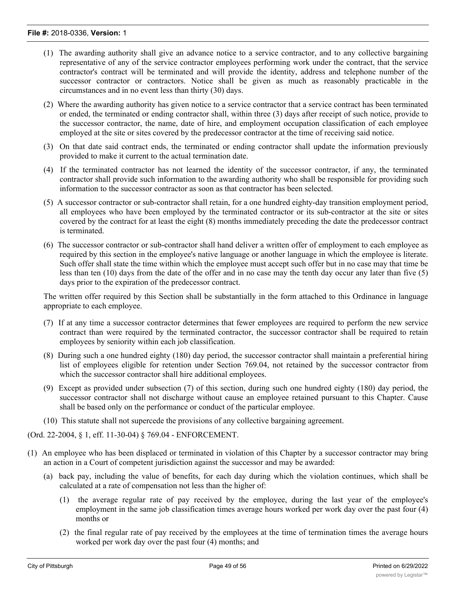- (1) The awarding authority shall give an advance notice to a service contractor, and to any collective bargaining representative of any of the service contractor employees performing work under the contract, that the service contractor's contract will be terminated and will provide the identity, address and telephone number of the successor contractor or contractors. Notice shall be given as much as reasonably practicable in the circumstances and in no event less than thirty (30) days.
- (2) Where the awarding authority has given notice to a service contractor that a service contract has been terminated or ended, the terminated or ending contractor shall, within three (3) days after receipt of such notice, provide to the successor contractor, the name, date of hire, and employment occupation classification of each employee employed at the site or sites covered by the predecessor contractor at the time of receiving said notice.
- (3) On that date said contract ends, the terminated or ending contractor shall update the information previously provided to make it current to the actual termination date.
- (4) If the terminated contractor has not learned the identity of the successor contractor, if any, the terminated contractor shall provide such information to the awarding authority who shall be responsible for providing such information to the successor contractor as soon as that contractor has been selected.
- (5) A successor contractor or sub-contractor shall retain, for a one hundred eighty-day transition employment period, all employees who have been employed by the terminated contractor or its sub-contractor at the site or sites covered by the contract for at least the eight (8) months immediately preceding the date the predecessor contract is terminated.
- (6) The successor contractor or sub-contractor shall hand deliver a written offer of employment to each employee as required by this section in the employee's native language or another language in which the employee is literate. Such offer shall state the time within which the employee must accept such offer but in no case may that time be less than ten (10) days from the date of the offer and in no case may the tenth day occur any later than five (5) days prior to the expiration of the predecessor contract.

The written offer required by this Section shall be substantially in the form attached to this Ordinance in language appropriate to each employee.

- (7) If at any time a successor contractor determines that fewer employees are required to perform the new service contract than were required by the terminated contractor, the successor contractor shall be required to retain employees by seniority within each job classification.
- (8) During such a one hundred eighty (180) day period, the successor contractor shall maintain a preferential hiring list of employees eligible for retention under Section 769.04, not retained by the successor contractor from which the successor contractor shall hire additional employees.
- (9) Except as provided under subsection (7) of this section, during such one hundred eighty (180) day period, the successor contractor shall not discharge without cause an employee retained pursuant to this Chapter. Cause shall be based only on the performance or conduct of the particular employee.
- (10) This statute shall not supercede the provisions of any collective bargaining agreement.

(Ord. 22-2004, § 1, eff. 11-30-04) § 769.04 - ENFORCEMENT.

- (1) An employee who has been displaced or terminated in violation of this Chapter by a successor contractor may bring an action in a Court of competent jurisdiction against the successor and may be awarded:
	- (a) back pay, including the value of benefits, for each day during which the violation continues, which shall be calculated at a rate of compensation not less than the higher of:
		- (1) the average regular rate of pay received by the employee, during the last year of the employee's employment in the same job classification times average hours worked per work day over the past four (4) months or
		- (2) the final regular rate of pay received by the employees at the time of termination times the average hours worked per work day over the past four (4) months; and

(b) reinstatement to his or her former position at no less than the last wage rate, with benefits and hours worked per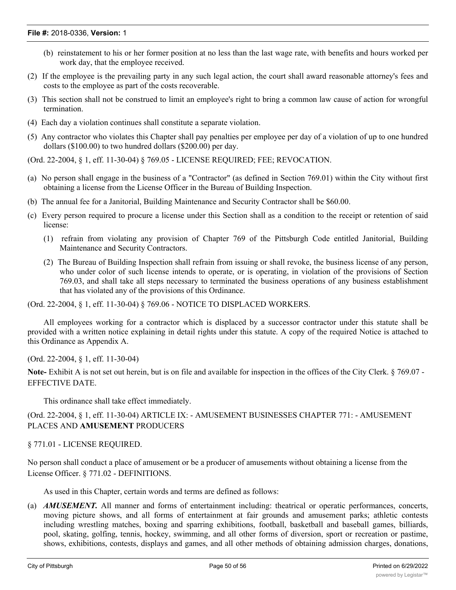- (b) reinstatement to his or her former position at no less than the last wage rate, with benefits and hours worked per work day, that the employee received.
- (2) If the employee is the prevailing party in any such legal action, the court shall award reasonable attorney's fees and costs to the employee as part of the costs recoverable.
- (3) This section shall not be construed to limit an employee's right to bring a common law cause of action for wrongful termination.
- (4) Each day a violation continues shall constitute a separate violation.
- (5) Any contractor who violates this Chapter shall pay penalties per employee per day of a violation of up to one hundred dollars (\$100.00) to two hundred dollars (\$200.00) per day.

(Ord. 22-2004, § 1, eff. 11-30-04) § 769.05 - LICENSE REQUIRED; FEE; REVOCATION.

- (a) No person shall engage in the business of a "Contractor" (as defined in Section 769.01) within the City without first obtaining a license from the License Officer in the Bureau of Building Inspection.
- (b) The annual fee for a Janitorial, Building Maintenance and Security Contractor shall be \$60.00.
- (c) Every person required to procure a license under this Section shall as a condition to the receipt or retention of said license:
	- (1) refrain from violating any provision of Chapter 769 of the Pittsburgh Code entitled Janitorial, Building Maintenance and Security Contractors.
	- (2) The Bureau of Building Inspection shall refrain from issuing or shall revoke, the business license of any person, who under color of such license intends to operate, or is operating, in violation of the provisions of Section 769.03, and shall take all steps necessary to terminated the business operations of any business establishment that has violated any of the provisions of this Ordinance.

(Ord. 22-2004, § 1, eff. 11-30-04) § 769.06 - NOTICE TO DISPLACED WORKERS.

All employees working for a contractor which is displaced by a successor contractor under this statute shall be provided with a written notice explaining in detail rights under this statute. A copy of the required Notice is attached to this Ordinance as Appendix A.

(Ord. 22-2004, § 1, eff. 11-30-04)

**Note-** Exhibit A is not set out herein, but is on file and available for inspection in the offices of the City Clerk. § 769.07 - EFFECTIVE DATE.

This ordinance shall take effect immediately.

(Ord. 22-2004, § 1, eff. 11-30-04) ARTICLE IX: - AMUSEMENT BUSINESSES CHAPTER 771: - AMUSEMENT PLACES AND **AMUSEMENT** PRODUCERS

#### § 771.01 - LICENSE REQUIRED.

No person shall conduct a place of amusement or be a producer of amusements without obtaining a license from the License Officer. § 771.02 - DEFINITIONS.

As used in this Chapter, certain words and terms are defined as follows:

(a) *AMUSEMENT.* All manner and forms of entertainment including: theatrical or operatic performances, concerts, moving picture shows, and all forms of entertainment at fair grounds and amusement parks; athletic contests including wrestling matches, boxing and sparring exhibitions, football, basketball and baseball games, billiards, pool, skating, golfing, tennis, hockey, swimming, and all other forms of diversion, sport or recreation or pastime, shows, exhibitions, contests, displays and games, and all other methods of obtaining admission charges, donations,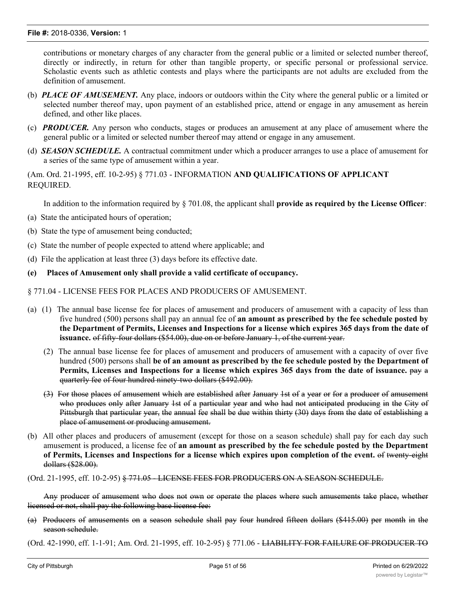contributions or monetary charges of any character from the general public or a limited or selected number thereof, directly or indirectly, in return for other than tangible property, or specific personal or professional service. Scholastic events such as athletic contests and plays where the participants are not adults are excluded from the definition of amusement.

- (b) *PLACE OF AMUSEMENT.* Any place, indoors or outdoors within the City where the general public or a limited or selected number thereof may, upon payment of an established price, attend or engage in any amusement as herein defined, and other like places.
- (c) *PRODUCER.* Any person who conducts, stages or produces an amusement at any place of amusement where the general public or a limited or selected number thereof may attend or engage in any amusement.
- (d) *SEASON SCHEDULE.* A contractual commitment under which a producer arranges to use a place of amusement for a series of the same type of amusement within a year.

(Am. Ord. 21-1995, eff. 10-2-95) § 771.03 - INFORMATION **AND QUALIFICATIONS OF APPLICANT** REQUIRED.

In addition to the information required by § 701.08, the applicant shall **provide as required by the License Officer**:

- (a) State the anticipated hours of operation;
- (b) State the type of amusement being conducted;
- (c) State the number of people expected to attend where applicable; and
- (d) File the application at least three (3) days before its effective date.
- **(e) Places of Amusement only shall provide a valid certificate of occupancy.**

#### § 771.04 - LICENSE FEES FOR PLACES AND PRODUCERS OF AMUSEMENT.

- (a) (1) The annual base license fee for places of amusement and producers of amusement with a capacity of less than five hundred (500) persons shall pay an annual fee of **an amount as prescribed by the fee schedule posted by** the Department of Permits, Licenses and Inspections for a license which expires 365 days from the date of **issuance.** of fifty-four dollars (\$54.00), due on or before January 1, of the current year.
	- (2) The annual base license fee for places of amusement and producers of amusement with a capacity of over five hundred (500) persons shall **be of an amount as prescribed by the fee schedule posted by the Department of Permits, Licenses and Inspections for a license which expires 365 days from the date of issuance.** pay a quarterly fee of four hundred ninety-two dollars (\$492.00).
	- (3) For those places of amusement which are established after January 1st of a year or for a producer of amusement who produces only after January 1st of a particular year and who had not anticipated producing in the City of Pittsburgh that particular year, the annual fee shall be due within thirty (30) days from the date of establishing a place of amusement or producing amusement.
- (b) All other places and producers of amusement (except for those on a season schedule) shall pay for each day such amusement is produced, a license fee of **an amount as prescribed by the fee schedule posted by the Department of Permits, Licenses and Inspections for a license which expires upon completion of the event.** of twenty-eight dollars (\$28.00).

(Ord.  $21$ -1995, eff.  $10$ -2-95)  $\frac{6}{5}$  771.05 - LICENSE FEES FOR PRODUCERS ON A SEASON SCHEDULE.

Any producer of amusement who does not own or operate the places where such amusements take place, whether licensed or not, shall pay the following base license fee:

(a) Producers of amusements on a season schedule shall pay four hundred fifteen dollars (\$415.00) per month in the season schedule.

(Ord. 42-1990, eff. 1-1-91; Am. Ord. 21-1995, eff. 10-2-95) § 771.06 - <del>LIABILITY FOR FAILURE OF PRODUCER TO</del>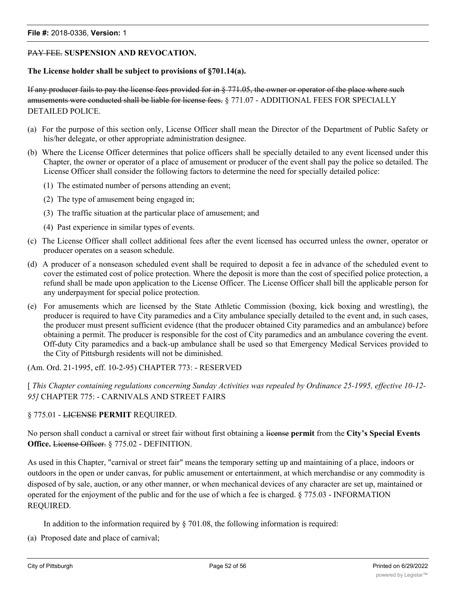#### PAY FEE. **SUSPENSION AND REVOCATION.**

#### **The License holder shall be subject to provisions of §701.14(a).**

If any producer fails to pay the license fees provided for in § 771.05, the owner or operator of the place where such amusements were conducted shall be liable for license fees. § 771.07 - ADDITIONAL FEES FOR SPECIALLY DETAILED POLICE.

- (a) For the purpose of this section only, License Officer shall mean the Director of the Department of Public Safety or his/her delegate, or other appropriate administration designee.
- (b) Where the License Officer determines that police officers shall be specially detailed to any event licensed under this Chapter, the owner or operator of a place of amusement or producer of the event shall pay the police so detailed. The License Officer shall consider the following factors to determine the need for specially detailed police:
	- (1) The estimated number of persons attending an event;
	- (2) The type of amusement being engaged in;
	- (3) The traffic situation at the particular place of amusement; and
	- (4) Past experience in similar types of events.
- (c) The License Officer shall collect additional fees after the event licensed has occurred unless the owner, operator or producer operates on a season schedule.
- (d) A producer of a nonseason scheduled event shall be required to deposit a fee in advance of the scheduled event to cover the estimated cost of police protection. Where the deposit is more than the cost of specified police protection, a refund shall be made upon application to the License Officer. The License Officer shall bill the applicable person for any underpayment for special police protection.
- (e) For amusements which are licensed by the State Athletic Commission (boxing, kick boxing and wrestling), the producer is required to have City paramedics and a City ambulance specially detailed to the event and, in such cases, the producer must present sufficient evidence (that the producer obtained City paramedics and an ambulance) before obtaining a permit. The producer is responsible for the cost of City paramedics and an ambulance covering the event. Off-duty City paramedics and a back-up ambulance shall be used so that Emergency Medical Services provided to the City of Pittsburgh residents will not be diminished.

(Am. Ord. 21-1995, eff. 10-2-95) CHAPTER 773: - RESERVED

[ *This Chapter containing regulations concerning Sunday Activities was repealed by Ordinance 25-1995, effective 10-12- 95]* CHAPTER 775: - CARNIVALS AND STREET FAIRS

#### § 775.01 - LICENSE **PERMIT** REQUIRED.

No person shall conduct a carnival or street fair without first obtaining a license **permit** from the **City's Special Events Office.** License Officer. § 775.02 - DEFINITION.

As used in this Chapter, "carnival or street fair" means the temporary setting up and maintaining of a place, indoors or outdoors in the open or under canvas, for public amusement or entertainment, at which merchandise or any commodity is disposed of by sale, auction, or any other manner, or when mechanical devices of any character are set up, maintained or operated for the enjoyment of the public and for the use of which a fee is charged. § 775.03 - INFORMATION REQUIRED.

In addition to the information required by  $\S$  701.08, the following information is required:

(a) Proposed date and place of carnival;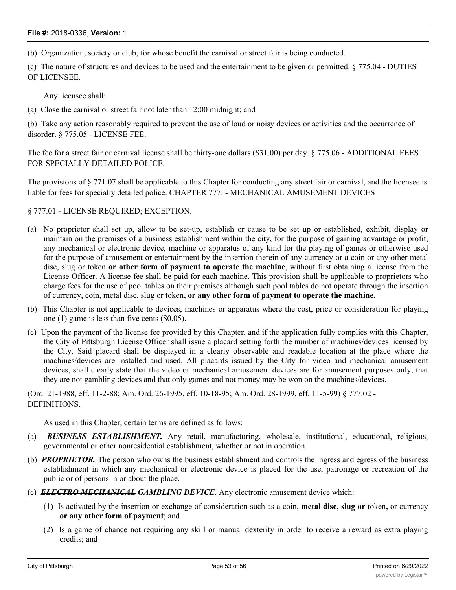(b) Organization, society or club, for whose benefit the carnival or street fair is being conducted.

(c) The nature of structures and devices to be used and the entertainment to be given or permitted. § 775.04 - DUTIES OF LICENSEE.

Any licensee shall:

(a) Close the carnival or street fair not later than 12:00 midnight; and

(b) Take any action reasonably required to prevent the use of loud or noisy devices or activities and the occurrence of disorder. § 775.05 - LICENSE FEE.

The fee for a street fair or carnival license shall be thirty-one dollars (\$31.00) per day. § 775.06 - ADDITIONAL FEES FOR SPECIALLY DETAILED POLICE.

The provisions of § 771.07 shall be applicable to this Chapter for conducting any street fair or carnival, and the licensee is liable for fees for specially detailed police. CHAPTER 777: - MECHANICAL AMUSEMENT DEVICES

#### § 777.01 - LICENSE REQUIRED; EXCEPTION.

- (a) No proprietor shall set up, allow to be set-up, establish or cause to be set up or established, exhibit, display or maintain on the premises of a business establishment within the city, for the purpose of gaining advantage or profit, any mechanical or electronic device, machine or apparatus of any kind for the playing of games or otherwise used for the purpose of amusement or entertainment by the insertion therein of any currency or a coin or any other metal disc, slug or token **or other form of payment to operate the machine**, without first obtaining a license from the License Officer. A license fee shall be paid for each machine. This provision shall be applicable to proprietors who charge fees for the use of pool tables on their premises although such pool tables do not operate through the insertion of currency, coin, metal disc, slug or token**, or any other form of payment to operate the machine.**
- (b) This Chapter is not applicable to devices, machines or apparatus where the cost, price or consideration for playing one (1) game is less than five cents (\$0.05)**.**
- (c) Upon the payment of the license fee provided by this Chapter, and if the application fully complies with this Chapter, the City of Pittsburgh License Officer shall issue a placard setting forth the number of machines/devices licensed by the City. Said placard shall be displayed in a clearly observable and readable location at the place where the machines/devices are installed and used. All placards issued by the City for video and mechanical amusement devices, shall clearly state that the video or mechanical amusement devices are for amusement purposes only, that they are not gambling devices and that only games and not money may be won on the machines/devices.

(Ord. 21-1988, eff. 11-2-88; Am. Ord. 26-1995, eff. 10-18-95; Am. Ord. 28-1999, eff. 11-5-99) § 777.02 - DEFINITIONS.

As used in this Chapter, certain terms are defined as follows:

- (a) *BUSINESS ESTABLISHMENT.* Any retail, manufacturing, wholesale, institutional, educational, religious, governmental or other nonresidential establishment, whether or not in operation.
- (b) *PROPRIETOR.* The person who owns the business establishment and controls the ingress and egress of the business establishment in which any mechanical or electronic device is placed for the use, patronage or recreation of the public or of persons in or about the place.
- (c) *ELECTRO MECHANICAL GAMBLING DEVICE.* Any electronic amusement device which:
	- (1) Is activated by the insertion or exchange of consideration such as a coin, **metal disc, slug or** token**,** or currency **or any other form of payment**; and
	- (2) Is a game of chance not requiring any skill or manual dexterity in order to receive a reward as extra playing credits; and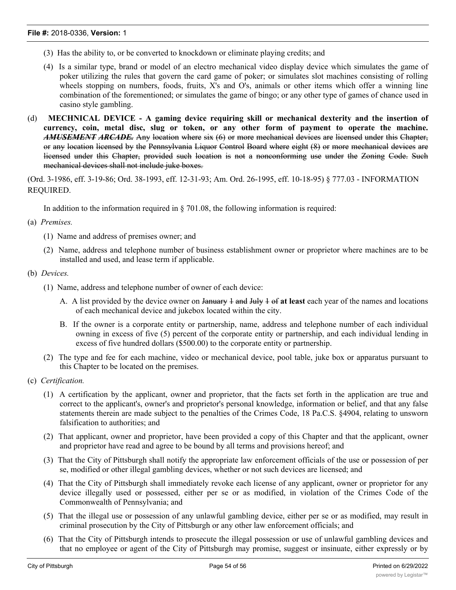- (3) Has the ability to, or be converted to knockdown or eliminate playing credits; and
- (4) Is a similar type, brand or model of an electro mechanical video display device which simulates the game of poker utilizing the rules that govern the card game of poker; or simulates slot machines consisting of rolling wheels stopping on numbers, foods, fruits, X's and O's, animals or other items which offer a winning line combination of the forementioned; or simulates the game of bingo; or any other type of games of chance used in casino style gambling.
- (d) **MECHNICAL DEVICE - A gaming device requiring skill or mechanical dexterity and the insertion of currency, coin, metal disc, slug or token, or any other form of payment to operate the machine.** *AMUSEMENT ARCADE.* Any location where six (6) or more mechanical devices are licensed under this Chapter, or any location licensed by the Pennsylvania Liquor Control Board where eight (8) or more mechanical devices are licensed under this Chapter, provided such location is not a nonconforming use under the Zoning Code. Such mechanical devices shall not include juke boxes.

(Ord. 3-1986, eff. 3-19-86; Ord. 38-1993, eff. 12-31-93; Am. Ord. 26-1995, eff. 10-18-95) § 777.03 - INFORMATION REQUIRED.

In addition to the information required in § 701.08, the following information is required:

(a) *Premises.*

- (1) Name and address of premises owner; and
- (2) Name, address and telephone number of business establishment owner or proprietor where machines are to be installed and used, and lease term if applicable.
- (b) *Devices.*
	- (1) Name, address and telephone number of owner of each device:
		- A. A list provided by the device owner on January 1 and July 1 of **at least** each year of the names and locations of each mechanical device and jukebox located within the city.
		- B. If the owner is a corporate entity or partnership, name, address and telephone number of each individual owning in excess of five (5) percent of the corporate entity or partnership, and each individual lending in excess of five hundred dollars (\$500.00) to the corporate entity or partnership.
	- (2) The type and fee for each machine, video or mechanical device, pool table, juke box or apparatus pursuant to this Chapter to be located on the premises.
- (c) *Certification.*
	- (1) A certification by the applicant, owner and proprietor, that the facts set forth in the application are true and correct to the applicant's, owner's and proprietor's personal knowledge, information or belief, and that any false statements therein are made subject to the penalties of the Crimes Code, 18 Pa.C.S. §4904, relating to unsworn falsification to authorities; and
	- (2) That applicant, owner and proprietor, have been provided a copy of this Chapter and that the applicant, owner and proprietor have read and agree to be bound by all terms and provisions hereof; and
	- (3) That the City of Pittsburgh shall notify the appropriate law enforcement officials of the use or possession of per se, modified or other illegal gambling devices, whether or not such devices are licensed; and
	- (4) That the City of Pittsburgh shall immediately revoke each license of any applicant, owner or proprietor for any device illegally used or possessed, either per se or as modified, in violation of the Crimes Code of the Commonwealth of Pennsylvania; and
	- (5) That the illegal use or possession of any unlawful gambling device, either per se or as modified, may result in criminal prosecution by the City of Pittsburgh or any other law enforcement officials; and
	- (6) That the City of Pittsburgh intends to prosecute the illegal possession or use of unlawful gambling devices and that no employee or agent of the City of Pittsburgh may promise, suggest or insinuate, either expressly or by

implication, that the applicant, owner or proprietor, who either illegally possesses or uses a per se, modified or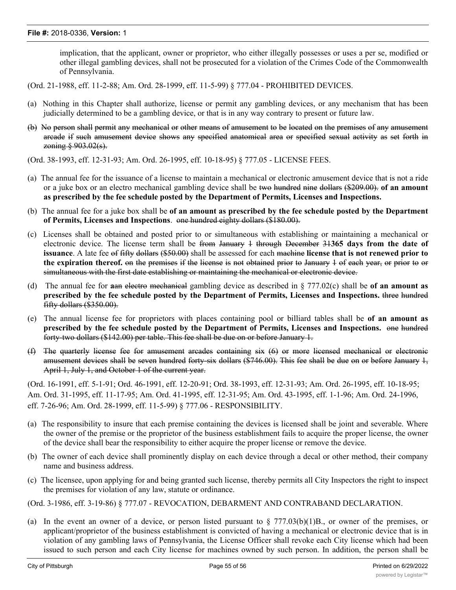implication, that the applicant, owner or proprietor, who either illegally possesses or uses a per se, modified or other illegal gambling devices, shall not be prosecuted for a violation of the Crimes Code of the Commonwealth of Pennsylvania.

- (Ord. 21-1988, eff. 11-2-88; Am. Ord. 28-1999, eff. 11-5-99) § 777.04 PROHIBITED DEVICES.
- (a) Nothing in this Chapter shall authorize, license or permit any gambling devices, or any mechanism that has been judicially determined to be a gambling device, or that is in any way contrary to present or future law.
- (b) No person shall permit any mechanical or other means of amusement to be located on the premises of any amusement arcade if such amusement device shows any specified anatomical area or specified sexual activity as set forth in zoning § 903.02(s).
- (Ord. 38-1993, eff. 12-31-93; Am. Ord. 26-1995, eff. 10-18-95) § 777.05 LICENSE FEES.
- (a) The annual fee for the issuance of a license to maintain a mechanical or electronic amusement device that is not a ride or a juke box or an electro mechanical gambling device shall be two hundred nine dollars (\$209.00). **of an amount as prescribed by the fee schedule posted by the Department of Permits, Licenses and Inspections.**
- (b) The annual fee for a juke box shall be **of an amount as prescribed by the fee schedule posted by the Department of Permits, Licenses and Inspections**. one hundred eighty dollars (\$180.00).
- (c) Licenses shall be obtained and posted prior to or simultaneous with establishing or maintaining a mechanical or electronic device. The license term shall be from January 1 through December 31**365 days from the date of issuance**. A late fee of fifty dollars (\$50.00) shall be assessed for each machine **license that is not renewed prior to the expiration thereof.** on the premises if the license is not obtained prior to January 1 of each year, or prior to or simultaneous with the first date establishing or maintaining the mechanical or electronic device.
- (d) The annual fee for **a**an electro mechanical gambling device as described in § 777.02(c) shall be **of an amount as prescribed by the fee schedule posted by the Department of Permits, Licenses and Inspections.** three hundred fifty dollars (\$350.00).
- (e) The annual license fee for proprietors with places containing pool or billiard tables shall be **of an amount as prescribed by the fee schedule posted by the Department of Permits, Licenses and Inspections.** one hundred forty-two dollars (\$142.00) per table. This fee shall be due on or before January 1.
- (f) The quarterly license fee for amusement arcades containing six (6) or more licensed mechanical or electronic amusement devices shall be seven hundred forty-six dollars (\$746.00). This fee shall be due on or before January 1, April 1, July 1, and October 1 of the current year.

(Ord. 16-1991, eff. 5-1-91; Ord. 46-1991, eff. 12-20-91; Ord. 38-1993, eff. 12-31-93; Am. Ord. 26-1995, eff. 10-18-95; Am. Ord. 31-1995, eff. 11-17-95; Am. Ord. 41-1995, eff. 12-31-95; Am. Ord. 43-1995, eff. 1-1-96; Am. Ord. 24-1996, eff. 7-26-96; Am. Ord. 28-1999, eff. 11-5-99) § 777.06 - RESPONSIBILITY.

- (a) The responsibility to insure that each premise containing the devices is licensed shall be joint and severable. Where the owner of the premise or the proprietor of the business establishment fails to acquire the proper license, the owner of the device shall bear the responsibility to either acquire the proper license or remove the device.
- (b) The owner of each device shall prominently display on each device through a decal or other method, their company name and business address.
- (c) The licensee, upon applying for and being granted such license, thereby permits all City Inspectors the right to inspect the premises for violation of any law, statute or ordinance.
- (Ord. 3-1986, eff. 3-19-86) § 777.07 REVOCATION, DEBARMENT AND CONTRABAND DECLARATION.
- (a) In the event an owner of a device, or person listed pursuant to  $\S 777.03(b)(1)B$ ., or owner of the premises, or applicant/proprietor of the business establishment is convicted of having a mechanical or electronic device that is in violation of any gambling laws of Pennsylvania, the License Officer shall revoke each City license which had been issued to such person and each City license for machines owned by such person. In addition, the person shall be